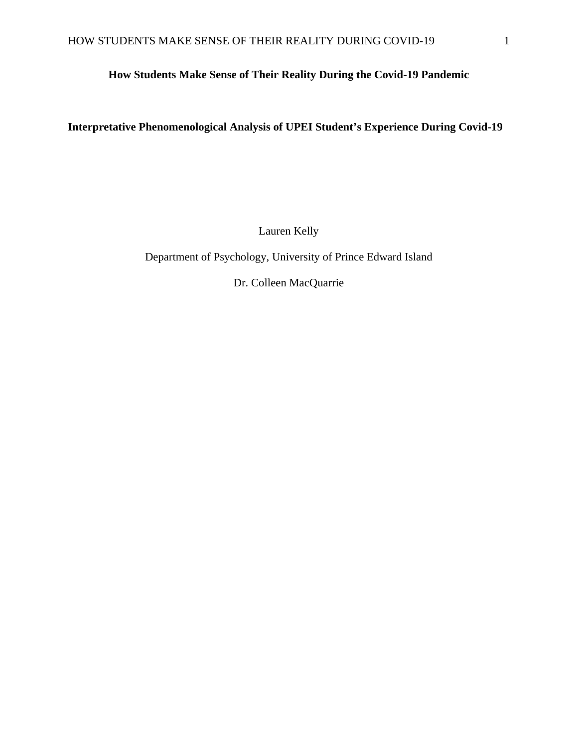# **How Students Make Sense of Their Reality During the Covid-19 Pandemic**

**Interpretative Phenomenological Analysis of UPEI Student's Experience During Covid-19**

Lauren Kelly

Department of Psychology, University of Prince Edward Island

Dr. Colleen MacQuarrie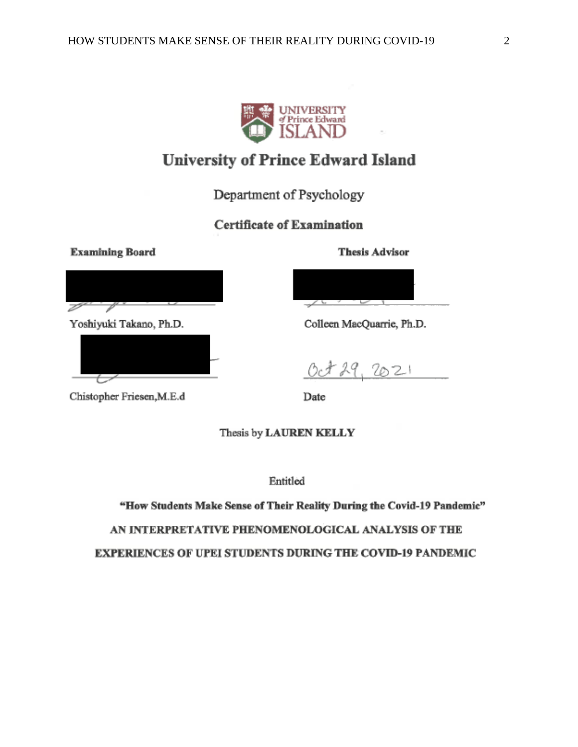

# **University of Prince Edward Island**

Department of Psychology

# **Certificate of Examination**

**Examining Board** 



Yoshiyuki Takano, Ph.D.



Chistopher Friesen, M.E.d

**Thesis Advisor** 



Colleen MacQuarrie, Ph.D.

 $0c729,2021$ 

Date

Thesis by LAUREN KELLY

Entitled

"How Students Make Sense of Their Reality During the Covid-19 Pandemic" AN INTERPRETATIVE PHENOMENOLOGICAL ANALYSIS OF THE **EXPERIENCES OF UPEI STUDENTS DURING THE COVID-19 PANDEMIC**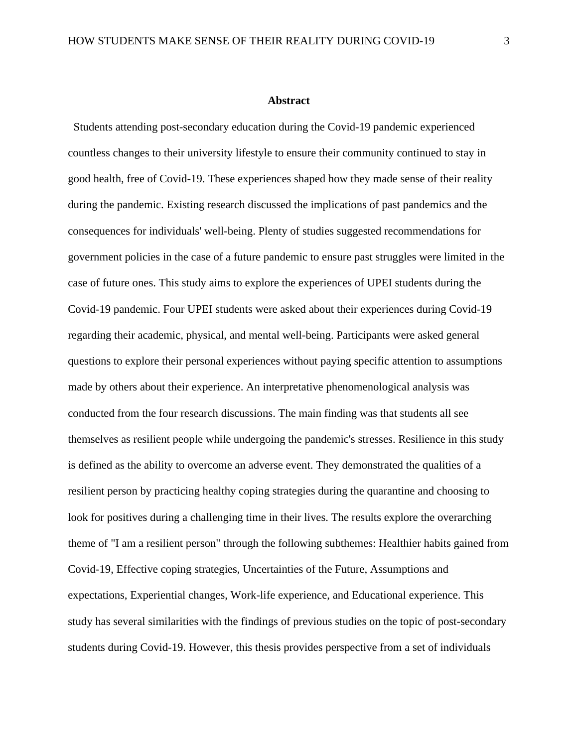#### **Abstract**

Students attending post-secondary education during the Covid-19 pandemic experienced countless changes to their university lifestyle to ensure their community continued to stay in good health, free of Covid-19. These experiences shaped how they made sense of their reality during the pandemic. Existing research discussed the implications of past pandemics and the consequences for individuals' well-being. Plenty of studies suggested recommendations for government policies in the case of a future pandemic to ensure past struggles were limited in the case of future ones. This study aims to explore the experiences of UPEI students during the Covid-19 pandemic. Four UPEI students were asked about their experiences during Covid-19 regarding their academic, physical, and mental well-being. Participants were asked general questions to explore their personal experiences without paying specific attention to assumptions made by others about their experience. An interpretative phenomenological analysis was conducted from the four research discussions. The main finding was that students all see themselves as resilient people while undergoing the pandemic's stresses. Resilience in this study is defined as the ability to overcome an adverse event. They demonstrated the qualities of a resilient person by practicing healthy coping strategies during the quarantine and choosing to look for positives during a challenging time in their lives. The results explore the overarching theme of "I am a resilient person" through the following subthemes: Healthier habits gained from Covid-19, Effective coping strategies, Uncertainties of the Future, Assumptions and expectations, Experiential changes, Work-life experience, and Educational experience. This study has several similarities with the findings of previous studies on the topic of post-secondary students during Covid-19. However, this thesis provides perspective from a set of individuals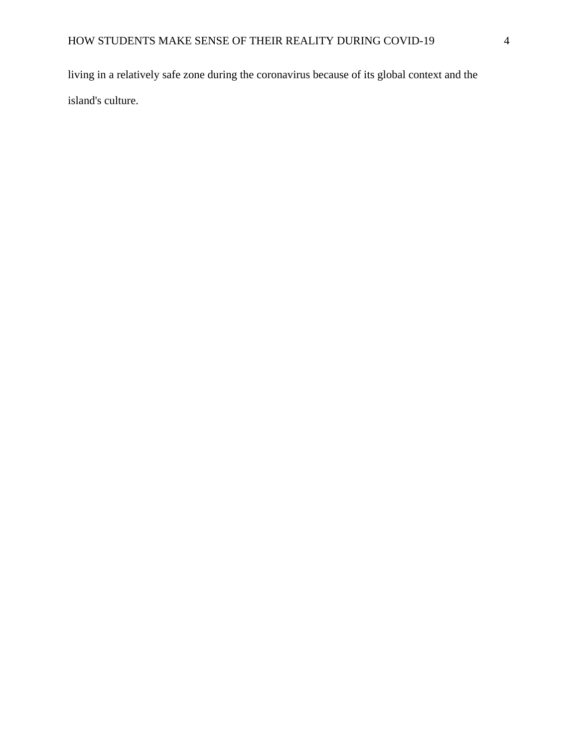living in a relatively safe zone during the coronavirus because of its global context and the island's culture.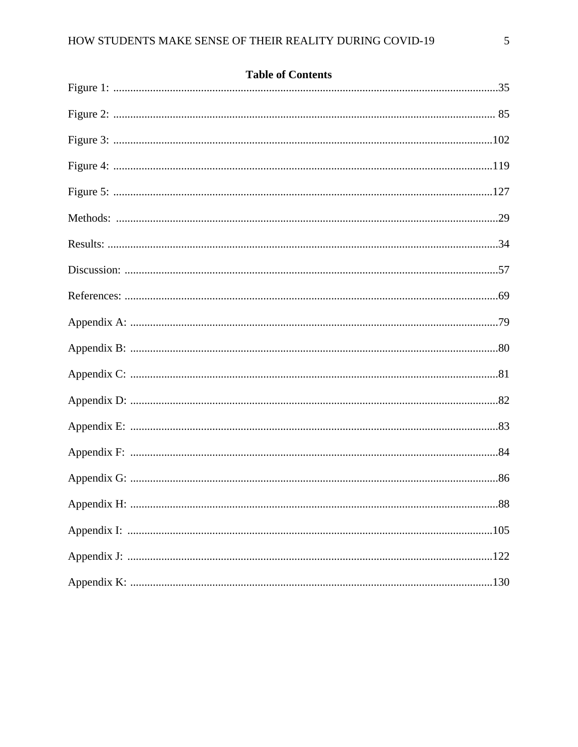| <b>Table of Contents</b> |  |
|--------------------------|--|
|                          |  |
|                          |  |
|                          |  |
|                          |  |
|                          |  |
|                          |  |
|                          |  |
|                          |  |
|                          |  |
|                          |  |
|                          |  |
|                          |  |
|                          |  |
|                          |  |
|                          |  |
|                          |  |
|                          |  |
|                          |  |
|                          |  |
|                          |  |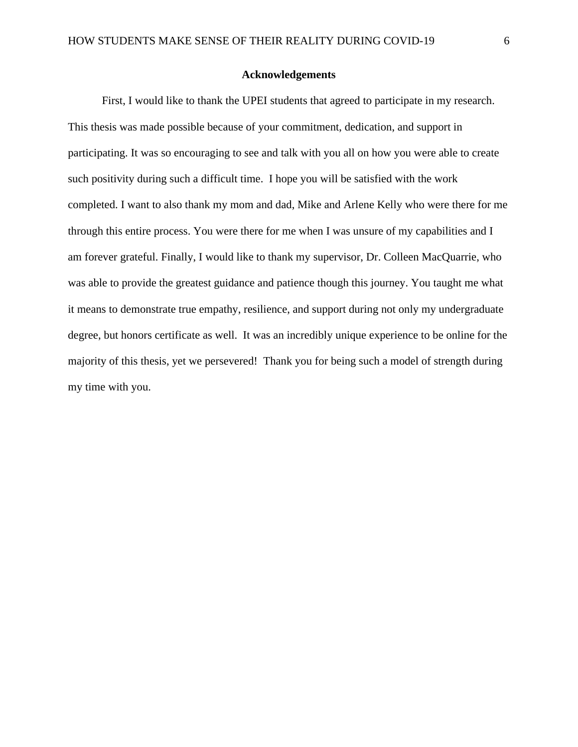#### **Acknowledgements**

First, I would like to thank the UPEI students that agreed to participate in my research. This thesis was made possible because of your commitment, dedication, and support in participating. It was so encouraging to see and talk with you all on how you were able to create such positivity during such a difficult time. I hope you will be satisfied with the work completed. I want to also thank my mom and dad, Mike and Arlene Kelly who were there for me through this entire process. You were there for me when I was unsure of my capabilities and I am forever grateful. Finally, I would like to thank my supervisor, Dr. Colleen MacQuarrie, who was able to provide the greatest guidance and patience though this journey. You taught me what it means to demonstrate true empathy, resilience, and support during not only my undergraduate degree, but honors certificate as well. It was an incredibly unique experience to be online for the majority of this thesis, yet we persevered! Thank you for being such a model of strength during my time with you.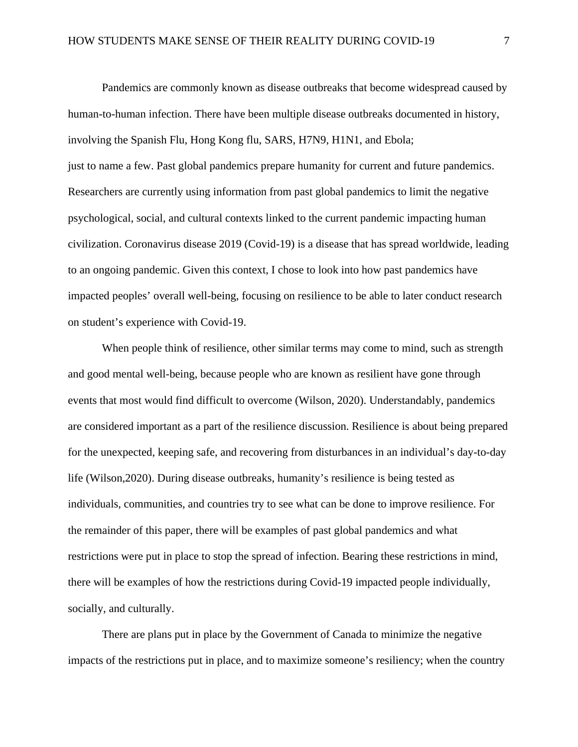Pandemics are commonly known as disease outbreaks that become widespread caused by human-to-human infection. There have been multiple disease outbreaks documented in history, involving the Spanish Flu, Hong Kong flu, SARS, H7N9, H1N1, and Ebola; just to name a few. Past global pandemics prepare humanity for current and future pandemics. Researchers are currently using information from past global pandemics to limit the negative psychological, social, and cultural contexts linked to the current pandemic impacting human civilization. Coronavirus disease 2019 (Covid-19) is a disease that has spread worldwide, leading to an ongoing pandemic. Given this context, I chose to look into how past pandemics have impacted peoples' overall well-being, focusing on resilience to be able to later conduct research on student's experience with Covid-19.

When people think of resilience, other similar terms may come to mind, such as strength and good mental well-being, because people who are known as resilient have gone through events that most would find difficult to overcome (Wilson, 2020). Understandably, pandemics are considered important as a part of the resilience discussion. Resilience is about being prepared for the unexpected, keeping safe, and recovering from disturbances in an individual's day-to-day life (Wilson,2020). During disease outbreaks, humanity's resilience is being tested as individuals, communities, and countries try to see what can be done to improve resilience. For the remainder of this paper, there will be examples of past global pandemics and what restrictions were put in place to stop the spread of infection. Bearing these restrictions in mind, there will be examples of how the restrictions during Covid-19 impacted people individually, socially, and culturally.

There are plans put in place by the Government of Canada to minimize the negative impacts of the restrictions put in place, and to maximize someone's resiliency; when the country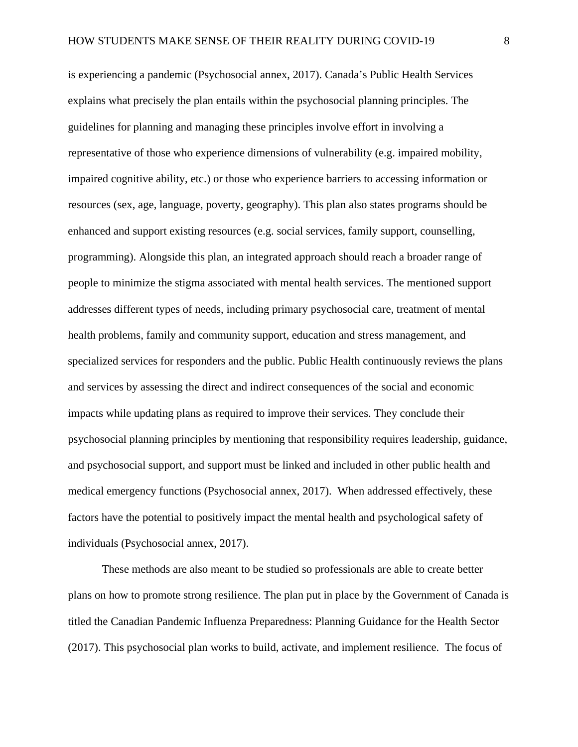is experiencing a pandemic (Psychosocial annex, 2017). Canada's Public Health Services explains what precisely the plan entails within the psychosocial planning principles. The guidelines for planning and managing these principles involve effort in involving a representative of those who experience dimensions of vulnerability (e.g. impaired mobility, impaired cognitive ability, etc.) or those who experience barriers to accessing information or resources (sex, age, language, poverty, geography). This plan also states programs should be enhanced and support existing resources (e.g. social services, family support, counselling, programming). Alongside this plan, an integrated approach should reach a broader range of people to minimize the stigma associated with mental health services. The mentioned support addresses different types of needs, including primary psychosocial care, treatment of mental health problems, family and community support, education and stress management, and specialized services for responders and the public. Public Health continuously reviews the plans and services by assessing the direct and indirect consequences of the social and economic impacts while updating plans as required to improve their services. They conclude their psychosocial planning principles by mentioning that responsibility requires leadership, guidance, and psychosocial support, and support must be linked and included in other public health and medical emergency functions (Psychosocial annex, 2017). When addressed effectively, these factors have the potential to positively impact the mental health and psychological safety of individuals (Psychosocial annex, 2017).

These methods are also meant to be studied so professionals are able to create better plans on how to promote strong resilience. The plan put in place by the Government of Canada is titled the Canadian Pandemic Influenza Preparedness: Planning Guidance for the Health Sector (2017). This psychosocial plan works to build, activate, and implement resilience. The focus of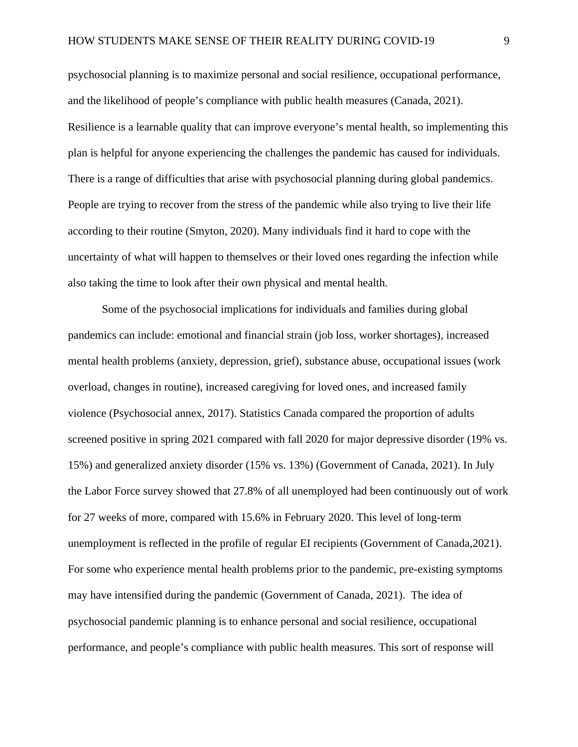psychosocial planning is to maximize personal and social resilience, occupational performance, and the likelihood of people's compliance with public health measures (Canada, 2021). Resilience is a learnable quality that can improve everyone's mental health, so implementing this plan is helpful for anyone experiencing the challenges the pandemic has caused for individuals. There is a range of difficulties that arise with psychosocial planning during global pandemics. People are trying to recover from the stress of the pandemic while also trying to live their life according to their routine (Smyton, 2020). Many individuals find it hard to cope with the uncertainty of what will happen to themselves or their loved ones regarding the infection while also taking the time to look after their own physical and mental health.

Some of the psychosocial implications for individuals and families during global pandemics can include: emotional and financial strain (job loss, worker shortages), increased mental health problems (anxiety, depression, grief), substance abuse, occupational issues (work overload, changes in routine), increased caregiving for loved ones, and increased family violence (Psychosocial annex, 2017). Statistics Canada compared the proportion of adults screened positive in spring 2021 compared with fall 2020 for major depressive disorder (19% vs. 15%) and generalized anxiety disorder (15% vs. 13%) (Government of Canada, 2021). In July the Labor Force survey showed that 27.8% of all unemployed had been continuously out of work for 27 weeks of more, compared with 15.6% in February 2020. This level of long-term unemployment is reflected in the profile of regular EI recipients (Government of Canada,2021). For some who experience mental health problems prior to the pandemic, pre-existing symptoms may have intensified during the pandemic (Government of Canada, 2021). The idea of psychosocial pandemic planning is to enhance personal and social resilience, occupational performance, and people's compliance with public health measures. This sort of response will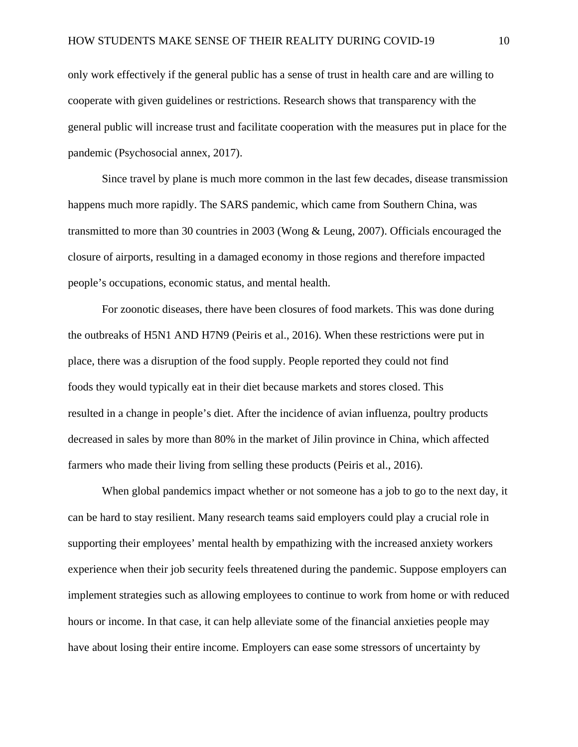only work effectively if the general public has a sense of trust in health care and are willing to cooperate with given guidelines or restrictions. Research shows that transparency with the general public will increase trust and facilitate cooperation with the measures put in place for the pandemic (Psychosocial annex, 2017).

Since travel by plane is much more common in the last few decades, disease transmission happens much more rapidly. The SARS pandemic, which came from Southern China, was transmitted to more than 30 countries in 2003 (Wong & Leung, 2007). Officials encouraged the closure of airports, resulting in a damaged economy in those regions and therefore impacted people's occupations, economic status, and mental health.

For zoonotic diseases, there have been closures of food markets. This was done during the outbreaks of H5N1 AND H7N9 (Peiris et al., 2016). When these restrictions were put in place, there was a disruption of the food supply. People reported they could not find foods they would typically eat in their diet because markets and stores closed. This resulted in a change in people's diet. After the incidence of avian influenza, poultry products decreased in sales by more than 80% in the market of Jilin province in China, which affected farmers who made their living from selling these products (Peiris et al., 2016).

When global pandemics impact whether or not someone has a job to go to the next day, it can be hard to stay resilient. Many research teams said employers could play a crucial role in supporting their employees' mental health by empathizing with the increased anxiety workers experience when their job security feels threatened during the pandemic. Suppose employers can implement strategies such as allowing employees to continue to work from home or with reduced hours or income. In that case, it can help alleviate some of the financial anxieties people may have about losing their entire income. Employers can ease some stressors of uncertainty by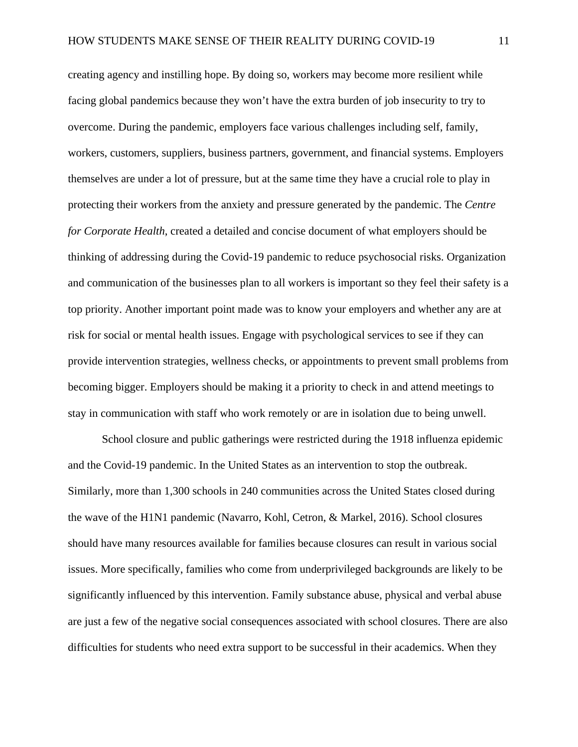creating agency and instilling hope. By doing so, workers may become more resilient while facing global pandemics because they won't have the extra burden of job insecurity to try to overcome. During the pandemic, employers face various challenges including self, family, workers, customers, suppliers, business partners, government, and financial systems. Employers themselves are under a lot of pressure, but at the same time they have a crucial role to play in protecting their workers from the anxiety and pressure generated by the pandemic. The *Centre for Corporate Health*, created a detailed and concise document of what employers should be thinking of addressing during the Covid-19 pandemic to reduce psychosocial risks. Organization and communication of the businesses plan to all workers is important so they feel their safety is a top priority. Another important point made was to know your employers and whether any are at risk for social or mental health issues. Engage with psychological services to see if they can provide intervention strategies, wellness checks, or appointments to prevent small problems from becoming bigger. Employers should be making it a priority to check in and attend meetings to stay in communication with staff who work remotely or are in isolation due to being unwell.

School closure and public gatherings were restricted during the 1918 influenza epidemic and the Covid-19 pandemic. In the United States as an intervention to stop the outbreak. Similarly, more than 1,300 schools in 240 communities across the United States closed during the wave of the H1N1 pandemic (Navarro, Kohl, Cetron, & Markel, 2016). School closures should have many resources available for families because closures can result in various social issues. More specifically, families who come from underprivileged backgrounds are likely to be significantly influenced by this intervention. Family substance abuse, physical and verbal abuse are just a few of the negative social consequences associated with school closures. There are also difficulties for students who need extra support to be successful in their academics. When they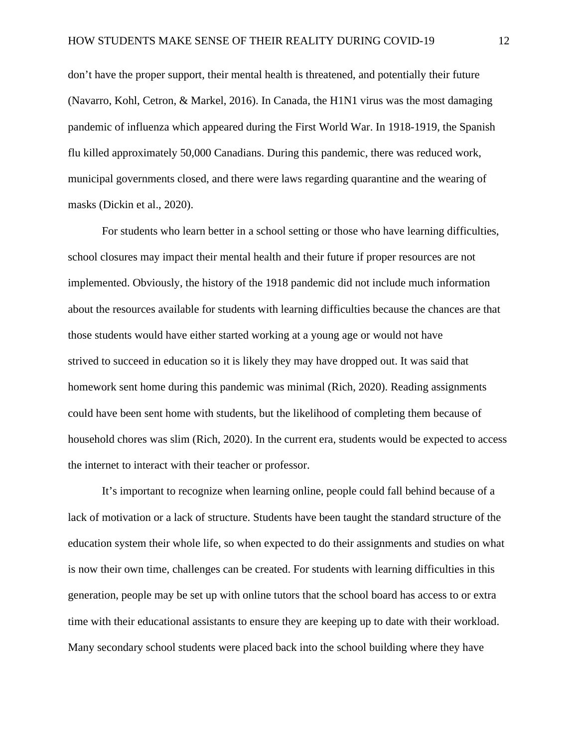don't have the proper support, their mental health is threatened, and potentially their future (Navarro, Kohl, Cetron, & Markel, 2016). In Canada, the H1N1 virus was the most damaging pandemic of influenza which appeared during the First World War. In 1918-1919, the Spanish flu killed approximately 50,000 Canadians. During this pandemic, there was reduced work, municipal governments closed, and there were laws regarding quarantine and the wearing of masks (Dickin et al., 2020).

For students who learn better in a school setting or those who have learning difficulties, school closures may impact their mental health and their future if proper resources are not implemented. Obviously, the history of the 1918 pandemic did not include much information about the resources available for students with learning difficulties because the chances are that those students would have either started working at a young age or would not have strived to succeed in education so it is likely they may have dropped out. It was said that homework sent home during this pandemic was minimal (Rich, 2020). Reading assignments could have been sent home with students, but the likelihood of completing them because of household chores was slim (Rich, 2020). In the current era, students would be expected to access the internet to interact with their teacher or professor.

It's important to recognize when learning online, people could fall behind because of a lack of motivation or a lack of structure. Students have been taught the standard structure of the education system their whole life, so when expected to do their assignments and studies on what is now their own time, challenges can be created. For students with learning difficulties in this generation, people may be set up with online tutors that the school board has access to or extra time with their educational assistants to ensure they are keeping up to date with their workload. Many secondary school students were placed back into the school building where they have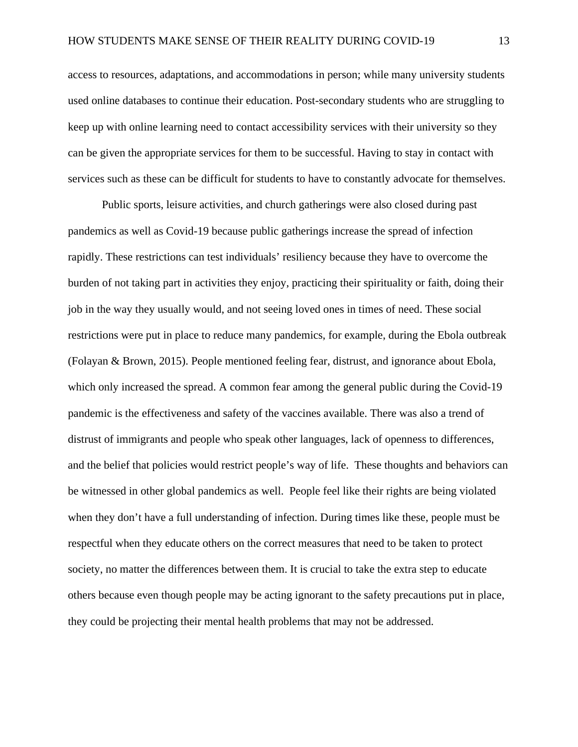access to resources, adaptations, and accommodations in person; while many university students used online databases to continue their education. Post-secondary students who are struggling to keep up with online learning need to contact accessibility services with their university so they can be given the appropriate services for them to be successful. Having to stay in contact with services such as these can be difficult for students to have to constantly advocate for themselves.

Public sports, leisure activities, and church gatherings were also closed during past pandemics as well as Covid-19 because public gatherings increase the spread of infection rapidly. These restrictions can test individuals' resiliency because they have to overcome the burden of not taking part in activities they enjoy, practicing their spirituality or faith, doing their job in the way they usually would, and not seeing loved ones in times of need. These social restrictions were put in place to reduce many pandemics, for example, during the Ebola outbreak (Folayan & Brown, 2015). People mentioned feeling fear, distrust, and ignorance about Ebola, which only increased the spread. A common fear among the general public during the Covid-19 pandemic is the effectiveness and safety of the vaccines available. There was also a trend of distrust of immigrants and people who speak other languages, lack of openness to differences, and the belief that policies would restrict people's way of life. These thoughts and behaviors can be witnessed in other global pandemics as well. People feel like their rights are being violated when they don't have a full understanding of infection. During times like these, people must be respectful when they educate others on the correct measures that need to be taken to protect society, no matter the differences between them. It is crucial to take the extra step to educate others because even though people may be acting ignorant to the safety precautions put in place, they could be projecting their mental health problems that may not be addressed.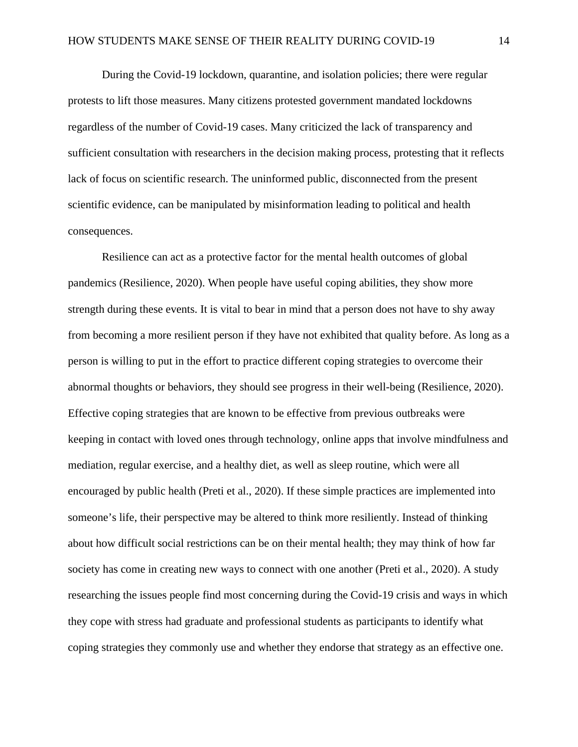During the Covid-19 lockdown, quarantine, and isolation policies; there were regular protests to lift those measures. Many citizens protested government mandated lockdowns regardless of the number of Covid-19 cases. Many criticized the lack of transparency and sufficient consultation with researchers in the decision making process, protesting that it reflects lack of focus on scientific research. The uninformed public, disconnected from the present scientific evidence, can be manipulated by misinformation leading to political and health consequences.

Resilience can act as a protective factor for the mental health outcomes of global pandemics (Resilience, 2020). When people have useful coping abilities, they show more strength during these events. It is vital to bear in mind that a person does not have to shy away from becoming a more resilient person if they have not exhibited that quality before. As long as a person is willing to put in the effort to practice different coping strategies to overcome their abnormal thoughts or behaviors, they should see progress in their well-being (Resilience, 2020). Effective coping strategies that are known to be effective from previous outbreaks were keeping in contact with loved ones through technology, online apps that involve mindfulness and mediation, regular exercise, and a healthy diet, as well as sleep routine, which were all encouraged by public health (Preti et al., 2020). If these simple practices are implemented into someone's life, their perspective may be altered to think more resiliently. Instead of thinking about how difficult social restrictions can be on their mental health; they may think of how far society has come in creating new ways to connect with one another (Preti et al., 2020). A study researching the issues people find most concerning during the Covid-19 crisis and ways in which they cope with stress had graduate and professional students as participants to identify what coping strategies they commonly use and whether they endorse that strategy as an effective one.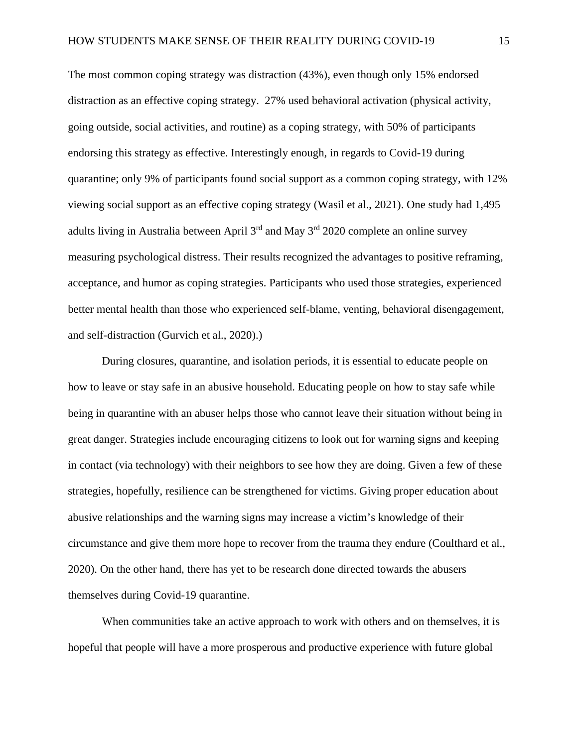The most common coping strategy was distraction (43%), even though only 15% endorsed distraction as an effective coping strategy. 27% used behavioral activation (physical activity, going outside, social activities, and routine) as a coping strategy, with 50% of participants endorsing this strategy as effective. Interestingly enough, in regards to Covid-19 during quarantine; only 9% of participants found social support as a common coping strategy, with 12% viewing social support as an effective coping strategy (Wasil et al., 2021). One study had 1,495 adults living in Australia between April  $3<sup>rd</sup>$  and May  $3<sup>rd</sup>$  2020 complete an online survey measuring psychological distress. Their results recognized the advantages to positive reframing, acceptance, and humor as coping strategies. Participants who used those strategies, experienced better mental health than those who experienced self-blame, venting, behavioral disengagement, and self-distraction (Gurvich et al., 2020).)

During closures, quarantine, and isolation periods, it is essential to educate people on how to leave or stay safe in an abusive household. Educating people on how to stay safe while being in quarantine with an abuser helps those who cannot leave their situation without being in great danger. Strategies include encouraging citizens to look out for warning signs and keeping in contact (via technology) with their neighbors to see how they are doing. Given a few of these strategies, hopefully, resilience can be strengthened for victims. Giving proper education about abusive relationships and the warning signs may increase a victim's knowledge of their circumstance and give them more hope to recover from the trauma they endure (Coulthard et al., 2020). On the other hand, there has yet to be research done directed towards the abusers themselves during Covid-19 quarantine.

When communities take an active approach to work with others and on themselves, it is hopeful that people will have a more prosperous and productive experience with future global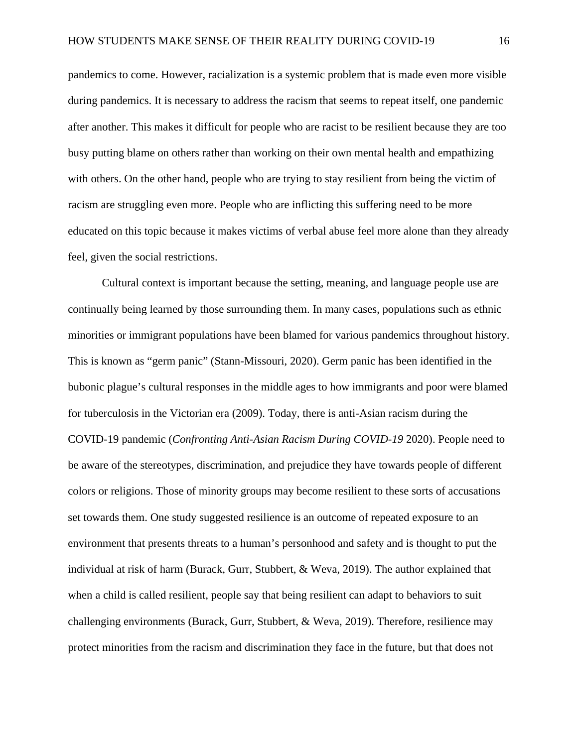pandemics to come. However, racialization is a systemic problem that is made even more visible during pandemics. It is necessary to address the racism that seems to repeat itself, one pandemic after another. This makes it difficult for people who are racist to be resilient because they are too busy putting blame on others rather than working on their own mental health and empathizing with others. On the other hand, people who are trying to stay resilient from being the victim of racism are struggling even more. People who are inflicting this suffering need to be more educated on this topic because it makes victims of verbal abuse feel more alone than they already feel, given the social restrictions.

Cultural context is important because the setting, meaning, and language people use are continually being learned by those surrounding them. In many cases, populations such as ethnic minorities or immigrant populations have been blamed for various pandemics throughout history. This is known as "germ panic" (Stann-Missouri, 2020). Germ panic has been identified in the bubonic plague's cultural responses in the middle ages to how immigrants and poor were blamed for tuberculosis in the Victorian era (2009). Today, there is anti-Asian racism during the COVID-19 pandemic (*Confronting Anti-Asian Racism During COVID-19* 2020). People need to be aware of the stereotypes, discrimination, and prejudice they have towards people of different colors or religions. Those of minority groups may become resilient to these sorts of accusations set towards them. One study suggested resilience is an outcome of repeated exposure to an environment that presents threats to a human's personhood and safety and is thought to put the individual at risk of harm (Burack, Gurr, Stubbert, & Weva, 2019). The author explained that when a child is called resilient, people say that being resilient can adapt to behaviors to suit challenging environments (Burack, Gurr, Stubbert, & Weva, 2019). Therefore, resilience may protect minorities from the racism and discrimination they face in the future, but that does not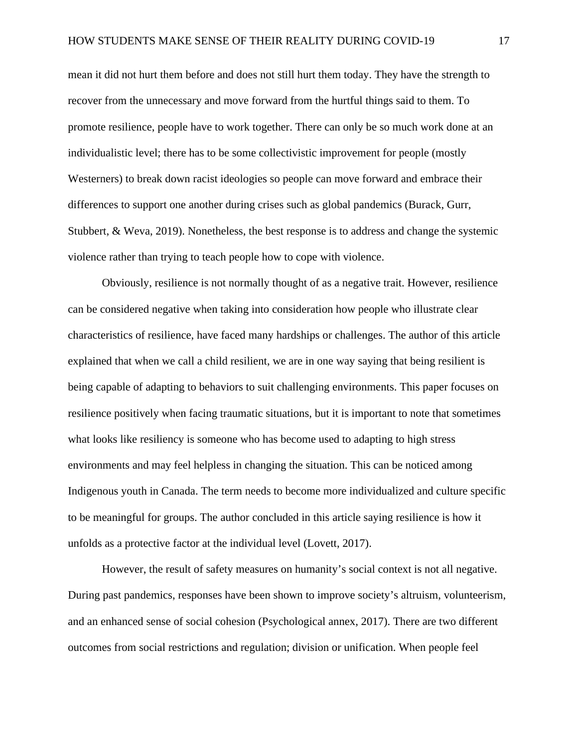mean it did not hurt them before and does not still hurt them today. They have the strength to recover from the unnecessary and move forward from the hurtful things said to them. To promote resilience, people have to work together. There can only be so much work done at an individualistic level; there has to be some collectivistic improvement for people (mostly Westerners) to break down racist ideologies so people can move forward and embrace their differences to support one another during crises such as global pandemics (Burack, Gurr, Stubbert, & Weva, 2019). Nonetheless, the best response is to address and change the systemic violence rather than trying to teach people how to cope with violence.

Obviously, resilience is not normally thought of as a negative trait. However, resilience can be considered negative when taking into consideration how people who illustrate clear characteristics of resilience, have faced many hardships or challenges. The author of this article explained that when we call a child resilient, we are in one way saying that being resilient is being capable of adapting to behaviors to suit challenging environments. This paper focuses on resilience positively when facing traumatic situations, but it is important to note that sometimes what looks like resiliency is someone who has become used to adapting to high stress environments and may feel helpless in changing the situation. This can be noticed among Indigenous youth in Canada. The term needs to become more individualized and culture specific to be meaningful for groups. The author concluded in this article saying resilience is how it unfolds as a protective factor at the individual level (Lovett, 2017).

However, the result of safety measures on humanity's social context is not all negative. During past pandemics, responses have been shown to improve society's altruism, volunteerism, and an enhanced sense of social cohesion (Psychological annex, 2017). There are two different outcomes from social restrictions and regulation; division or unification. When people feel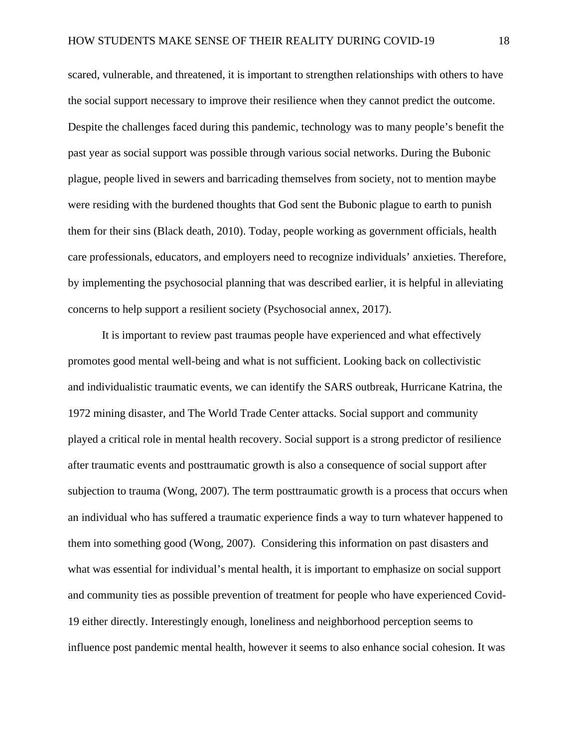scared, vulnerable, and threatened, it is important to strengthen relationships with others to have the social support necessary to improve their resilience when they cannot predict the outcome. Despite the challenges faced during this pandemic, technology was to many people's benefit the past year as social support was possible through various social networks. During the Bubonic plague, people lived in sewers and barricading themselves from society, not to mention maybe were residing with the burdened thoughts that God sent the Bubonic plague to earth to punish them for their sins (Black death, 2010). Today, people working as government officials, health care professionals, educators, and employers need to recognize individuals' anxieties. Therefore, by implementing the psychosocial planning that was described earlier, it is helpful in alleviating concerns to help support a resilient society (Psychosocial annex, 2017).

It is important to review past traumas people have experienced and what effectively promotes good mental well-being and what is not sufficient. Looking back on collectivistic and individualistic traumatic events, we can identify the SARS outbreak, Hurricane Katrina, the 1972 mining disaster, and The World Trade Center attacks. Social support and community played a critical role in mental health recovery. Social support is a strong predictor of resilience after traumatic events and posttraumatic growth is also a consequence of social support after subjection to trauma (Wong, 2007). The term posttraumatic growth is a process that occurs when an individual who has suffered a traumatic experience finds a way to turn whatever happened to them into something good (Wong, 2007). Considering this information on past disasters and what was essential for individual's mental health, it is important to emphasize on social support and community ties as possible prevention of treatment for people who have experienced Covid-19 either directly. Interestingly enough, loneliness and neighborhood perception seems to influence post pandemic mental health, however it seems to also enhance social cohesion. It was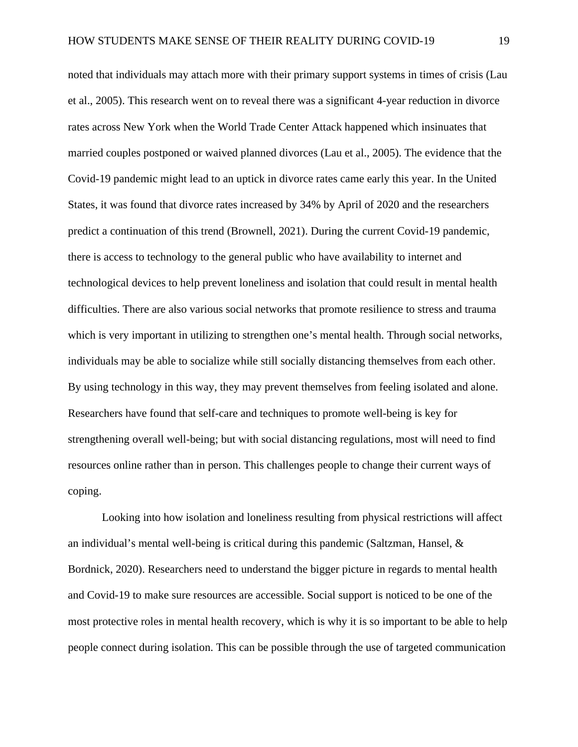noted that individuals may attach more with their primary support systems in times of crisis (Lau et al., 2005). This research went on to reveal there was a significant 4-year reduction in divorce rates across New York when the World Trade Center Attack happened which insinuates that married couples postponed or waived planned divorces (Lau et al., 2005). The evidence that the Covid-19 pandemic might lead to an uptick in divorce rates came early this year. In the United States, it was found that divorce rates increased by 34% by April of 2020 and the researchers predict a continuation of this trend (Brownell, 2021). During the current Covid-19 pandemic, there is access to technology to the general public who have availability to internet and technological devices to help prevent loneliness and isolation that could result in mental health difficulties. There are also various social networks that promote resilience to stress and trauma which is very important in utilizing to strengthen one's mental health. Through social networks, individuals may be able to socialize while still socially distancing themselves from each other. By using technology in this way, they may prevent themselves from feeling isolated and alone. Researchers have found that self-care and techniques to promote well-being is key for strengthening overall well-being; but with social distancing regulations, most will need to find resources online rather than in person. This challenges people to change their current ways of coping.

Looking into how isolation and loneliness resulting from physical restrictions will affect an individual's mental well-being is critical during this pandemic (Saltzman, Hansel, & Bordnick, 2020). Researchers need to understand the bigger picture in regards to mental health and Covid-19 to make sure resources are accessible. Social support is noticed to be one of the most protective roles in mental health recovery, which is why it is so important to be able to help people connect during isolation. This can be possible through the use of targeted communication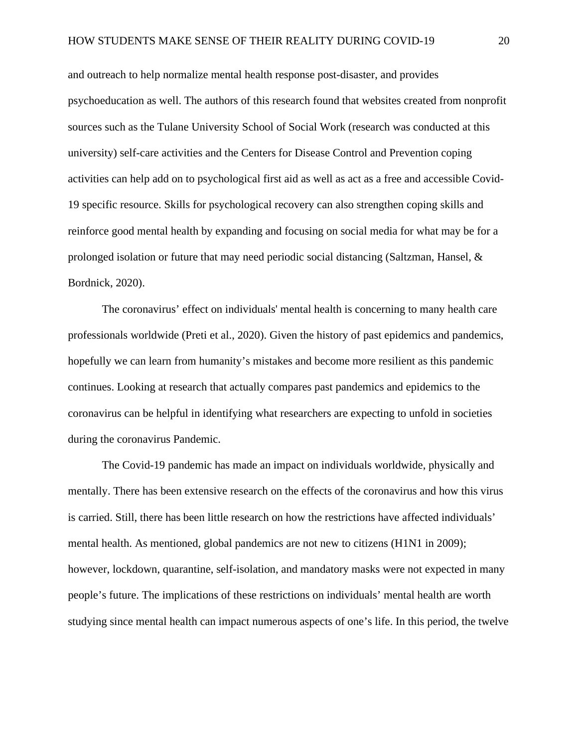and outreach to help normalize mental health response post-disaster, and provides psychoeducation as well. The authors of this research found that websites created from nonprofit sources such as the Tulane University School of Social Work (research was conducted at this university) self-care activities and the Centers for Disease Control and Prevention coping activities can help add on to psychological first aid as well as act as a free and accessible Covid-19 specific resource. Skills for psychological recovery can also strengthen coping skills and reinforce good mental health by expanding and focusing on social media for what may be for a prolonged isolation or future that may need periodic social distancing (Saltzman, Hansel, & Bordnick, 2020).

The coronavirus' effect on individuals' mental health is concerning to many health care professionals worldwide (Preti et al., 2020). Given the history of past epidemics and pandemics, hopefully we can learn from humanity's mistakes and become more resilient as this pandemic continues. Looking at research that actually compares past pandemics and epidemics to the coronavirus can be helpful in identifying what researchers are expecting to unfold in societies during the coronavirus Pandemic.

The Covid-19 pandemic has made an impact on individuals worldwide, physically and mentally. There has been extensive research on the effects of the coronavirus and how this virus is carried. Still, there has been little research on how the restrictions have affected individuals' mental health. As mentioned, global pandemics are not new to citizens (H1N1 in 2009); however, lockdown, quarantine, self-isolation, and mandatory masks were not expected in many people's future. The implications of these restrictions on individuals' mental health are worth studying since mental health can impact numerous aspects of one's life. In this period, the twelve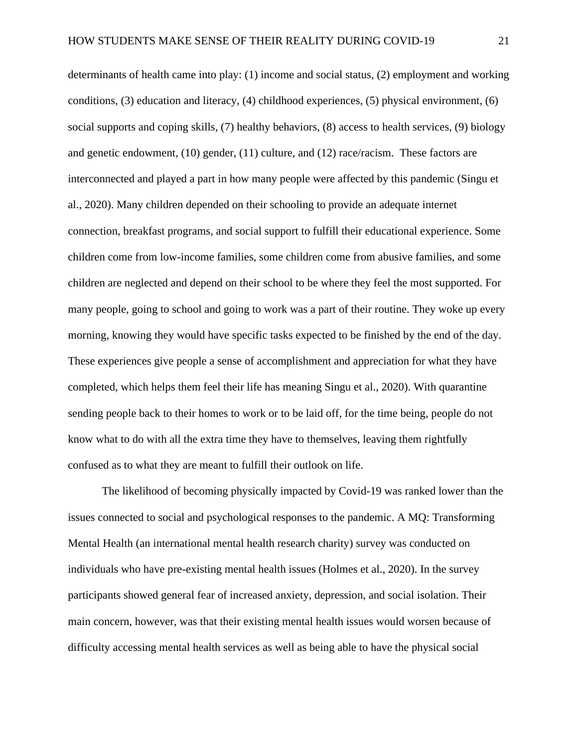determinants of health came into play: (1) income and social status, (2) employment and working conditions, (3) education and literacy, (4) childhood experiences, (5) physical environment, (6) social supports and coping skills, (7) healthy behaviors, (8) access to health services, (9) biology and genetic endowment, (10) gender, (11) culture, and (12) race/racism. These factors are interconnected and played a part in how many people were affected by this pandemic (Singu et al., 2020). Many children depended on their schooling to provide an adequate internet connection, breakfast programs, and social support to fulfill their educational experience. Some children come from low-income families, some children come from abusive families, and some children are neglected and depend on their school to be where they feel the most supported. For many people, going to school and going to work was a part of their routine. They woke up every morning, knowing they would have specific tasks expected to be finished by the end of the day. These experiences give people a sense of accomplishment and appreciation for what they have completed, which helps them feel their life has meaning Singu et al., 2020). With quarantine sending people back to their homes to work or to be laid off, for the time being, people do not know what to do with all the extra time they have to themselves, leaving them rightfully confused as to what they are meant to fulfill their outlook on life.

The likelihood of becoming physically impacted by Covid-19 was ranked lower than the issues connected to social and psychological responses to the pandemic. A MQ: Transforming Mental Health (an international mental health research charity) survey was conducted on individuals who have pre-existing mental health issues (Holmes et al., 2020). In the survey participants showed general fear of increased anxiety, depression, and social isolation. Their main concern, however, was that their existing mental health issues would worsen because of difficulty accessing mental health services as well as being able to have the physical social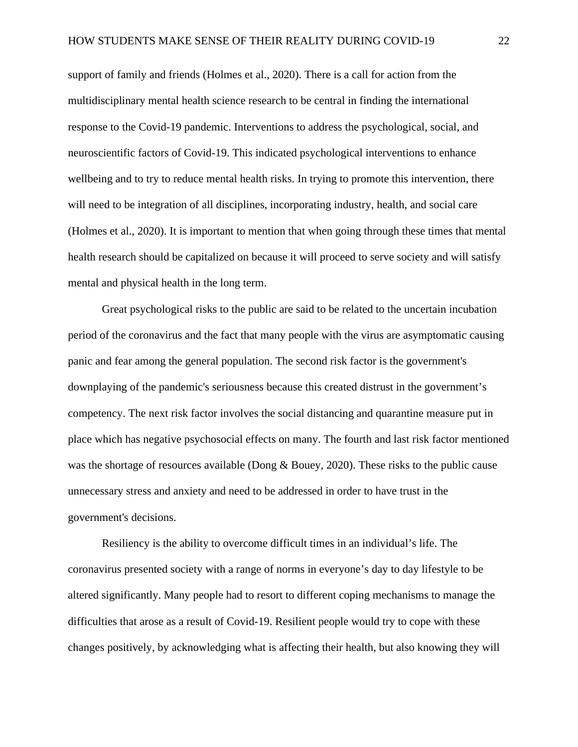support of family and friends (Holmes et al., 2020). There is a call for action from the multidisciplinary mental health science research to be central in finding the international response to the Covid-19 pandemic. Interventions to address the psychological, social, and neuroscientific factors of Covid-19. This indicated psychological interventions to enhance wellbeing and to try to reduce mental health risks. In trying to promote this intervention, there will need to be integration of all disciplines, incorporating industry, health, and social care (Holmes et al., 2020). It is important to mention that when going through these times that mental health research should be capitalized on because it will proceed to serve society and will satisfy mental and physical health in the long term.

Great psychological risks to the public are said to be related to the uncertain incubation period of the coronavirus and the fact that many people with the virus are asymptomatic causing panic and fear among the general population. The second risk factor is the government's downplaying of the pandemic's seriousness because this created distrust in the government's competency. The next risk factor involves the social distancing and quarantine measure put in place which has negative psychosocial effects on many. The fourth and last risk factor mentioned was the shortage of resources available (Dong & Bouey, 2020). These risks to the public cause unnecessary stress and anxiety and need to be addressed in order to have trust in the government's decisions.

Resiliency is the ability to overcome difficult times in an individual's life. The coronavirus presented society with a range of norms in everyone's day to day lifestyle to be altered significantly. Many people had to resort to different coping mechanisms to manage the difficulties that arose as a result of Covid-19. Resilient people would try to cope with these changes positively, by acknowledging what is affecting their health, but also knowing they will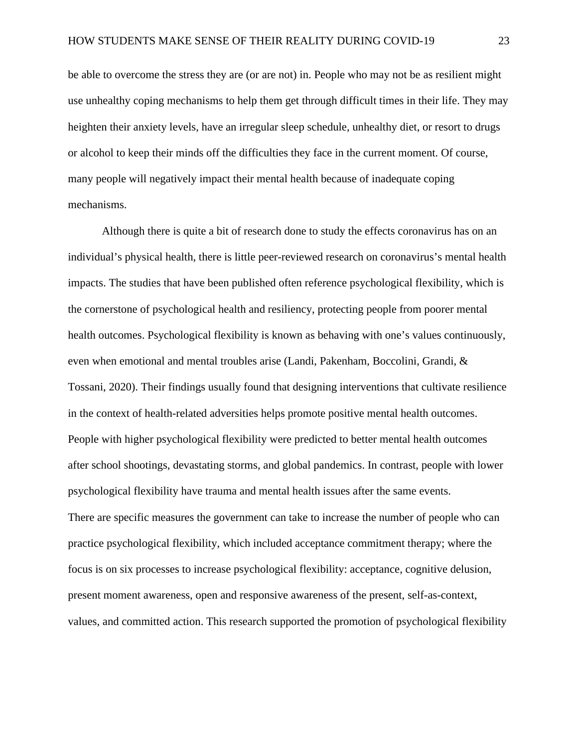be able to overcome the stress they are (or are not) in. People who may not be as resilient might use unhealthy coping mechanisms to help them get through difficult times in their life. They may heighten their anxiety levels, have an irregular sleep schedule, unhealthy diet, or resort to drugs or alcohol to keep their minds off the difficulties they face in the current moment. Of course, many people will negatively impact their mental health because of inadequate coping mechanisms.

Although there is quite a bit of research done to study the effects coronavirus has on an individual's physical health, there is little peer-reviewed research on coronavirus's mental health impacts. The studies that have been published often reference psychological flexibility, which is the cornerstone of psychological health and resiliency, protecting people from poorer mental health outcomes. Psychological flexibility is known as behaving with one's values continuously, even when emotional and mental troubles arise (Landi, Pakenham, Boccolini, Grandi, & Tossani, 2020). Their findings usually found that designing interventions that cultivate resilience in the context of health-related adversities helps promote positive mental health outcomes. People with higher psychological flexibility were predicted to better mental health outcomes after school shootings, devastating storms, and global pandemics. In contrast, people with lower psychological flexibility have trauma and mental health issues after the same events. There are specific measures the government can take to increase the number of people who can practice psychological flexibility, which included acceptance commitment therapy; where the focus is on six processes to increase psychological flexibility: acceptance, cognitive delusion, present moment awareness, open and responsive awareness of the present, self-as-context, values, and committed action. This research supported the promotion of psychological flexibility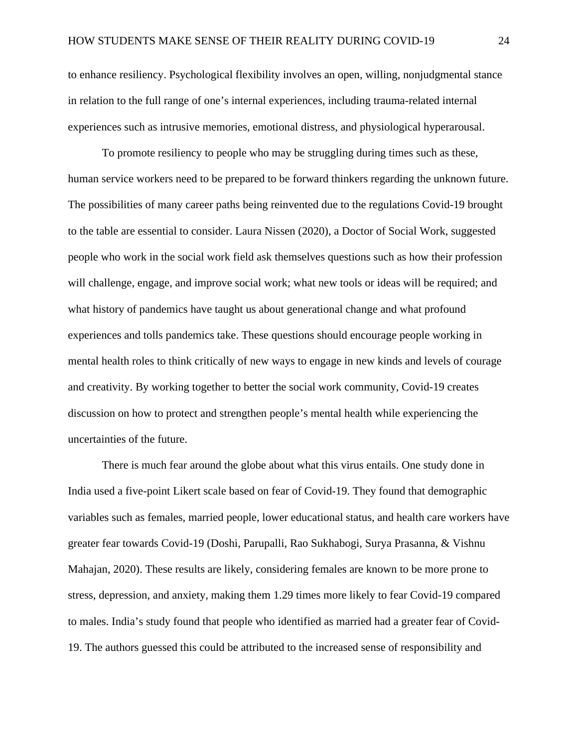to enhance resiliency. Psychological flexibility involves an open, willing, nonjudgmental stance in relation to the full range of one's internal experiences, including trauma-related internal experiences such as intrusive memories, emotional distress, and physiological hyperarousal.

To promote resiliency to people who may be struggling during times such as these, human service workers need to be prepared to be forward thinkers regarding the unknown future. The possibilities of many career paths being reinvented due to the regulations Covid-19 brought to the table are essential to consider. Laura Nissen (2020), a Doctor of Social Work, suggested people who work in the social work field ask themselves questions such as how their profession will challenge, engage, and improve social work; what new tools or ideas will be required; and what history of pandemics have taught us about generational change and what profound experiences and tolls pandemics take. These questions should encourage people working in mental health roles to think critically of new ways to engage in new kinds and levels of courage and creativity. By working together to better the social work community, Covid-19 creates discussion on how to protect and strengthen people's mental health while experiencing the uncertainties of the future.

There is much fear around the globe about what this virus entails. One study done in India used a five-point Likert scale based on fear of Covid-19. They found that demographic variables such as females, married people, lower educational status, and health care workers have greater fear towards Covid-19 (Doshi, Parupalli, Rao Sukhabogi, Surya Prasanna, & Vishnu Mahajan, 2020). These results are likely, considering females are known to be more prone to stress, depression, and anxiety, making them 1.29 times more likely to fear Covid-19 compared to males. India's study found that people who identified as married had a greater fear of Covid-19. The authors guessed this could be attributed to the increased sense of responsibility and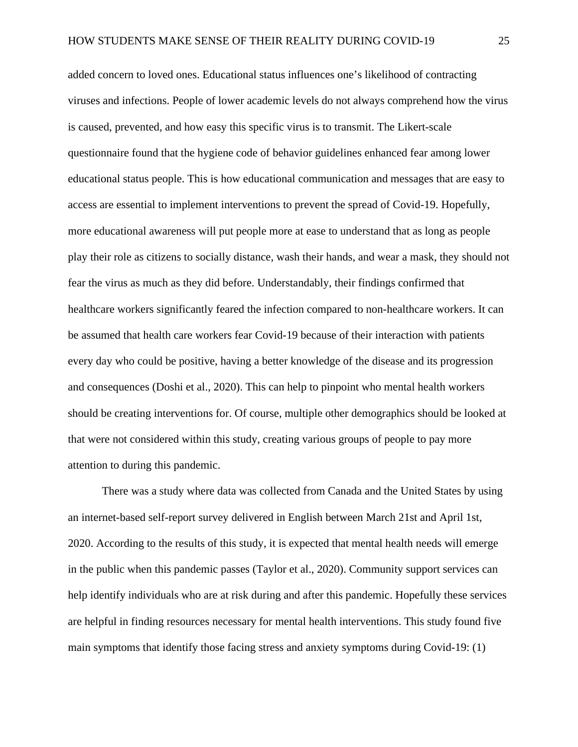added concern to loved ones. Educational status influences one's likelihood of contracting viruses and infections. People of lower academic levels do not always comprehend how the virus is caused, prevented, and how easy this specific virus is to transmit. The Likert-scale questionnaire found that the hygiene code of behavior guidelines enhanced fear among lower educational status people. This is how educational communication and messages that are easy to access are essential to implement interventions to prevent the spread of Covid-19. Hopefully, more educational awareness will put people more at ease to understand that as long as people play their role as citizens to socially distance, wash their hands, and wear a mask, they should not fear the virus as much as they did before. Understandably, their findings confirmed that healthcare workers significantly feared the infection compared to non-healthcare workers. It can be assumed that health care workers fear Covid-19 because of their interaction with patients every day who could be positive, having a better knowledge of the disease and its progression and consequences (Doshi et al., 2020). This can help to pinpoint who mental health workers should be creating interventions for. Of course, multiple other demographics should be looked at that were not considered within this study, creating various groups of people to pay more attention to during this pandemic.

There was a study where data was collected from Canada and the United States by using an internet-based self-report survey delivered in English between March 21st and April 1st, 2020. According to the results of this study, it is expected that mental health needs will emerge in the public when this pandemic passes (Taylor et al., 2020). Community support services can help identify individuals who are at risk during and after this pandemic. Hopefully these services are helpful in finding resources necessary for mental health interventions. This study found five main symptoms that identify those facing stress and anxiety symptoms during Covid-19: (1)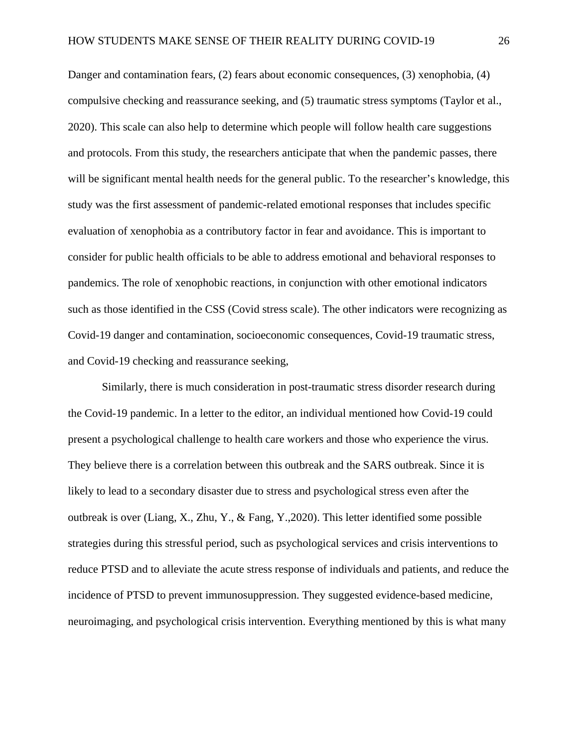Danger and contamination fears, (2) fears about economic consequences, (3) xenophobia, (4) compulsive checking and reassurance seeking, and (5) traumatic stress symptoms (Taylor et al., 2020). This scale can also help to determine which people will follow health care suggestions and protocols. From this study, the researchers anticipate that when the pandemic passes, there will be significant mental health needs for the general public. To the researcher's knowledge, this study was the first assessment of pandemic-related emotional responses that includes specific evaluation of xenophobia as a contributory factor in fear and avoidance. This is important to consider for public health officials to be able to address emotional and behavioral responses to pandemics. The role of xenophobic reactions, in conjunction with other emotional indicators such as those identified in the CSS (Covid stress scale). The other indicators were recognizing as Covid-19 danger and contamination, socioeconomic consequences, Covid-19 traumatic stress, and Covid-19 checking and reassurance seeking,

Similarly, there is much consideration in post-traumatic stress disorder research during the Covid-19 pandemic. In a letter to the editor, an individual mentioned how Covid-19 could present a psychological challenge to health care workers and those who experience the virus. They believe there is a correlation between this outbreak and the SARS outbreak. Since it is likely to lead to a secondary disaster due to stress and psychological stress even after the outbreak is over (Liang, X., Zhu, Y., & Fang, Y.,2020). This letter identified some possible strategies during this stressful period, such as psychological services and crisis interventions to reduce PTSD and to alleviate the acute stress response of individuals and patients, and reduce the incidence of PTSD to prevent immunosuppression. They suggested evidence-based medicine, neuroimaging, and psychological crisis intervention. Everything mentioned by this is what many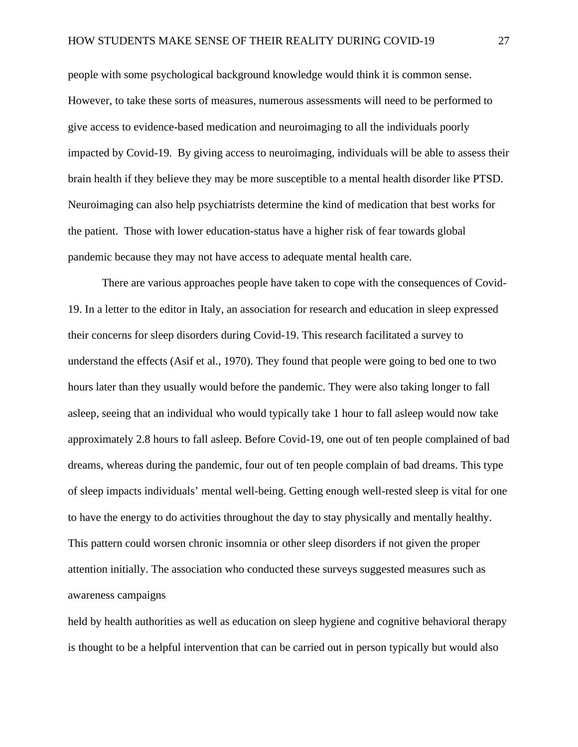people with some psychological background knowledge would think it is common sense. However, to take these sorts of measures, numerous assessments will need to be performed to give access to evidence-based medication and neuroimaging to all the individuals poorly impacted by Covid-19. By giving access to neuroimaging, individuals will be able to assess their brain health if they believe they may be more susceptible to a mental health disorder like PTSD. Neuroimaging can also help psychiatrists determine the kind of medication that best works for the patient. Those with lower education-status have a higher risk of fear towards global pandemic because they may not have access to adequate mental health care.

There are various approaches people have taken to cope with the consequences of Covid-19. In a letter to the editor in Italy, an association for research and education in sleep expressed their concerns for sleep disorders during Covid-19. This research facilitated a survey to understand the effects (Asif et al., 1970). They found that people were going to bed one to two hours later than they usually would before the pandemic. They were also taking longer to fall asleep, seeing that an individual who would typically take 1 hour to fall asleep would now take approximately 2.8 hours to fall asleep. Before Covid-19, one out of ten people complained of bad dreams, whereas during the pandemic, four out of ten people complain of bad dreams. This type of sleep impacts individuals' mental well-being. Getting enough well-rested sleep is vital for one to have the energy to do activities throughout the day to stay physically and mentally healthy. This pattern could worsen chronic insomnia or other sleep disorders if not given the proper attention initially. The association who conducted these surveys suggested measures such as awareness campaigns

held by health authorities as well as education on sleep hygiene and cognitive behavioral therapy is thought to be a helpful intervention that can be carried out in person typically but would also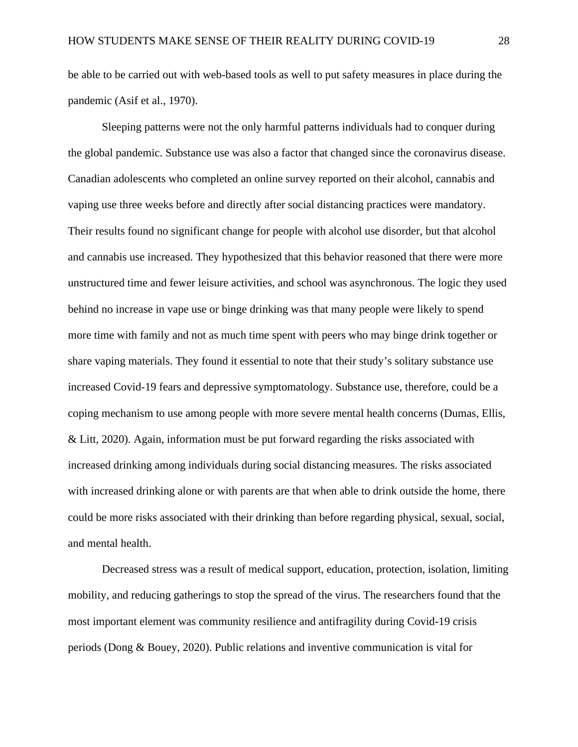be able to be carried out with web-based tools as well to put safety measures in place during the pandemic (Asif et al., 1970).

Sleeping patterns were not the only harmful patterns individuals had to conquer during the global pandemic. Substance use was also a factor that changed since the coronavirus disease. Canadian adolescents who completed an online survey reported on their alcohol, cannabis and vaping use three weeks before and directly after social distancing practices were mandatory. Their results found no significant change for people with alcohol use disorder, but that alcohol and cannabis use increased. They hypothesized that this behavior reasoned that there were more unstructured time and fewer leisure activities, and school was asynchronous. The logic they used behind no increase in vape use or binge drinking was that many people were likely to spend more time with family and not as much time spent with peers who may binge drink together or share vaping materials. They found it essential to note that their study's solitary substance use increased Covid-19 fears and depressive symptomatology. Substance use, therefore, could be a coping mechanism to use among people with more severe mental health concerns (Dumas, Ellis, & Litt, 2020). Again, information must be put forward regarding the risks associated with increased drinking among individuals during social distancing measures. The risks associated with increased drinking alone or with parents are that when able to drink outside the home, there could be more risks associated with their drinking than before regarding physical, sexual, social, and mental health.

Decreased stress was a result of medical support, education, protection, isolation, limiting mobility, and reducing gatherings to stop the spread of the virus. The researchers found that the most important element was community resilience and antifragility during Covid-19 crisis periods (Dong & Bouey, 2020). Public relations and inventive communication is vital for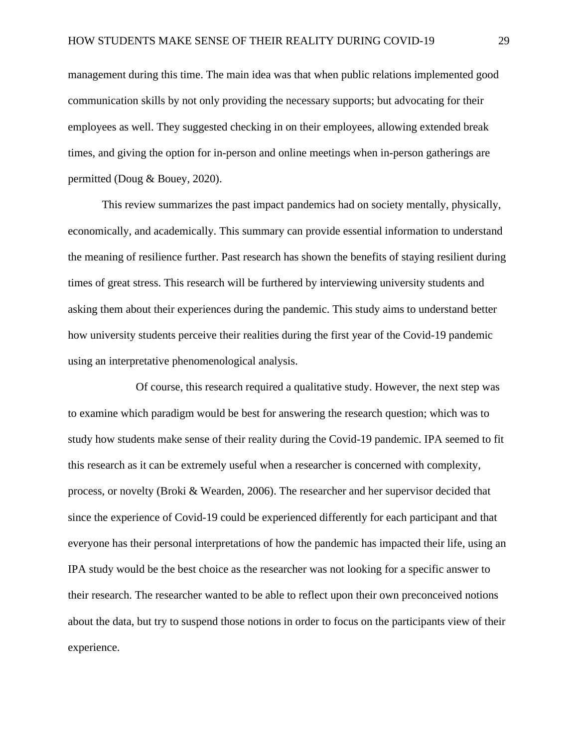management during this time. The main idea was that when public relations implemented good communication skills by not only providing the necessary supports; but advocating for their employees as well. They suggested checking in on their employees, allowing extended break times, and giving the option for in-person and online meetings when in-person gatherings are permitted (Doug & Bouey, 2020).

This review summarizes the past impact pandemics had on society mentally, physically, economically, and academically. This summary can provide essential information to understand the meaning of resilience further. Past research has shown the benefits of staying resilient during times of great stress. This research will be furthered by interviewing university students and asking them about their experiences during the pandemic. This study aims to understand better how university students perceive their realities during the first year of the Covid-19 pandemic using an interpretative phenomenological analysis.

Of course, this research required a qualitative study. However, the next step was to examine which paradigm would be best for answering the research question; which was to study how students make sense of their reality during the Covid-19 pandemic. IPA seemed to fit this research as it can be extremely useful when a researcher is concerned with complexity, process, or novelty (Broki & Wearden, 2006). The researcher and her supervisor decided that since the experience of Covid-19 could be experienced differently for each participant and that everyone has their personal interpretations of how the pandemic has impacted their life, using an IPA study would be the best choice as the researcher was not looking for a specific answer to their research. The researcher wanted to be able to reflect upon their own preconceived notions about the data, but try to suspend those notions in order to focus on the participants view of their experience.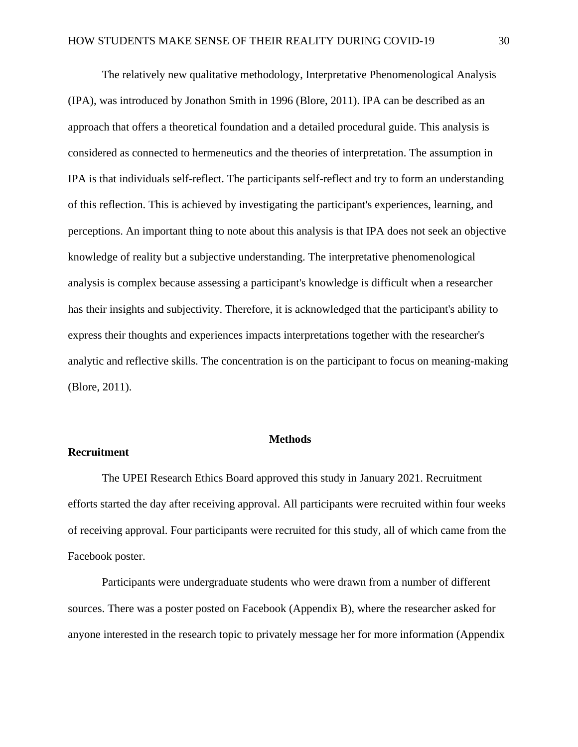The relatively new qualitative methodology, Interpretative Phenomenological Analysis (IPA), was introduced by Jonathon Smith in 1996 (Blore, 2011). IPA can be described as an approach that offers a theoretical foundation and a detailed procedural guide. This analysis is considered as connected to hermeneutics and the theories of interpretation. The assumption in IPA is that individuals self-reflect. The participants self-reflect and try to form an understanding of this reflection. This is achieved by investigating the participant's experiences, learning, and perceptions. An important thing to note about this analysis is that IPA does not seek an objective knowledge of reality but a subjective understanding. The interpretative phenomenological analysis is complex because assessing a participant's knowledge is difficult when a researcher has their insights and subjectivity. Therefore, it is acknowledged that the participant's ability to express their thoughts and experiences impacts interpretations together with the researcher's analytic and reflective skills. The concentration is on the participant to focus on meaning-making (Blore, 2011).

#### **Methods**

# **Recruitment**

The UPEI Research Ethics Board approved this study in January 2021. Recruitment efforts started the day after receiving approval. All participants were recruited within four weeks of receiving approval. Four participants were recruited for this study, all of which came from the Facebook poster.

 Participants were undergraduate students who were drawn from a number of different sources. There was a poster posted on Facebook (Appendix B), where the researcher asked for anyone interested in the research topic to privately message her for more information (Appendix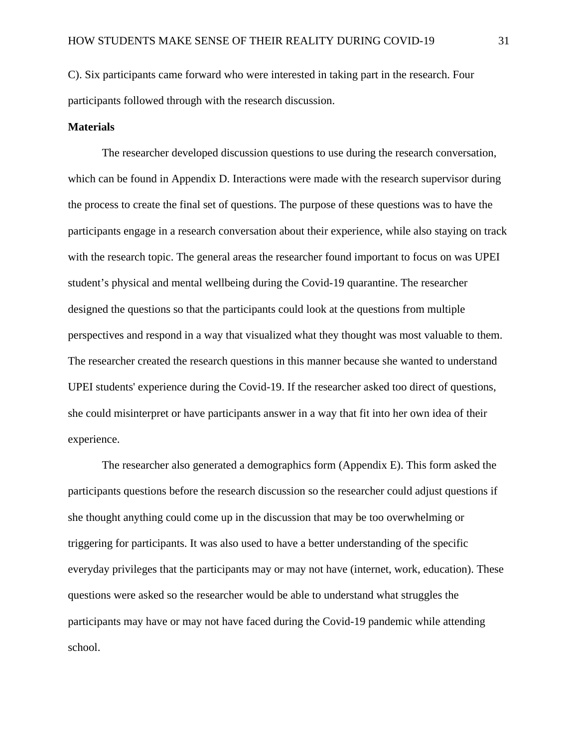C). Six participants came forward who were interested in taking part in the research. Four participants followed through with the research discussion.

#### **Materials**

 The researcher developed discussion questions to use during the research conversation, which can be found in Appendix D. Interactions were made with the research supervisor during the process to create the final set of questions. The purpose of these questions was to have the participants engage in a research conversation about their experience, while also staying on track with the research topic. The general areas the researcher found important to focus on was UPEI student's physical and mental wellbeing during the Covid-19 quarantine. The researcher designed the questions so that the participants could look at the questions from multiple perspectives and respond in a way that visualized what they thought was most valuable to them. The researcher created the research questions in this manner because she wanted to understand UPEI students' experience during the Covid-19. If the researcher asked too direct of questions, she could misinterpret or have participants answer in a way that fit into her own idea of their experience.

 The researcher also generated a demographics form (Appendix E). This form asked the participants questions before the research discussion so the researcher could adjust questions if she thought anything could come up in the discussion that may be too overwhelming or triggering for participants. It was also used to have a better understanding of the specific everyday privileges that the participants may or may not have (internet, work, education). These questions were asked so the researcher would be able to understand what struggles the participants may have or may not have faced during the Covid-19 pandemic while attending school.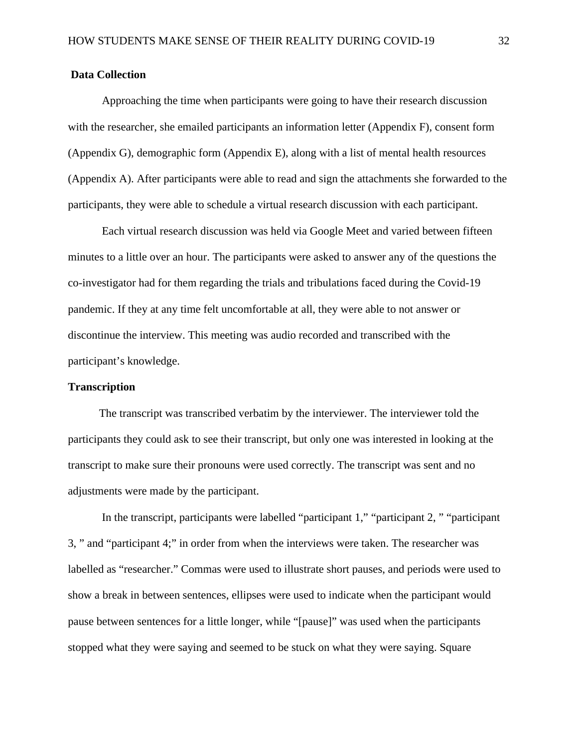## **Data Collection**

Approaching the time when participants were going to have their research discussion with the researcher, she emailed participants an information letter (Appendix F), consent form (Appendix G), demographic form (Appendix E), along with a list of mental health resources (Appendix A). After participants were able to read and sign the attachments she forwarded to the participants, they were able to schedule a virtual research discussion with each participant.

Each virtual research discussion was held via Google Meet and varied between fifteen minutes to a little over an hour. The participants were asked to answer any of the questions the co-investigator had for them regarding the trials and tribulations faced during the Covid-19 pandemic. If they at any time felt uncomfortable at all, they were able to not answer or discontinue the interview. This meeting was audio recorded and transcribed with the participant's knowledge.

#### **Transcription**

 The transcript was transcribed verbatim by the interviewer. The interviewer told the participants they could ask to see their transcript, but only one was interested in looking at the transcript to make sure their pronouns were used correctly. The transcript was sent and no adjustments were made by the participant.

In the transcript, participants were labelled "participant 1," "participant 2, " "participant 3, " and "participant 4;" in order from when the interviews were taken. The researcher was labelled as "researcher." Commas were used to illustrate short pauses, and periods were used to show a break in between sentences, ellipses were used to indicate when the participant would pause between sentences for a little longer, while "[pause]" was used when the participants stopped what they were saying and seemed to be stuck on what they were saying. Square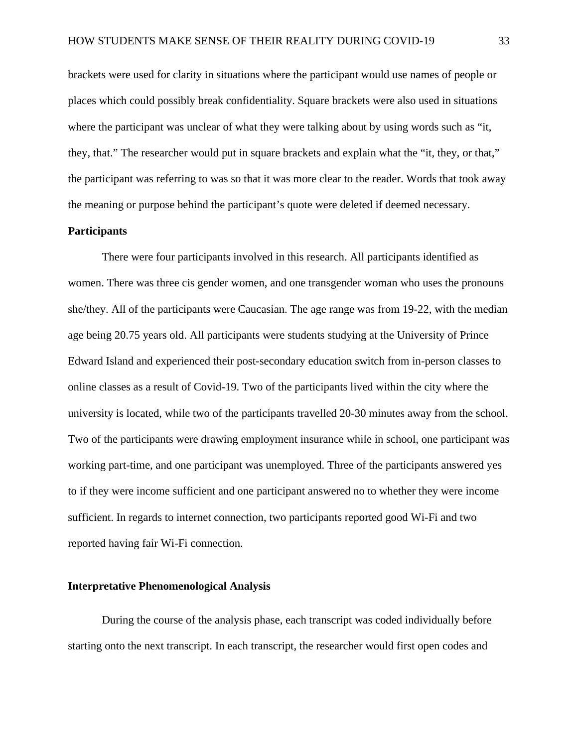brackets were used for clarity in situations where the participant would use names of people or places which could possibly break confidentiality. Square brackets were also used in situations where the participant was unclear of what they were talking about by using words such as "it, they, that." The researcher would put in square brackets and explain what the "it, they, or that," the participant was referring to was so that it was more clear to the reader. Words that took away the meaning or purpose behind the participant's quote were deleted if deemed necessary.

## **Participants**

There were four participants involved in this research. All participants identified as women. There was three cis gender women, and one transgender woman who uses the pronouns she/they. All of the participants were Caucasian. The age range was from 19-22, with the median age being 20.75 years old. All participants were students studying at the University of Prince Edward Island and experienced their post-secondary education switch from in-person classes to online classes as a result of Covid-19. Two of the participants lived within the city where the university is located, while two of the participants travelled 20-30 minutes away from the school. Two of the participants were drawing employment insurance while in school, one participant was working part-time, and one participant was unemployed. Three of the participants answered yes to if they were income sufficient and one participant answered no to whether they were income sufficient. In regards to internet connection, two participants reported good Wi-Fi and two reported having fair Wi-Fi connection.

# **Interpretative Phenomenological Analysis**

During the course of the analysis phase, each transcript was coded individually before starting onto the next transcript. In each transcript, the researcher would first open codes and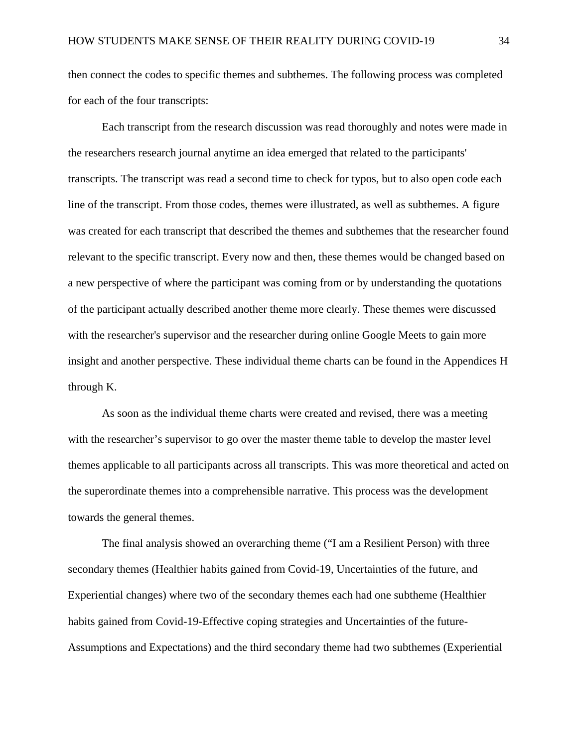then connect the codes to specific themes and subthemes. The following process was completed for each of the four transcripts:

Each transcript from the research discussion was read thoroughly and notes were made in the researchers research journal anytime an idea emerged that related to the participants' transcripts. The transcript was read a second time to check for typos, but to also open code each line of the transcript. From those codes, themes were illustrated, as well as subthemes. A figure was created for each transcript that described the themes and subthemes that the researcher found relevant to the specific transcript. Every now and then, these themes would be changed based on a new perspective of where the participant was coming from or by understanding the quotations of the participant actually described another theme more clearly. These themes were discussed with the researcher's supervisor and the researcher during online Google Meets to gain more insight and another perspective. These individual theme charts can be found in the Appendices H through K.

As soon as the individual theme charts were created and revised, there was a meeting with the researcher's supervisor to go over the master theme table to develop the master level themes applicable to all participants across all transcripts. This was more theoretical and acted on the superordinate themes into a comprehensible narrative. This process was the development towards the general themes.

The final analysis showed an overarching theme ("I am a Resilient Person) with three secondary themes (Healthier habits gained from Covid-19, Uncertainties of the future, and Experiential changes) where two of the secondary themes each had one subtheme (Healthier habits gained from Covid-19-Effective coping strategies and Uncertainties of the future-Assumptions and Expectations) and the third secondary theme had two subthemes (Experiential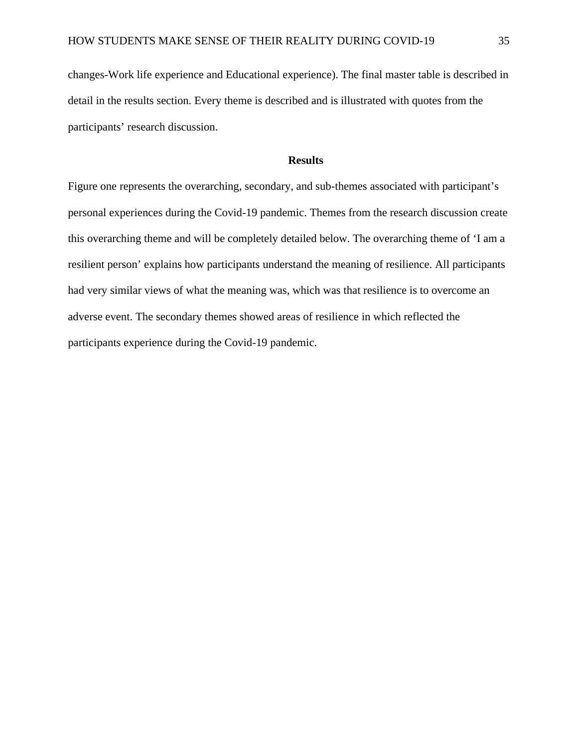changes-Work life experience and Educational experience). The final master table is described in detail in the results section. Every theme is described and is illustrated with quotes from the participants' research discussion.

#### **Results**

Figure one represents the overarching, secondary, and sub-themes associated with participant's personal experiences during the Covid-19 pandemic. Themes from the research discussion create this overarching theme and will be completely detailed below. The overarching theme of 'I am a resilient person' explains how participants understand the meaning of resilience. All participants had very similar views of what the meaning was, which was that resilience is to overcome an adverse event. The secondary themes showed areas of resilience in which reflected the participants experience during the Covid-19 pandemic.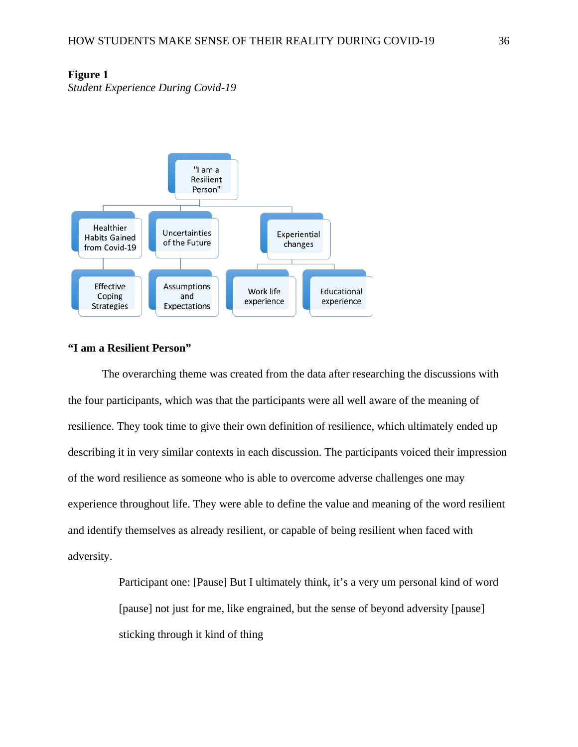

*Student Experience During Covid-19* 



## **"I am a Resilient Person"**

The overarching theme was created from the data after researching the discussions with the four participants, which was that the participants were all well aware of the meaning of resilience. They took time to give their own definition of resilience, which ultimately ended up describing it in very similar contexts in each discussion. The participants voiced their impression of the word resilience as someone who is able to overcome adverse challenges one may experience throughout life. They were able to define the value and meaning of the word resilient and identify themselves as already resilient, or capable of being resilient when faced with adversity.

> Participant one: [Pause] But I ultimately think, it's a very um personal kind of word [pause] not just for me, like engrained, but the sense of beyond adversity [pause] sticking through it kind of thing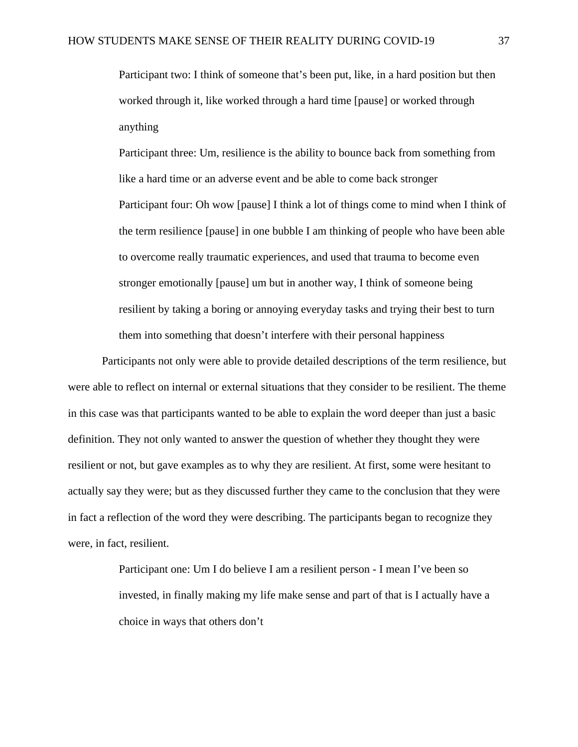Participant two: I think of someone that's been put, like, in a hard position but then worked through it, like worked through a hard time [pause] or worked through anything

 Participant three: Um, resilience is the ability to bounce back from something from like a hard time or an adverse event and be able to come back stronger Participant four: Oh wow [pause] I think a lot of things come to mind when I think of the term resilience [pause] in one bubble I am thinking of people who have been able to overcome really traumatic experiences, and used that trauma to become even stronger emotionally [pause] um but in another way, I think of someone being resilient by taking a boring or annoying everyday tasks and trying their best to turn them into something that doesn't interfere with their personal happiness

Participants not only were able to provide detailed descriptions of the term resilience, but were able to reflect on internal or external situations that they consider to be resilient. The theme in this case was that participants wanted to be able to explain the word deeper than just a basic definition. They not only wanted to answer the question of whether they thought they were resilient or not, but gave examples as to why they are resilient. At first, some were hesitant to actually say they were; but as they discussed further they came to the conclusion that they were in fact a reflection of the word they were describing. The participants began to recognize they were, in fact, resilient.

> Participant one: Um I do believe I am a resilient person - I mean I've been so invested, in finally making my life make sense and part of that is I actually have a choice in ways that others don't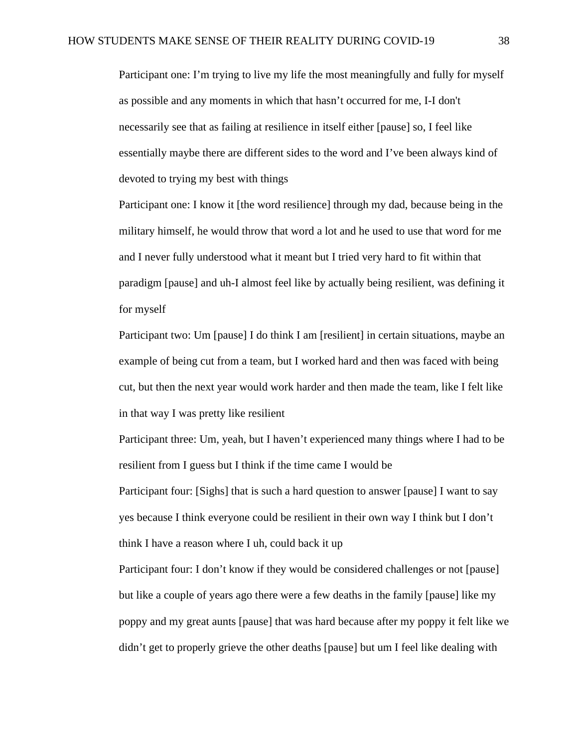Participant one: I'm trying to live my life the most meaningfully and fully for myself as possible and any moments in which that hasn't occurred for me, I-I don't necessarily see that as failing at resilience in itself either [pause] so, I feel like essentially maybe there are different sides to the word and I've been always kind of devoted to trying my best with things

Participant one: I know it [the word resilience] through my dad, because being in the military himself, he would throw that word a lot and he used to use that word for me and I never fully understood what it meant but I tried very hard to fit within that paradigm [pause] and uh-I almost feel like by actually being resilient, was defining it for myself

Participant two: Um [pause] I do think I am [resilient] in certain situations, maybe an example of being cut from a team, but I worked hard and then was faced with being cut, but then the next year would work harder and then made the team, like I felt like in that way I was pretty like resilient

Participant three: Um, yeah, but I haven't experienced many things where I had to be resilient from I guess but I think if the time came I would be

Participant four: [Sighs] that is such a hard question to answer [pause] I want to say yes because I think everyone could be resilient in their own way I think but I don't think I have a reason where I uh, could back it up

Participant four: I don't know if they would be considered challenges or not [pause] but like a couple of years ago there were a few deaths in the family [pause] like my poppy and my great aunts [pause] that was hard because after my poppy it felt like we didn't get to properly grieve the other deaths [pause] but um I feel like dealing with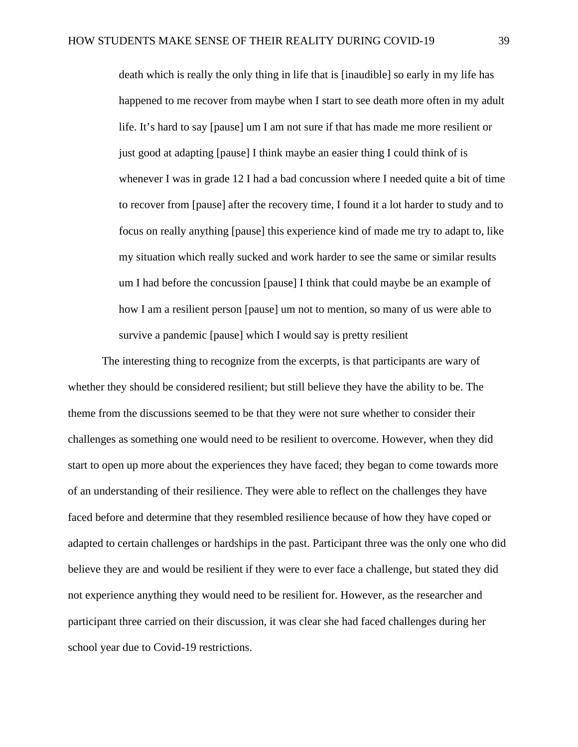death which is really the only thing in life that is [inaudible] so early in my life has happened to me recover from maybe when I start to see death more often in my adult life. It's hard to say [pause] um I am not sure if that has made me more resilient or just good at adapting [pause] I think maybe an easier thing I could think of is whenever I was in grade 12 I had a bad concussion where I needed quite a bit of time to recover from [pause] after the recovery time, I found it a lot harder to study and to focus on really anything [pause] this experience kind of made me try to adapt to, like my situation which really sucked and work harder to see the same or similar results um I had before the concussion [pause] I think that could maybe be an example of how I am a resilient person [pause] um not to mention, so many of us were able to survive a pandemic [pause] which I would say is pretty resilient

The interesting thing to recognize from the excerpts, is that participants are wary of whether they should be considered resilient; but still believe they have the ability to be. The theme from the discussions seemed to be that they were not sure whether to consider their challenges as something one would need to be resilient to overcome. However, when they did start to open up more about the experiences they have faced; they began to come towards more of an understanding of their resilience. They were able to reflect on the challenges they have faced before and determine that they resembled resilience because of how they have coped or adapted to certain challenges or hardships in the past. Participant three was the only one who did believe they are and would be resilient if they were to ever face a challenge, but stated they did not experience anything they would need to be resilient for. However, as the researcher and participant three carried on their discussion, it was clear she had faced challenges during her school year due to Covid-19 restrictions.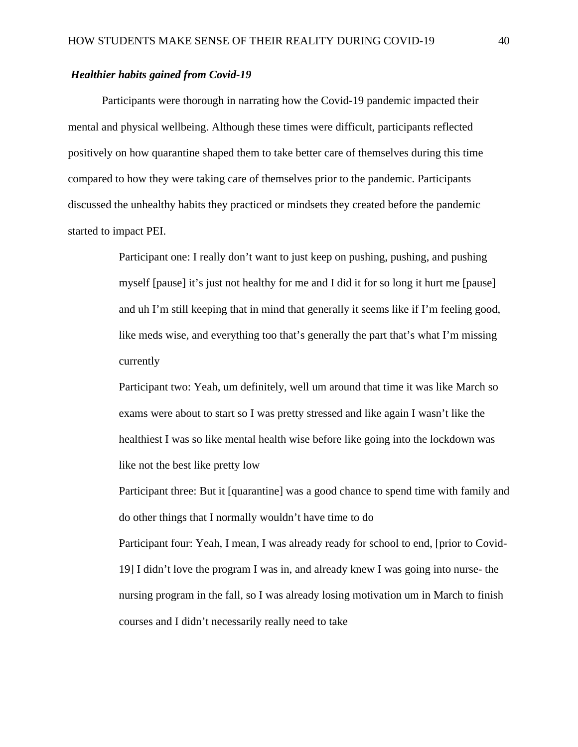## *Healthier habits gained from Covid-19*

Participants were thorough in narrating how the Covid-19 pandemic impacted their mental and physical wellbeing. Although these times were difficult, participants reflected positively on how quarantine shaped them to take better care of themselves during this time compared to how they were taking care of themselves prior to the pandemic. Participants discussed the unhealthy habits they practiced or mindsets they created before the pandemic started to impact PEI.

> Participant one: I really don't want to just keep on pushing, pushing, and pushing myself [pause] it's just not healthy for me and I did it for so long it hurt me [pause] and uh I'm still keeping that in mind that generally it seems like if I'm feeling good, like meds wise, and everything too that's generally the part that's what I'm missing currently

> Participant two: Yeah, um definitely, well um around that time it was like March so exams were about to start so I was pretty stressed and like again I wasn't like the healthiest I was so like mental health wise before like going into the lockdown was like not the best like pretty low

Participant three: But it [quarantine] was a good chance to spend time with family and do other things that I normally wouldn't have time to do

Participant four: Yeah, I mean, I was already ready for school to end, [prior to Covid-19] I didn't love the program I was in, and already knew I was going into nurse- the nursing program in the fall, so I was already losing motivation um in March to finish courses and I didn't necessarily really need to take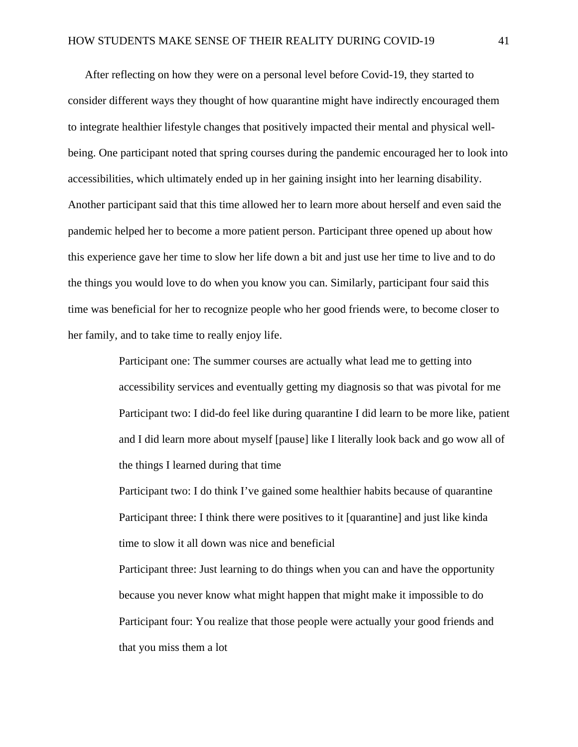After reflecting on how they were on a personal level before Covid-19, they started to consider different ways they thought of how quarantine might have indirectly encouraged them to integrate healthier lifestyle changes that positively impacted their mental and physical wellbeing. One participant noted that spring courses during the pandemic encouraged her to look into accessibilities, which ultimately ended up in her gaining insight into her learning disability. Another participant said that this time allowed her to learn more about herself and even said the pandemic helped her to become a more patient person. Participant three opened up about how this experience gave her time to slow her life down a bit and just use her time to live and to do the things you would love to do when you know you can. Similarly, participant four said this time was beneficial for her to recognize people who her good friends were, to become closer to her family, and to take time to really enjoy life.

> Participant one: The summer courses are actually what lead me to getting into accessibility services and eventually getting my diagnosis so that was pivotal for me Participant two: I did-do feel like during quarantine I did learn to be more like, patient and I did learn more about myself [pause] like I literally look back and go wow all of the things I learned during that time

Participant two: I do think I've gained some healthier habits because of quarantine Participant three: I think there were positives to it [quarantine] and just like kinda time to slow it all down was nice and beneficial

Participant three: Just learning to do things when you can and have the opportunity because you never know what might happen that might make it impossible to do Participant four: You realize that those people were actually your good friends and that you miss them a lot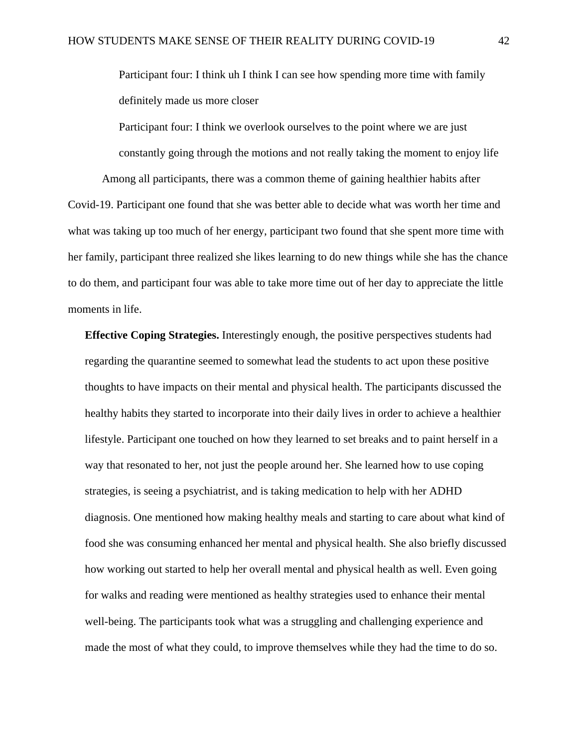Participant four: I think uh I think I can see how spending more time with family definitely made us more closer

Participant four: I think we overlook ourselves to the point where we are just constantly going through the motions and not really taking the moment to enjoy life Among all participants, there was a common theme of gaining healthier habits after Covid-19. Participant one found that she was better able to decide what was worth her time and what was taking up too much of her energy, participant two found that she spent more time with her family, participant three realized she likes learning to do new things while she has the chance to do them, and participant four was able to take more time out of her day to appreciate the little moments in life.

**Effective Coping Strategies.** Interestingly enough, the positive perspectives students had regarding the quarantine seemed to somewhat lead the students to act upon these positive thoughts to have impacts on their mental and physical health. The participants discussed the healthy habits they started to incorporate into their daily lives in order to achieve a healthier lifestyle. Participant one touched on how they learned to set breaks and to paint herself in a way that resonated to her, not just the people around her. She learned how to use coping strategies, is seeing a psychiatrist, and is taking medication to help with her ADHD diagnosis. One mentioned how making healthy meals and starting to care about what kind of food she was consuming enhanced her mental and physical health. She also briefly discussed how working out started to help her overall mental and physical health as well. Even going for walks and reading were mentioned as healthy strategies used to enhance their mental well-being. The participants took what was a struggling and challenging experience and made the most of what they could, to improve themselves while they had the time to do so.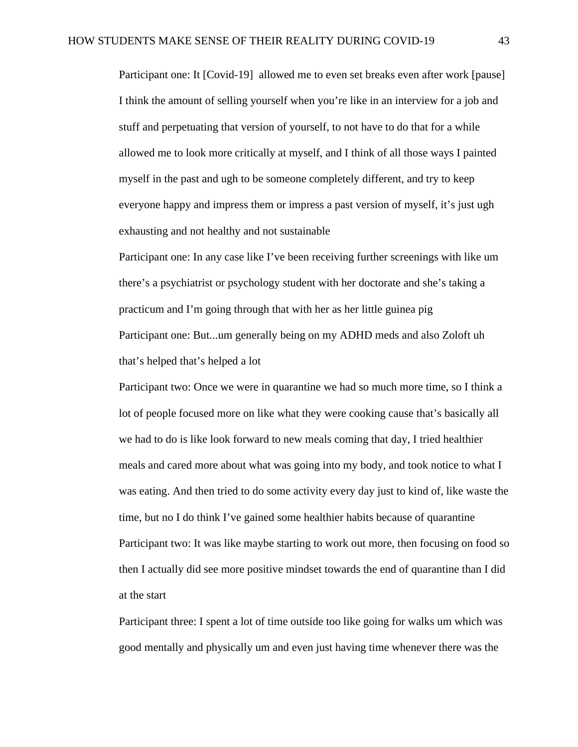Participant one: It [Covid-19] allowed me to even set breaks even after work [pause] I think the amount of selling yourself when you're like in an interview for a job and stuff and perpetuating that version of yourself, to not have to do that for a while allowed me to look more critically at myself, and I think of all those ways I painted myself in the past and ugh to be someone completely different, and try to keep everyone happy and impress them or impress a past version of myself, it's just ugh exhausting and not healthy and not sustainable

Participant one: In any case like I've been receiving further screenings with like um there's a psychiatrist or psychology student with her doctorate and she's taking a practicum and I'm going through that with her as her little guinea pig Participant one: But...um generally being on my ADHD meds and also Zoloft uh that's helped that's helped a lot

Participant two: Once we were in quarantine we had so much more time, so I think a lot of people focused more on like what they were cooking cause that's basically all we had to do is like look forward to new meals coming that day, I tried healthier meals and cared more about what was going into my body, and took notice to what I was eating. And then tried to do some activity every day just to kind of, like waste the time, but no I do think I've gained some healthier habits because of quarantine Participant two: It was like maybe starting to work out more, then focusing on food so then I actually did see more positive mindset towards the end of quarantine than I did at the start

Participant three: I spent a lot of time outside too like going for walks um which was good mentally and physically um and even just having time whenever there was the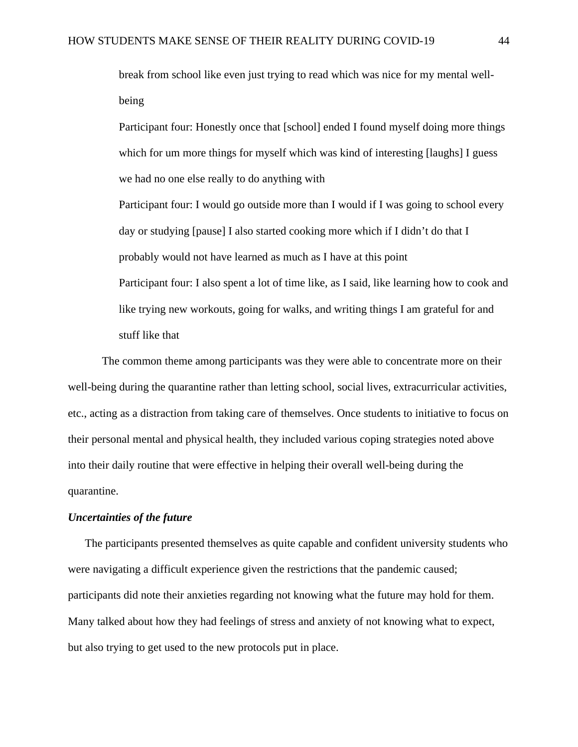break from school like even just trying to read which was nice for my mental wellbeing

Participant four: Honestly once that [school] ended I found myself doing more things which for um more things for myself which was kind of interesting [laughs] I guess we had no one else really to do anything with

Participant four: I would go outside more than I would if I was going to school every day or studying [pause] I also started cooking more which if I didn't do that I probably would not have learned as much as I have at this point Participant four: I also spent a lot of time like, as I said, like learning how to cook and like trying new workouts, going for walks, and writing things I am grateful for and stuff like that

The common theme among participants was they were able to concentrate more on their well-being during the quarantine rather than letting school, social lives, extracurricular activities, etc., acting as a distraction from taking care of themselves. Once students to initiative to focus on their personal mental and physical health, they included various coping strategies noted above into their daily routine that were effective in helping their overall well-being during the quarantine.

# *Uncertainties of the future*

The participants presented themselves as quite capable and confident university students who were navigating a difficult experience given the restrictions that the pandemic caused; participants did note their anxieties regarding not knowing what the future may hold for them. Many talked about how they had feelings of stress and anxiety of not knowing what to expect, but also trying to get used to the new protocols put in place.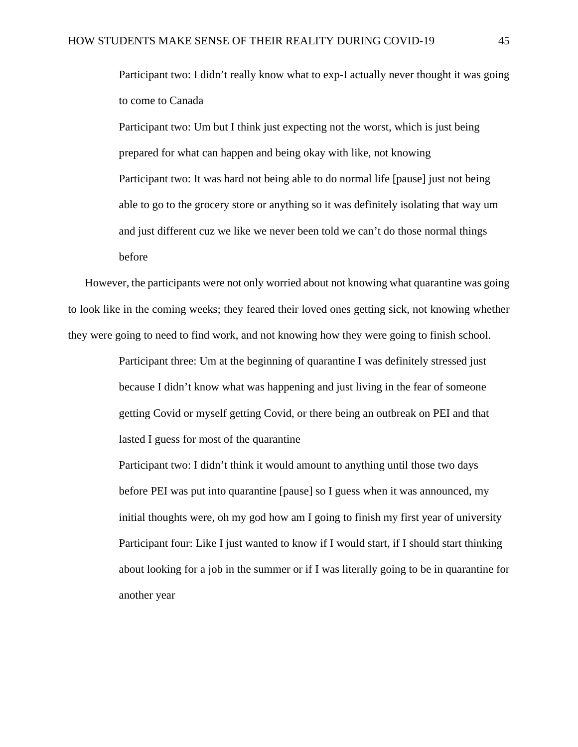Participant two: I didn't really know what to exp-I actually never thought it was going to come to Canada

Participant two: Um but I think just expecting not the worst, which is just being prepared for what can happen and being okay with like, not knowing Participant two: It was hard not being able to do normal life [pause] just not being able to go to the grocery store or anything so it was definitely isolating that way um and just different cuz we like we never been told we can't do those normal things before

However, the participants were not only worried about not knowing what quarantine was going to look like in the coming weeks; they feared their loved ones getting sick, not knowing whether they were going to need to find work, and not knowing how they were going to finish school.

> Participant three: Um at the beginning of quarantine I was definitely stressed just because I didn't know what was happening and just living in the fear of someone getting Covid or myself getting Covid, or there being an outbreak on PEI and that lasted I guess for most of the quarantine

Participant two: I didn't think it would amount to anything until those two days before PEI was put into quarantine [pause] so I guess when it was announced, my initial thoughts were, oh my god how am I going to finish my first year of university Participant four: Like I just wanted to know if I would start, if I should start thinking about looking for a job in the summer or if I was literally going to be in quarantine for another year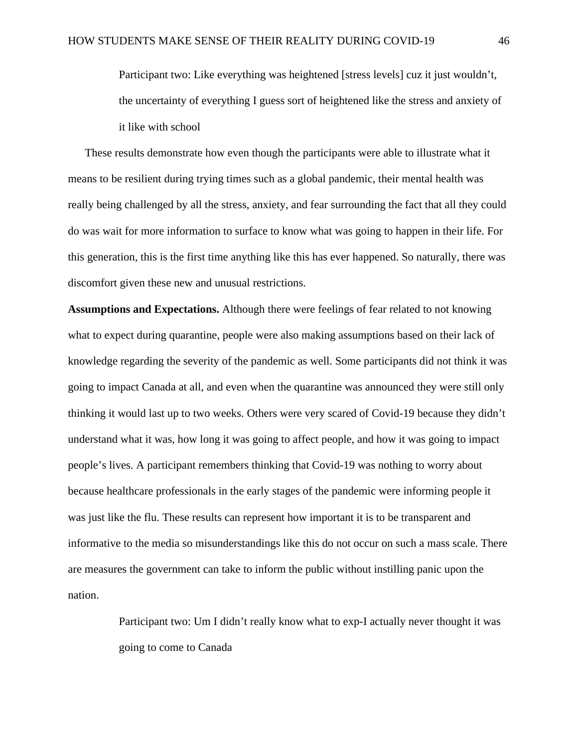Participant two: Like everything was heightened [stress levels] cuz it just wouldn't, the uncertainty of everything I guess sort of heightened like the stress and anxiety of it like with school

These results demonstrate how even though the participants were able to illustrate what it means to be resilient during trying times such as a global pandemic, their mental health was really being challenged by all the stress, anxiety, and fear surrounding the fact that all they could do was wait for more information to surface to know what was going to happen in their life. For this generation, this is the first time anything like this has ever happened. So naturally, there was discomfort given these new and unusual restrictions.

**Assumptions and Expectations.** Although there were feelings of fear related to not knowing what to expect during quarantine, people were also making assumptions based on their lack of knowledge regarding the severity of the pandemic as well. Some participants did not think it was going to impact Canada at all, and even when the quarantine was announced they were still only thinking it would last up to two weeks. Others were very scared of Covid-19 because they didn't understand what it was, how long it was going to affect people, and how it was going to impact people's lives. A participant remembers thinking that Covid-19 was nothing to worry about because healthcare professionals in the early stages of the pandemic were informing people it was just like the flu. These results can represent how important it is to be transparent and informative to the media so misunderstandings like this do not occur on such a mass scale. There are measures the government can take to inform the public without instilling panic upon the nation.

> Participant two: Um I didn't really know what to exp-I actually never thought it was going to come to Canada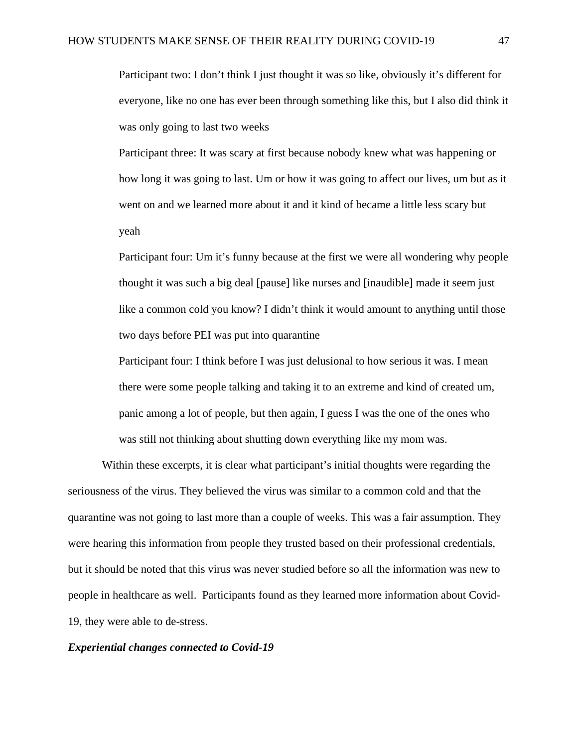Participant two: I don't think I just thought it was so like, obviously it's different for everyone, like no one has ever been through something like this, but I also did think it was only going to last two weeks

Participant three: It was scary at first because nobody knew what was happening or how long it was going to last. Um or how it was going to affect our lives, um but as it went on and we learned more about it and it kind of became a little less scary but yeah

Participant four: Um it's funny because at the first we were all wondering why people thought it was such a big deal [pause] like nurses and [inaudible] made it seem just like a common cold you know? I didn't think it would amount to anything until those two days before PEI was put into quarantine

Participant four: I think before I was just delusional to how serious it was. I mean there were some people talking and taking it to an extreme and kind of created um, panic among a lot of people, but then again, I guess I was the one of the ones who was still not thinking about shutting down everything like my mom was.

Within these excerpts, it is clear what participant's initial thoughts were regarding the seriousness of the virus. They believed the virus was similar to a common cold and that the quarantine was not going to last more than a couple of weeks. This was a fair assumption. They were hearing this information from people they trusted based on their professional credentials, but it should be noted that this virus was never studied before so all the information was new to people in healthcare as well. Participants found as they learned more information about Covid-19, they were able to de-stress.

#### *Experiential changes connected to Covid-19*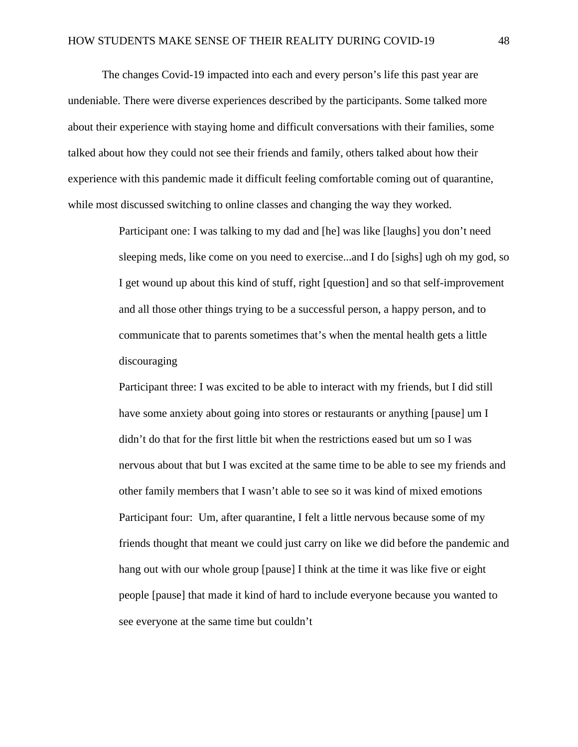The changes Covid-19 impacted into each and every person's life this past year are undeniable. There were diverse experiences described by the participants. Some talked more about their experience with staying home and difficult conversations with their families, some talked about how they could not see their friends and family, others talked about how their experience with this pandemic made it difficult feeling comfortable coming out of quarantine, while most discussed switching to online classes and changing the way they worked.

> Participant one: I was talking to my dad and [he] was like [laughs] you don't need sleeping meds, like come on you need to exercise...and I do [sighs] ugh oh my god, so I get wound up about this kind of stuff, right [question] and so that self-improvement and all those other things trying to be a successful person, a happy person, and to communicate that to parents sometimes that's when the mental health gets a little discouraging

> Participant three: I was excited to be able to interact with my friends, but I did still have some anxiety about going into stores or restaurants or anything [pause] um I didn't do that for the first little bit when the restrictions eased but um so I was nervous about that but I was excited at the same time to be able to see my friends and other family members that I wasn't able to see so it was kind of mixed emotions Participant four: Um, after quarantine, I felt a little nervous because some of my friends thought that meant we could just carry on like we did before the pandemic and hang out with our whole group [pause] I think at the time it was like five or eight people [pause] that made it kind of hard to include everyone because you wanted to see everyone at the same time but couldn't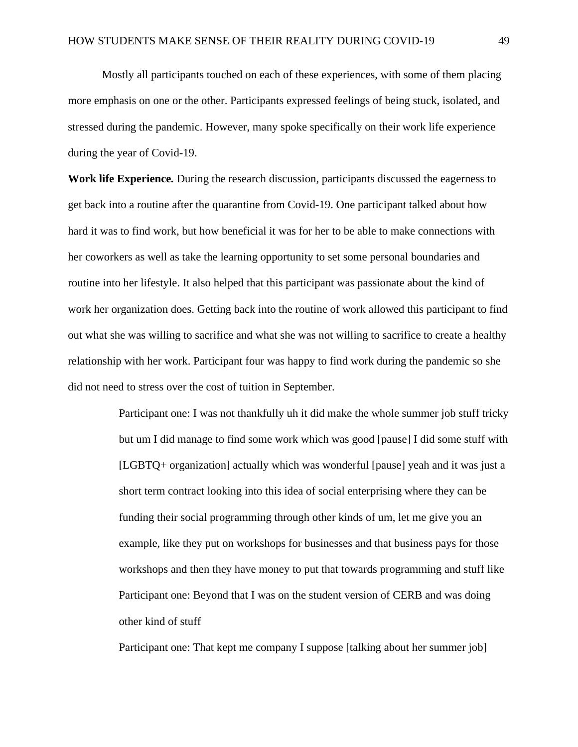Mostly all participants touched on each of these experiences, with some of them placing more emphasis on one or the other. Participants expressed feelings of being stuck, isolated, and stressed during the pandemic. However, many spoke specifically on their work life experience during the year of Covid-19.

**Work life Experience***.* During the research discussion, participants discussed the eagerness to get back into a routine after the quarantine from Covid-19. One participant talked about how hard it was to find work, but how beneficial it was for her to be able to make connections with her coworkers as well as take the learning opportunity to set some personal boundaries and routine into her lifestyle. It also helped that this participant was passionate about the kind of work her organization does. Getting back into the routine of work allowed this participant to find out what she was willing to sacrifice and what she was not willing to sacrifice to create a healthy relationship with her work. Participant four was happy to find work during the pandemic so she did not need to stress over the cost of tuition in September.

> Participant one: I was not thankfully uh it did make the whole summer job stuff tricky but um I did manage to find some work which was good [pause] I did some stuff with [LGBTQ+ organization] actually which was wonderful [pause] yeah and it was just a short term contract looking into this idea of social enterprising where they can be funding their social programming through other kinds of um, let me give you an example, like they put on workshops for businesses and that business pays for those workshops and then they have money to put that towards programming and stuff like Participant one: Beyond that I was on the student version of CERB and was doing other kind of stuff

Participant one: That kept me company I suppose [talking about her summer job]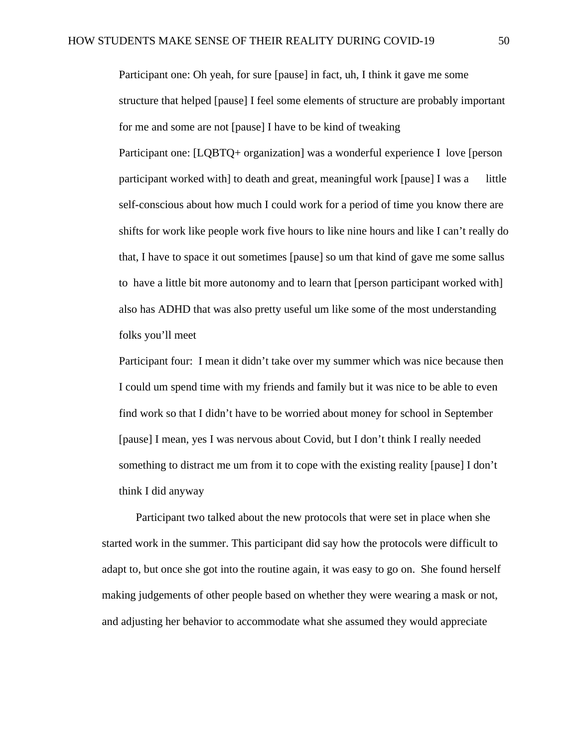Participant one: Oh yeah, for sure [pause] in fact, uh, I think it gave me some structure that helped [pause] I feel some elements of structure are probably important for me and some are not [pause] I have to be kind of tweaking Participant one: [LQBTQ+ organization] was a wonderful experience I love [person participant worked with] to death and great, meaningful work [pause] I was a little self-conscious about how much I could work for a period of time you know there are shifts for work like people work five hours to like nine hours and like I can't really do that, I have to space it out sometimes [pause] so um that kind of gave me some sallus to have a little bit more autonomy and to learn that [person participant worked with] also has ADHD that was also pretty useful um like some of the most understanding folks you'll meet

Participant four: I mean it didn't take over my summer which was nice because then I could um spend time with my friends and family but it was nice to be able to even find work so that I didn't have to be worried about money for school in September [pause] I mean, yes I was nervous about Covid, but I don't think I really needed something to distract me um from it to cope with the existing reality [pause] I don't think I did anyway

Participant two talked about the new protocols that were set in place when she started work in the summer. This participant did say how the protocols were difficult to adapt to, but once she got into the routine again, it was easy to go on. She found herself making judgements of other people based on whether they were wearing a mask or not, and adjusting her behavior to accommodate what she assumed they would appreciate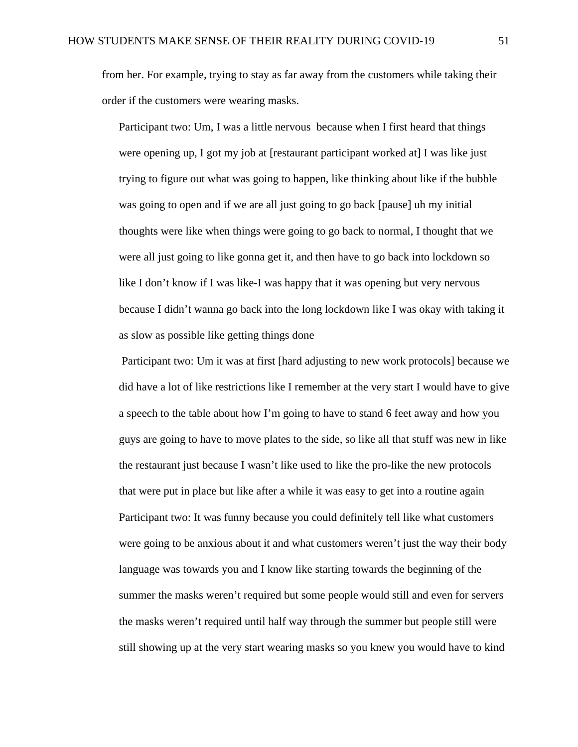from her. For example, trying to stay as far away from the customers while taking their order if the customers were wearing masks.

Participant two: Um, I was a little nervous because when I first heard that things were opening up, I got my job at [restaurant participant worked at] I was like just trying to figure out what was going to happen, like thinking about like if the bubble was going to open and if we are all just going to go back [pause] uh my initial thoughts were like when things were going to go back to normal, I thought that we were all just going to like gonna get it, and then have to go back into lockdown so like I don't know if I was like-I was happy that it was opening but very nervous because I didn't wanna go back into the long lockdown like I was okay with taking it as slow as possible like getting things done

Participant two: Um it was at first [hard adjusting to new work protocols] because we did have a lot of like restrictions like I remember at the very start I would have to give a speech to the table about how I'm going to have to stand 6 feet away and how you guys are going to have to move plates to the side, so like all that stuff was new in like the restaurant just because I wasn't like used to like the pro-like the new protocols that were put in place but like after a while it was easy to get into a routine again Participant two: It was funny because you could definitely tell like what customers were going to be anxious about it and what customers weren't just the way their body language was towards you and I know like starting towards the beginning of the summer the masks weren't required but some people would still and even for servers the masks weren't required until half way through the summer but people still were still showing up at the very start wearing masks so you knew you would have to kind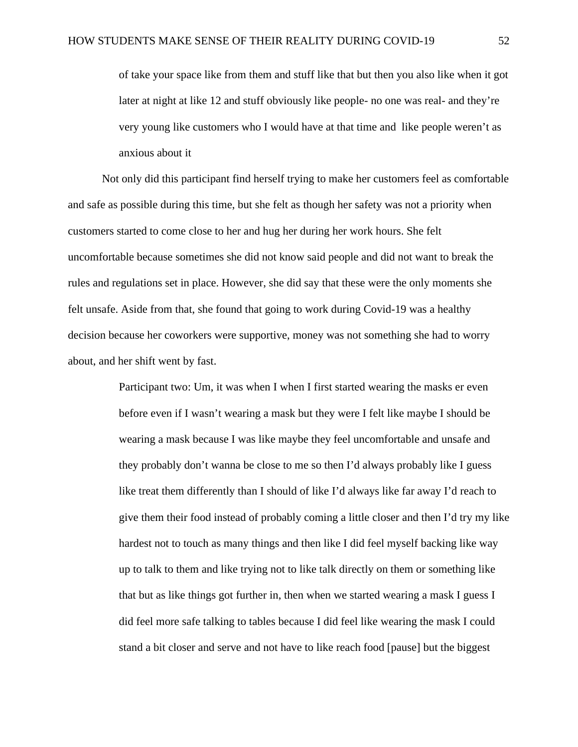of take your space like from them and stuff like that but then you also like when it got later at night at like 12 and stuff obviously like people- no one was real- and they're very young like customers who I would have at that time and like people weren't as anxious about it

Not only did this participant find herself trying to make her customers feel as comfortable and safe as possible during this time, but she felt as though her safety was not a priority when customers started to come close to her and hug her during her work hours. She felt uncomfortable because sometimes she did not know said people and did not want to break the rules and regulations set in place. However, she did say that these were the only moments she felt unsafe. Aside from that, she found that going to work during Covid-19 was a healthy decision because her coworkers were supportive, money was not something she had to worry about, and her shift went by fast.

> Participant two: Um, it was when I when I first started wearing the masks er even before even if I wasn't wearing a mask but they were I felt like maybe I should be wearing a mask because I was like maybe they feel uncomfortable and unsafe and they probably don't wanna be close to me so then I'd always probably like I guess like treat them differently than I should of like I'd always like far away I'd reach to give them their food instead of probably coming a little closer and then I'd try my like hardest not to touch as many things and then like I did feel myself backing like way up to talk to them and like trying not to like talk directly on them or something like that but as like things got further in, then when we started wearing a mask I guess I did feel more safe talking to tables because I did feel like wearing the mask I could stand a bit closer and serve and not have to like reach food [pause] but the biggest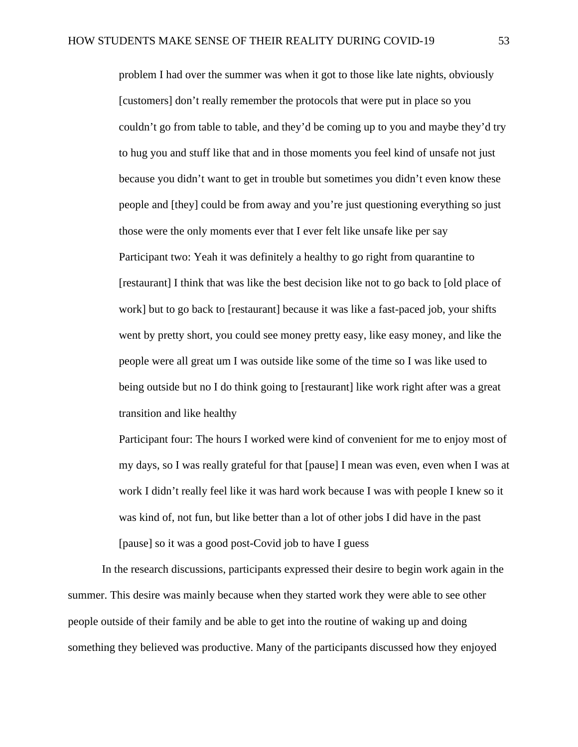problem I had over the summer was when it got to those like late nights, obviously [customers] don't really remember the protocols that were put in place so you couldn't go from table to table, and they'd be coming up to you and maybe they'd try to hug you and stuff like that and in those moments you feel kind of unsafe not just because you didn't want to get in trouble but sometimes you didn't even know these people and [they] could be from away and you're just questioning everything so just those were the only moments ever that I ever felt like unsafe like per say Participant two: Yeah it was definitely a healthy to go right from quarantine to [restaurant] I think that was like the best decision like not to go back to [old place of work] but to go back to [restaurant] because it was like a fast-paced job, your shifts went by pretty short, you could see money pretty easy, like easy money, and like the people were all great um I was outside like some of the time so I was like used to being outside but no I do think going to [restaurant] like work right after was a great transition and like healthy

Participant four: The hours I worked were kind of convenient for me to enjoy most of my days, so I was really grateful for that [pause] I mean was even, even when I was at work I didn't really feel like it was hard work because I was with people I knew so it was kind of, not fun, but like better than a lot of other jobs I did have in the past [pause] so it was a good post-Covid job to have I guess

In the research discussions, participants expressed their desire to begin work again in the summer. This desire was mainly because when they started work they were able to see other people outside of their family and be able to get into the routine of waking up and doing something they believed was productive. Many of the participants discussed how they enjoyed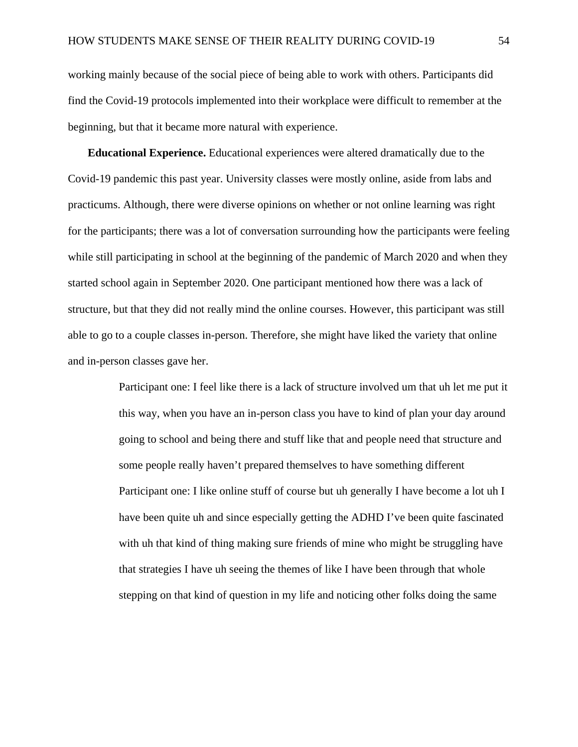working mainly because of the social piece of being able to work with others. Participants did find the Covid-19 protocols implemented into their workplace were difficult to remember at the beginning, but that it became more natural with experience.

 **Educational Experience.** Educational experiences were altered dramatically due to the Covid-19 pandemic this past year. University classes were mostly online, aside from labs and practicums. Although, there were diverse opinions on whether or not online learning was right for the participants; there was a lot of conversation surrounding how the participants were feeling while still participating in school at the beginning of the pandemic of March 2020 and when they started school again in September 2020. One participant mentioned how there was a lack of structure, but that they did not really mind the online courses. However, this participant was still able to go to a couple classes in-person. Therefore, she might have liked the variety that online and in-person classes gave her.

> Participant one: I feel like there is a lack of structure involved um that uh let me put it this way, when you have an in-person class you have to kind of plan your day around going to school and being there and stuff like that and people need that structure and some people really haven't prepared themselves to have something different Participant one: I like online stuff of course but uh generally I have become a lot uh I have been quite uh and since especially getting the ADHD I've been quite fascinated with uh that kind of thing making sure friends of mine who might be struggling have that strategies I have uh seeing the themes of like I have been through that whole stepping on that kind of question in my life and noticing other folks doing the same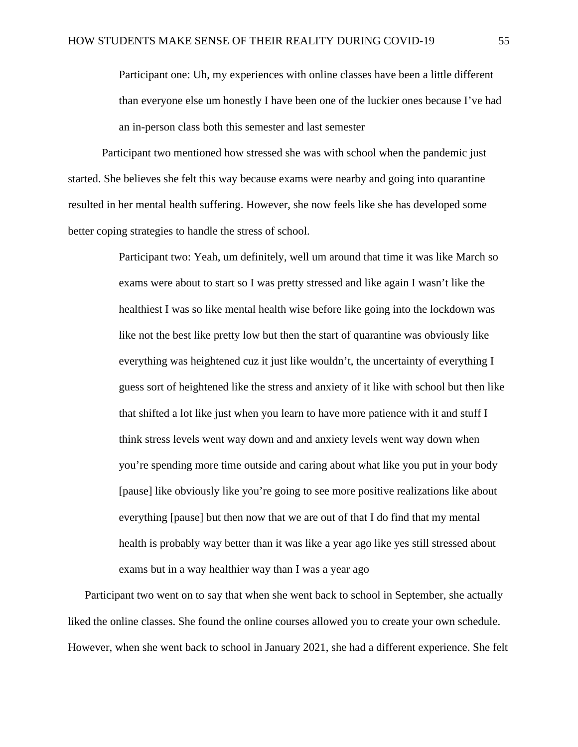Participant one: Uh, my experiences with online classes have been a little different than everyone else um honestly I have been one of the luckier ones because I've had an in-person class both this semester and last semester

Participant two mentioned how stressed she was with school when the pandemic just started. She believes she felt this way because exams were nearby and going into quarantine resulted in her mental health suffering. However, she now feels like she has developed some better coping strategies to handle the stress of school.

> Participant two: Yeah, um definitely, well um around that time it was like March so exams were about to start so I was pretty stressed and like again I wasn't like the healthiest I was so like mental health wise before like going into the lockdown was like not the best like pretty low but then the start of quarantine was obviously like everything was heightened cuz it just like wouldn't, the uncertainty of everything I guess sort of heightened like the stress and anxiety of it like with school but then like that shifted a lot like just when you learn to have more patience with it and stuff I think stress levels went way down and and anxiety levels went way down when you're spending more time outside and caring about what like you put in your body [pause] like obviously like you're going to see more positive realizations like about everything [pause] but then now that we are out of that I do find that my mental health is probably way better than it was like a year ago like yes still stressed about exams but in a way healthier way than I was a year ago

Participant two went on to say that when she went back to school in September, she actually liked the online classes. She found the online courses allowed you to create your own schedule. However, when she went back to school in January 2021, she had a different experience. She felt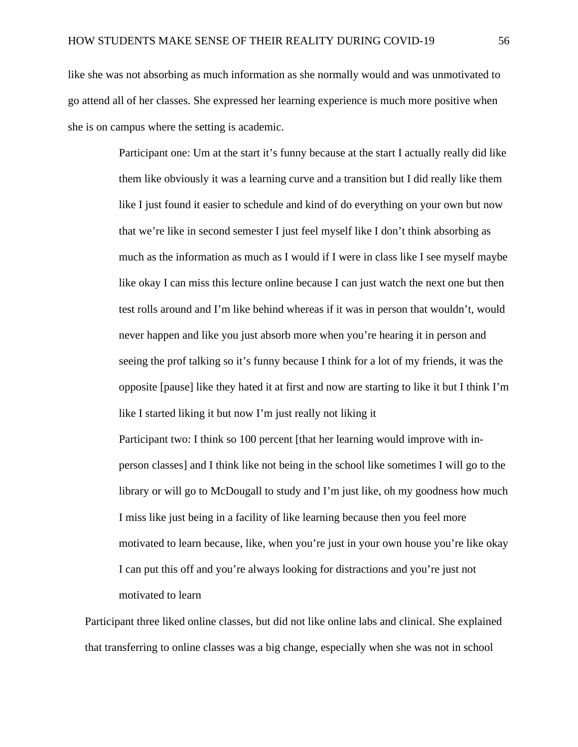like she was not absorbing as much information as she normally would and was unmotivated to go attend all of her classes. She expressed her learning experience is much more positive when she is on campus where the setting is academic.

> Participant one: Um at the start it's funny because at the start I actually really did like them like obviously it was a learning curve and a transition but I did really like them like I just found it easier to schedule and kind of do everything on your own but now that we're like in second semester I just feel myself like I don't think absorbing as much as the information as much as I would if I were in class like I see myself maybe like okay I can miss this lecture online because I can just watch the next one but then test rolls around and I'm like behind whereas if it was in person that wouldn't, would never happen and like you just absorb more when you're hearing it in person and seeing the prof talking so it's funny because I think for a lot of my friends, it was the opposite [pause] like they hated it at first and now are starting to like it but I think I'm like I started liking it but now I'm just really not liking it

> Participant two: I think so 100 percent [that her learning would improve with inperson classes] and I think like not being in the school like sometimes I will go to the library or will go to McDougall to study and I'm just like, oh my goodness how much I miss like just being in a facility of like learning because then you feel more motivated to learn because, like, when you're just in your own house you're like okay I can put this off and you're always looking for distractions and you're just not motivated to learn

Participant three liked online classes, but did not like online labs and clinical. She explained that transferring to online classes was a big change, especially when she was not in school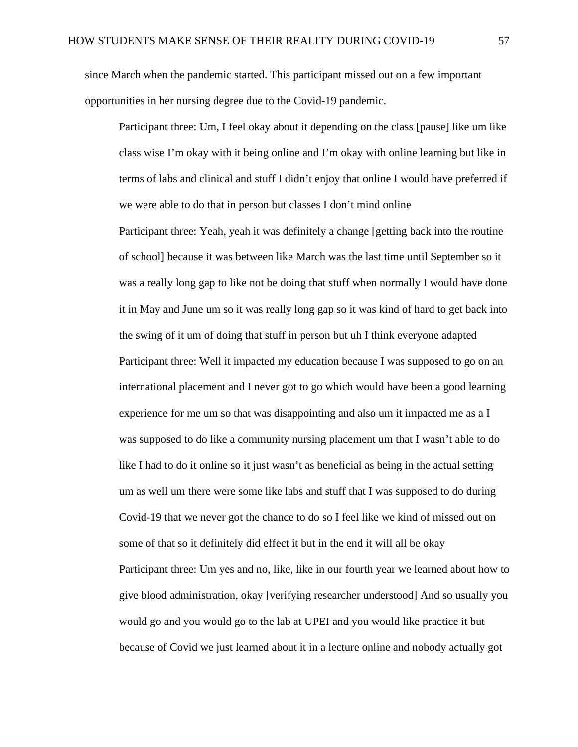since March when the pandemic started. This participant missed out on a few important opportunities in her nursing degree due to the Covid-19 pandemic.

 Participant three: Um, I feel okay about it depending on the class [pause] like um like class wise I'm okay with it being online and I'm okay with online learning but like in terms of labs and clinical and stuff I didn't enjoy that online I would have preferred if we were able to do that in person but classes I don't mind online

 Participant three: Yeah, yeah it was definitely a change [getting back into the routine of school] because it was between like March was the last time until September so it was a really long gap to like not be doing that stuff when normally I would have done it in May and June um so it was really long gap so it was kind of hard to get back into the swing of it um of doing that stuff in person but uh I think everyone adapted Participant three: Well it impacted my education because I was supposed to go on an international placement and I never got to go which would have been a good learning experience for me um so that was disappointing and also um it impacted me as a I was supposed to do like a community nursing placement um that I wasn't able to do like I had to do it online so it just wasn't as beneficial as being in the actual setting um as well um there were some like labs and stuff that I was supposed to do during Covid-19 that we never got the chance to do so I feel like we kind of missed out on some of that so it definitely did effect it but in the end it will all be okay Participant three: Um yes and no, like, like in our fourth year we learned about how to give blood administration, okay [verifying researcher understood] And so usually you would go and you would go to the lab at UPEI and you would like practice it but because of Covid we just learned about it in a lecture online and nobody actually got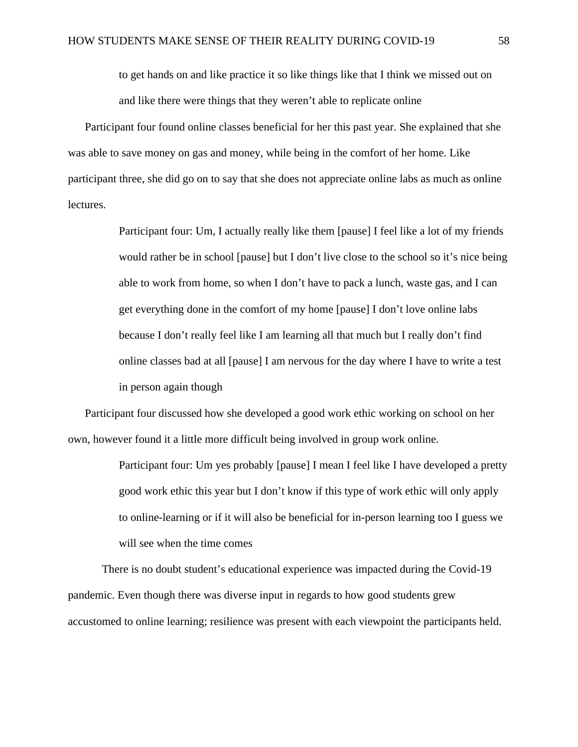to get hands on and like practice it so like things like that I think we missed out on and like there were things that they weren't able to replicate online

Participant four found online classes beneficial for her this past year. She explained that she was able to save money on gas and money, while being in the comfort of her home. Like participant three, she did go on to say that she does not appreciate online labs as much as online lectures.

> Participant four: Um, I actually really like them [pause] I feel like a lot of my friends would rather be in school [pause] but I don't live close to the school so it's nice being able to work from home, so when I don't have to pack a lunch, waste gas, and I can get everything done in the comfort of my home [pause] I don't love online labs because I don't really feel like I am learning all that much but I really don't find online classes bad at all [pause] I am nervous for the day where I have to write a test in person again though

Participant four discussed how she developed a good work ethic working on school on her own, however found it a little more difficult being involved in group work online.

> Participant four: Um yes probably [pause] I mean I feel like I have developed a pretty good work ethic this year but I don't know if this type of work ethic will only apply to online-learning or if it will also be beneficial for in-person learning too I guess we will see when the time comes

There is no doubt student's educational experience was impacted during the Covid-19 pandemic. Even though there was diverse input in regards to how good students grew accustomed to online learning; resilience was present with each viewpoint the participants held.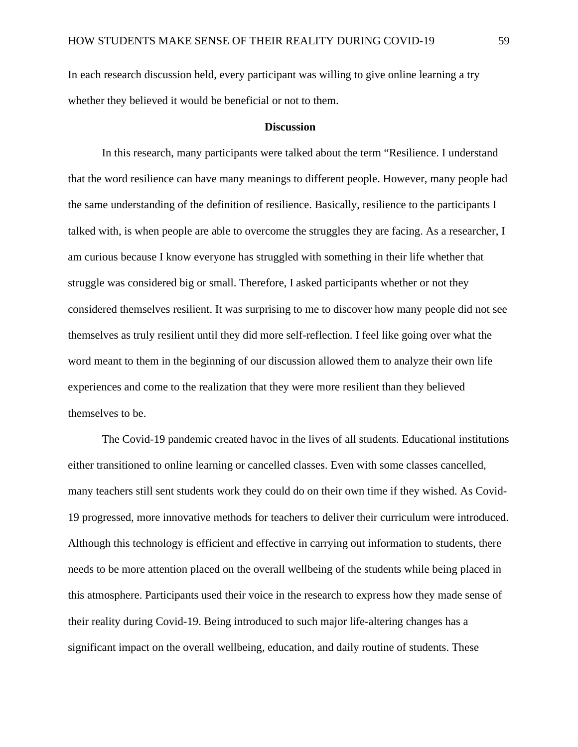In each research discussion held, every participant was willing to give online learning a try whether they believed it would be beneficial or not to them.

## **Discussion**

In this research, many participants were talked about the term "Resilience. I understand that the word resilience can have many meanings to different people. However, many people had the same understanding of the definition of resilience. Basically, resilience to the participants I talked with, is when people are able to overcome the struggles they are facing. As a researcher, I am curious because I know everyone has struggled with something in their life whether that struggle was considered big or small. Therefore, I asked participants whether or not they considered themselves resilient. It was surprising to me to discover how many people did not see themselves as truly resilient until they did more self-reflection. I feel like going over what the word meant to them in the beginning of our discussion allowed them to analyze their own life experiences and come to the realization that they were more resilient than they believed themselves to be.

The Covid-19 pandemic created havoc in the lives of all students. Educational institutions either transitioned to online learning or cancelled classes. Even with some classes cancelled, many teachers still sent students work they could do on their own time if they wished. As Covid-19 progressed, more innovative methods for teachers to deliver their curriculum were introduced. Although this technology is efficient and effective in carrying out information to students, there needs to be more attention placed on the overall wellbeing of the students while being placed in this atmosphere. Participants used their voice in the research to express how they made sense of their reality during Covid-19. Being introduced to such major life-altering changes has a significant impact on the overall wellbeing, education, and daily routine of students. These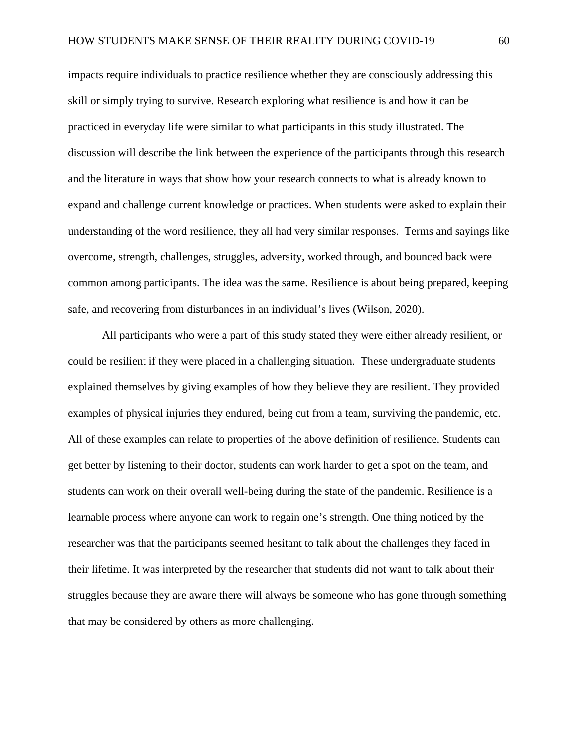impacts require individuals to practice resilience whether they are consciously addressing this skill or simply trying to survive. Research exploring what resilience is and how it can be practiced in everyday life were similar to what participants in this study illustrated. The discussion will describe the link between the experience of the participants through this research and the literature in ways that show how your research connects to what is already known to expand and challenge current knowledge or practices. When students were asked to explain their understanding of the word resilience, they all had very similar responses. Terms and sayings like overcome, strength, challenges, struggles, adversity, worked through, and bounced back were common among participants. The idea was the same. Resilience is about being prepared, keeping safe, and recovering from disturbances in an individual's lives (Wilson, 2020).

All participants who were a part of this study stated they were either already resilient, or could be resilient if they were placed in a challenging situation. These undergraduate students explained themselves by giving examples of how they believe they are resilient. They provided examples of physical injuries they endured, being cut from a team, surviving the pandemic, etc. All of these examples can relate to properties of the above definition of resilience. Students can get better by listening to their doctor, students can work harder to get a spot on the team, and students can work on their overall well-being during the state of the pandemic. Resilience is a learnable process where anyone can work to regain one's strength. One thing noticed by the researcher was that the participants seemed hesitant to talk about the challenges they faced in their lifetime. It was interpreted by the researcher that students did not want to talk about their struggles because they are aware there will always be someone who has gone through something that may be considered by others as more challenging.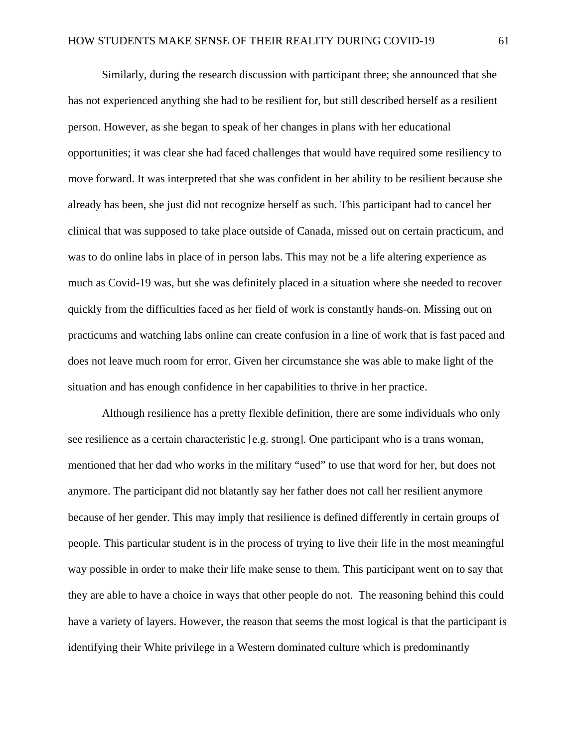Similarly, during the research discussion with participant three; she announced that she has not experienced anything she had to be resilient for, but still described herself as a resilient person. However, as she began to speak of her changes in plans with her educational opportunities; it was clear she had faced challenges that would have required some resiliency to move forward. It was interpreted that she was confident in her ability to be resilient because she already has been, she just did not recognize herself as such. This participant had to cancel her clinical that was supposed to take place outside of Canada, missed out on certain practicum, and was to do online labs in place of in person labs. This may not be a life altering experience as much as Covid-19 was, but she was definitely placed in a situation where she needed to recover quickly from the difficulties faced as her field of work is constantly hands-on. Missing out on practicums and watching labs online can create confusion in a line of work that is fast paced and does not leave much room for error. Given her circumstance she was able to make light of the situation and has enough confidence in her capabilities to thrive in her practice.

Although resilience has a pretty flexible definition, there are some individuals who only see resilience as a certain characteristic [e.g. strong]. One participant who is a trans woman, mentioned that her dad who works in the military "used" to use that word for her, but does not anymore. The participant did not blatantly say her father does not call her resilient anymore because of her gender. This may imply that resilience is defined differently in certain groups of people. This particular student is in the process of trying to live their life in the most meaningful way possible in order to make their life make sense to them. This participant went on to say that they are able to have a choice in ways that other people do not. The reasoning behind this could have a variety of layers. However, the reason that seems the most logical is that the participant is identifying their White privilege in a Western dominated culture which is predominantly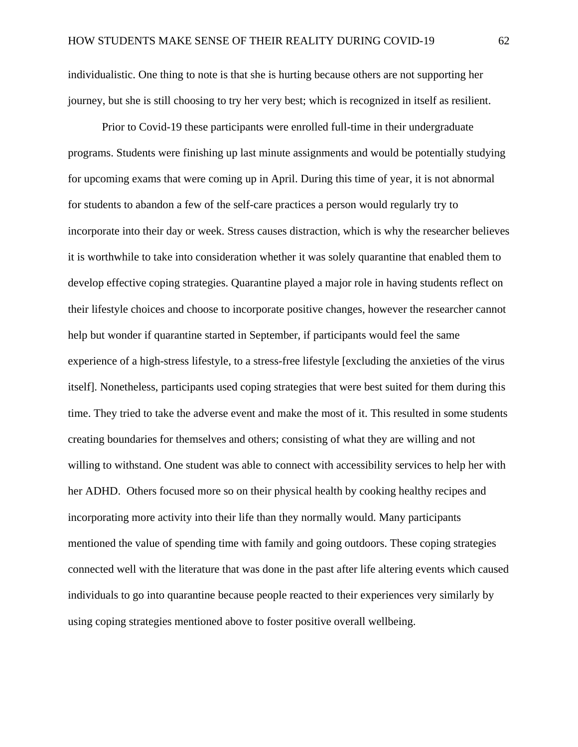individualistic. One thing to note is that she is hurting because others are not supporting her journey, but she is still choosing to try her very best; which is recognized in itself as resilient.

Prior to Covid-19 these participants were enrolled full-time in their undergraduate programs. Students were finishing up last minute assignments and would be potentially studying for upcoming exams that were coming up in April. During this time of year, it is not abnormal for students to abandon a few of the self-care practices a person would regularly try to incorporate into their day or week. Stress causes distraction, which is why the researcher believes it is worthwhile to take into consideration whether it was solely quarantine that enabled them to develop effective coping strategies. Quarantine played a major role in having students reflect on their lifestyle choices and choose to incorporate positive changes, however the researcher cannot help but wonder if quarantine started in September, if participants would feel the same experience of a high-stress lifestyle, to a stress-free lifestyle [excluding the anxieties of the virus itself]. Nonetheless, participants used coping strategies that were best suited for them during this time. They tried to take the adverse event and make the most of it. This resulted in some students creating boundaries for themselves and others; consisting of what they are willing and not willing to withstand. One student was able to connect with accessibility services to help her with her ADHD. Others focused more so on their physical health by cooking healthy recipes and incorporating more activity into their life than they normally would. Many participants mentioned the value of spending time with family and going outdoors. These coping strategies connected well with the literature that was done in the past after life altering events which caused individuals to go into quarantine because people reacted to their experiences very similarly by using coping strategies mentioned above to foster positive overall wellbeing.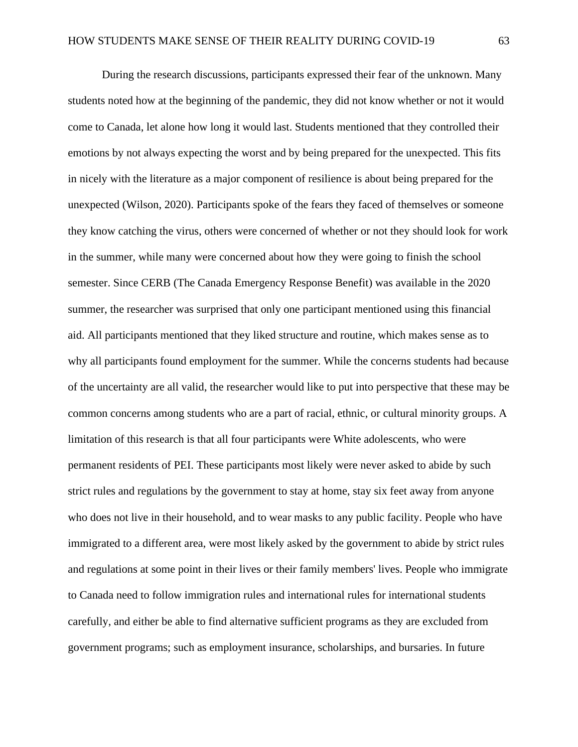During the research discussions, participants expressed their fear of the unknown. Many students noted how at the beginning of the pandemic, they did not know whether or not it would come to Canada, let alone how long it would last. Students mentioned that they controlled their emotions by not always expecting the worst and by being prepared for the unexpected. This fits in nicely with the literature as a major component of resilience is about being prepared for the unexpected (Wilson, 2020). Participants spoke of the fears they faced of themselves or someone they know catching the virus, others were concerned of whether or not they should look for work in the summer, while many were concerned about how they were going to finish the school semester. Since CERB (The Canada Emergency Response Benefit) was available in the 2020 summer, the researcher was surprised that only one participant mentioned using this financial aid. All participants mentioned that they liked structure and routine, which makes sense as to why all participants found employment for the summer. While the concerns students had because of the uncertainty are all valid, the researcher would like to put into perspective that these may be common concerns among students who are a part of racial, ethnic, or cultural minority groups. A limitation of this research is that all four participants were White adolescents, who were permanent residents of PEI. These participants most likely were never asked to abide by such strict rules and regulations by the government to stay at home, stay six feet away from anyone who does not live in their household, and to wear masks to any public facility. People who have immigrated to a different area, were most likely asked by the government to abide by strict rules and regulations at some point in their lives or their family members' lives. People who immigrate to Canada need to follow immigration rules and international rules for international students carefully, and either be able to find alternative sufficient programs as they are excluded from government programs; such as employment insurance, scholarships, and bursaries. In future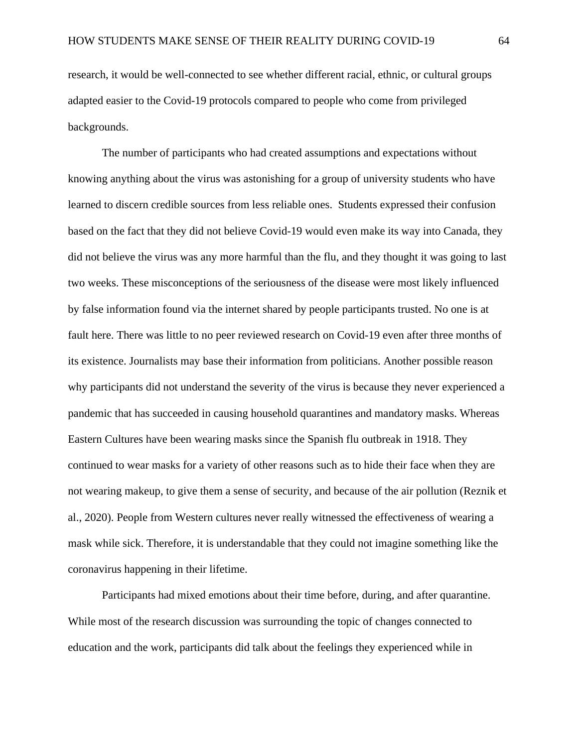research, it would be well-connected to see whether different racial, ethnic, or cultural groups adapted easier to the Covid-19 protocols compared to people who come from privileged backgrounds.

The number of participants who had created assumptions and expectations without knowing anything about the virus was astonishing for a group of university students who have learned to discern credible sources from less reliable ones. Students expressed their confusion based on the fact that they did not believe Covid-19 would even make its way into Canada, they did not believe the virus was any more harmful than the flu, and they thought it was going to last two weeks. These misconceptions of the seriousness of the disease were most likely influenced by false information found via the internet shared by people participants trusted. No one is at fault here. There was little to no peer reviewed research on Covid-19 even after three months of its existence. Journalists may base their information from politicians. Another possible reason why participants did not understand the severity of the virus is because they never experienced a pandemic that has succeeded in causing household quarantines and mandatory masks. Whereas Eastern Cultures have been wearing masks since the Spanish flu outbreak in 1918. They continued to wear masks for a variety of other reasons such as to hide their face when they are not wearing makeup, to give them a sense of security, and because of the air pollution (Reznik et al., 2020). People from Western cultures never really witnessed the effectiveness of wearing a mask while sick. Therefore, it is understandable that they could not imagine something like the coronavirus happening in their lifetime.

Participants had mixed emotions about their time before, during, and after quarantine. While most of the research discussion was surrounding the topic of changes connected to education and the work, participants did talk about the feelings they experienced while in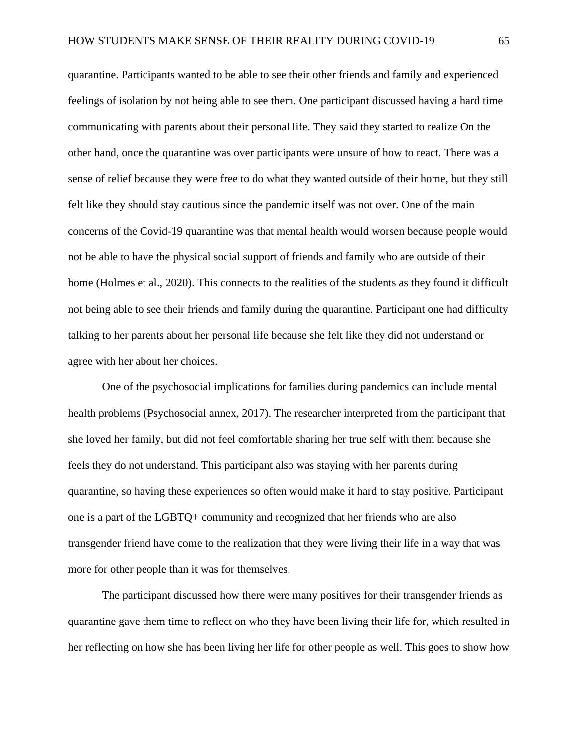quarantine. Participants wanted to be able to see their other friends and family and experienced feelings of isolation by not being able to see them. One participant discussed having a hard time communicating with parents about their personal life. They said they started to realize On the other hand, once the quarantine was over participants were unsure of how to react. There was a sense of relief because they were free to do what they wanted outside of their home, but they still felt like they should stay cautious since the pandemic itself was not over. One of the main concerns of the Covid-19 quarantine was that mental health would worsen because people would not be able to have the physical social support of friends and family who are outside of their home (Holmes et al., 2020). This connects to the realities of the students as they found it difficult not being able to see their friends and family during the quarantine. Participant one had difficulty talking to her parents about her personal life because she felt like they did not understand or agree with her about her choices.

One of the psychosocial implications for families during pandemics can include mental health problems (Psychosocial annex, 2017). The researcher interpreted from the participant that she loved her family, but did not feel comfortable sharing her true self with them because she feels they do not understand. This participant also was staying with her parents during quarantine, so having these experiences so often would make it hard to stay positive. Participant one is a part of the LGBTQ+ community and recognized that her friends who are also transgender friend have come to the realization that they were living their life in a way that was more for other people than it was for themselves.

The participant discussed how there were many positives for their transgender friends as quarantine gave them time to reflect on who they have been living their life for, which resulted in her reflecting on how she has been living her life for other people as well. This goes to show how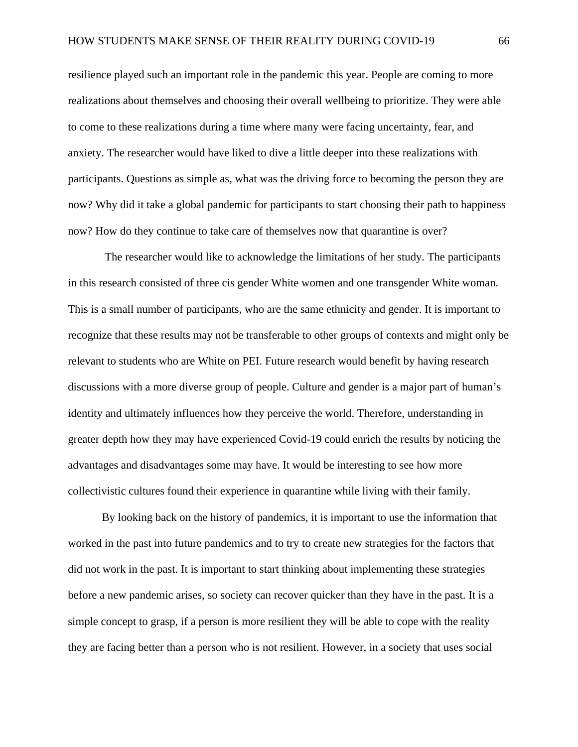resilience played such an important role in the pandemic this year. People are coming to more realizations about themselves and choosing their overall wellbeing to prioritize. They were able to come to these realizations during a time where many were facing uncertainty, fear, and anxiety. The researcher would have liked to dive a little deeper into these realizations with participants. Questions as simple as, what was the driving force to becoming the person they are now? Why did it take a global pandemic for participants to start choosing their path to happiness now? How do they continue to take care of themselves now that quarantine is over?

The researcher would like to acknowledge the limitations of her study. The participants in this research consisted of three cis gender White women and one transgender White woman. This is a small number of participants, who are the same ethnicity and gender. It is important to recognize that these results may not be transferable to other groups of contexts and might only be relevant to students who are White on PEI. Future research would benefit by having research discussions with a more diverse group of people. Culture and gender is a major part of human's identity and ultimately influences how they perceive the world. Therefore, understanding in greater depth how they may have experienced Covid-19 could enrich the results by noticing the advantages and disadvantages some may have. It would be interesting to see how more collectivistic cultures found their experience in quarantine while living with their family.

By looking back on the history of pandemics, it is important to use the information that worked in the past into future pandemics and to try to create new strategies for the factors that did not work in the past. It is important to start thinking about implementing these strategies before a new pandemic arises, so society can recover quicker than they have in the past. It is a simple concept to grasp, if a person is more resilient they will be able to cope with the reality they are facing better than a person who is not resilient. However, in a society that uses social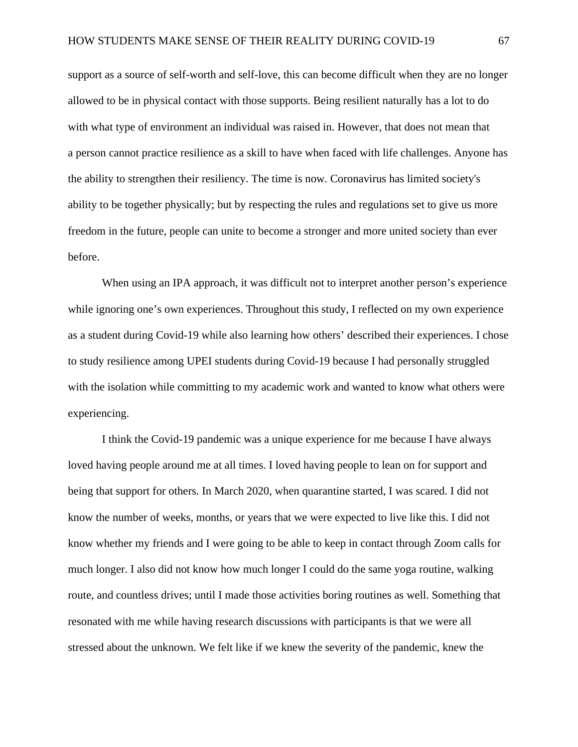support as a source of self-worth and self-love, this can become difficult when they are no longer allowed to be in physical contact with those supports. Being resilient naturally has a lot to do with what type of environment an individual was raised in. However, that does not mean that a person cannot practice resilience as a skill to have when faced with life challenges. Anyone has the ability to strengthen their resiliency. The time is now. Coronavirus has limited society's ability to be together physically; but by respecting the rules and regulations set to give us more freedom in the future, people can unite to become a stronger and more united society than ever before.

When using an IPA approach, it was difficult not to interpret another person's experience while ignoring one's own experiences. Throughout this study, I reflected on my own experience as a student during Covid-19 while also learning how others' described their experiences. I chose to study resilience among UPEI students during Covid-19 because I had personally struggled with the isolation while committing to my academic work and wanted to know what others were experiencing.

I think the Covid-19 pandemic was a unique experience for me because I have always loved having people around me at all times. I loved having people to lean on for support and being that support for others. In March 2020, when quarantine started, I was scared. I did not know the number of weeks, months, or years that we were expected to live like this. I did not know whether my friends and I were going to be able to keep in contact through Zoom calls for much longer. I also did not know how much longer I could do the same yoga routine, walking route, and countless drives; until I made those activities boring routines as well. Something that resonated with me while having research discussions with participants is that we were all stressed about the unknown. We felt like if we knew the severity of the pandemic, knew the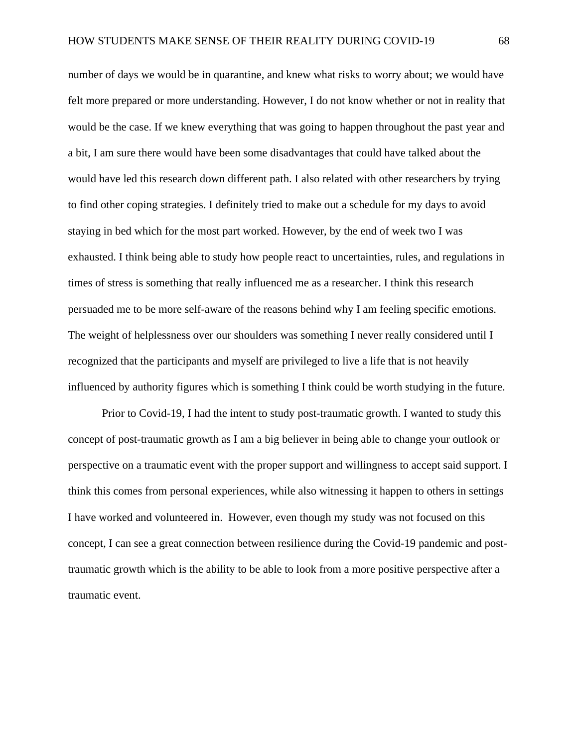number of days we would be in quarantine, and knew what risks to worry about; we would have felt more prepared or more understanding. However, I do not know whether or not in reality that would be the case. If we knew everything that was going to happen throughout the past year and a bit, I am sure there would have been some disadvantages that could have talked about the would have led this research down different path. I also related with other researchers by trying to find other coping strategies. I definitely tried to make out a schedule for my days to avoid staying in bed which for the most part worked. However, by the end of week two I was exhausted. I think being able to study how people react to uncertainties, rules, and regulations in times of stress is something that really influenced me as a researcher. I think this research persuaded me to be more self-aware of the reasons behind why I am feeling specific emotions. The weight of helplessness over our shoulders was something I never really considered until I recognized that the participants and myself are privileged to live a life that is not heavily influenced by authority figures which is something I think could be worth studying in the future.

Prior to Covid-19, I had the intent to study post-traumatic growth. I wanted to study this concept of post-traumatic growth as I am a big believer in being able to change your outlook or perspective on a traumatic event with the proper support and willingness to accept said support. I think this comes from personal experiences, while also witnessing it happen to others in settings I have worked and volunteered in. However, even though my study was not focused on this concept, I can see a great connection between resilience during the Covid-19 pandemic and posttraumatic growth which is the ability to be able to look from a more positive perspective after a traumatic event.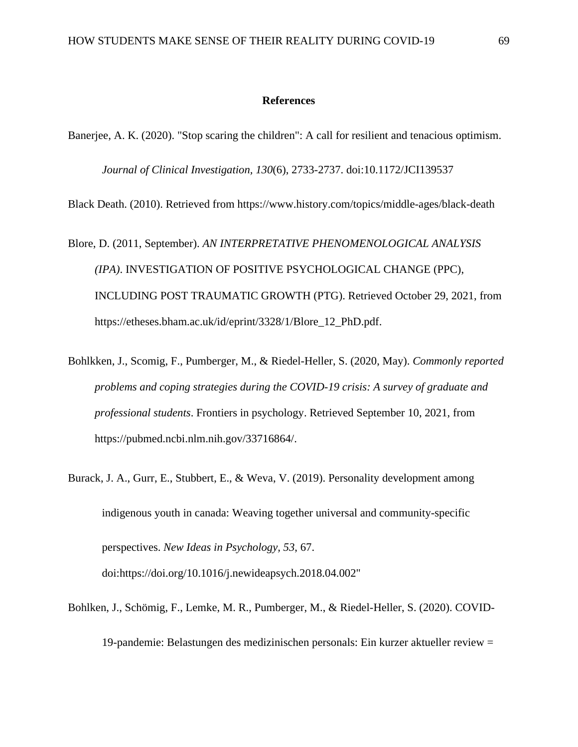### **References**

Banerjee, A. K. (2020). "Stop scaring the children": A call for resilient and tenacious optimism.

*Journal of Clinical Investigation, 130*(6), 2733-2737. doi:10.1172/JCI139537

Black Death. (2010). Retrieved from<https://www.history.com/topics/middle-ages/black-death>

# Blore, D. (2011, September). *AN INTERPRETATIVE PHENOMENOLOGICAL ANALYSIS (IPA)*. INVESTIGATION OF POSITIVE PSYCHOLOGICAL CHANGE (PPC), INCLUDING POST TRAUMATIC GROWTH (PTG). Retrieved October 29, 2021, from https://etheses.bham.ac.uk/id/eprint/3328/1/Blore\_12\_PhD.pdf.

- Bohlkken, J., Scomig, F., Pumberger, M., & Riedel-Heller, S. (2020, May). *Commonly reported problems and coping strategies during the COVID-19 crisis: A survey of graduate and professional students*. Frontiers in psychology. Retrieved September 10, 2021, from https://pubmed.ncbi.nlm.nih.gov/33716864/.
- Burack, J. A., Gurr, E., Stubbert, E., & Weva, V. (2019). Personality development among indigenous youth in canada: Weaving together universal and community-specific perspectives. *New Ideas in Psychology, 53*, 67. doi[:https://doi.org/10.1016/j.newideapsych.2018.04.002"](https://doi.org/10.1016/j.newideapsych.2018.04.002)
- Bohlken, J., Schömig, F., Lemke, M. R., Pumberger, M., & Riedel-Heller, S. (2020). COVID-

19-pandemie: Belastungen des medizinischen personals: Ein kurzer aktueller review =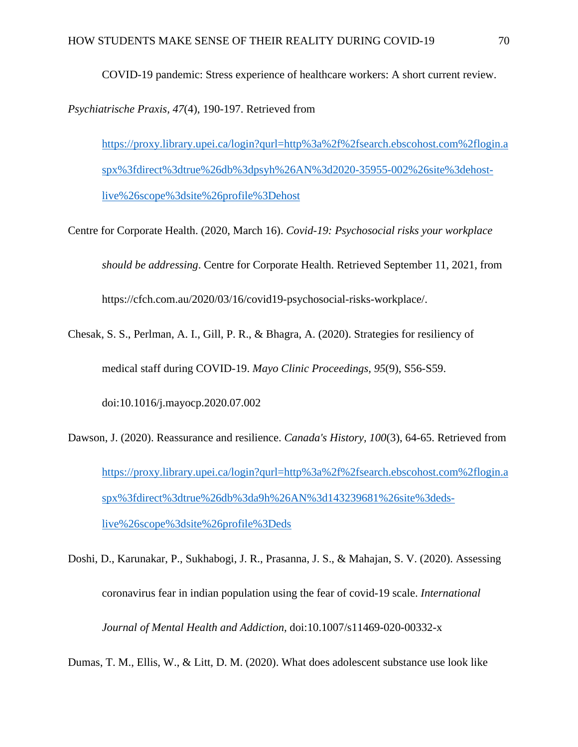COVID-19 pandemic: Stress experience of healthcare workers: A short current review.

*Psychiatrische Praxis, 47*(4), 190-197. Retrieved from

[https://proxy.library.upei.ca/login?qurl=http%3a%2f%2fsearch.ebscohost.com%2flogin.a](https://proxy.library.upei.ca/login?qurl=http%3a%2f%2fsearch.ebscohost.com%2flogin.aspx%3fdirect%3dtrue%26db%3dpsyh%26AN%3d2020-35955-002%26site%3dehost-live%26scope%3dsite%26profile%3Dehost) [spx%3fdirect%3dtrue%26db%3dpsyh%26AN%3d2020-35955-002%26site%3dehost](https://proxy.library.upei.ca/login?qurl=http%3a%2f%2fsearch.ebscohost.com%2flogin.aspx%3fdirect%3dtrue%26db%3dpsyh%26AN%3d2020-35955-002%26site%3dehost-live%26scope%3dsite%26profile%3Dehost)[live%26scope%3dsite%26profile%3Dehost](https://proxy.library.upei.ca/login?qurl=http%3a%2f%2fsearch.ebscohost.com%2flogin.aspx%3fdirect%3dtrue%26db%3dpsyh%26AN%3d2020-35955-002%26site%3dehost-live%26scope%3dsite%26profile%3Dehost)

- Centre for Corporate Health. (2020, March 16). *Covid-19: Psychosocial risks your workplace should be addressing*. Centre for Corporate Health. Retrieved September 11, 2021, from https://cfch.com.au/2020/03/16/covid19-psychosocial-risks-workplace/.
- Chesak, S. S., Perlman, A. I., Gill, P. R., & Bhagra, A. (2020). Strategies for resiliency of medical staff during COVID-19. *Mayo Clinic Proceedings, 95*(9), S56-S59. doi:10.1016/j.mayocp.2020.07.002
- Dawson, J. (2020). Reassurance and resilience. *Canada's History, 100*(3), 64-65. Retrieved from [https://proxy.library.upei.ca/login?qurl=http%3a%2f%2fsearch.ebscohost.com%2flogin.a](https://proxy.library.upei.ca/login?qurl=http%3a%2f%2fsearch.ebscohost.com%2flogin.aspx%3fdirect%3dtrue%26db%3da9h%26AN%3d143239681%26site%3deds-live%26scope%3dsite%26profile%3Deds) [spx%3fdirect%3dtrue%26db%3da9h%26AN%3d143239681%26site%3deds](https://proxy.library.upei.ca/login?qurl=http%3a%2f%2fsearch.ebscohost.com%2flogin.aspx%3fdirect%3dtrue%26db%3da9h%26AN%3d143239681%26site%3deds-live%26scope%3dsite%26profile%3Deds)[live%26scope%3dsite%26profile%3Deds](https://proxy.library.upei.ca/login?qurl=http%3a%2f%2fsearch.ebscohost.com%2flogin.aspx%3fdirect%3dtrue%26db%3da9h%26AN%3d143239681%26site%3deds-live%26scope%3dsite%26profile%3Deds)

Doshi, D., Karunakar, P., Sukhabogi, J. R., Prasanna, J. S., & Mahajan, S. V. (2020). Assessing coronavirus fear in indian population using the fear of covid-19 scale. *International Journal of Mental Health and Addiction,* doi:10.1007/s11469-020-00332-x

Dumas, T. M., Ellis, W., & Litt, D. M. (2020). What does adolescent substance use look like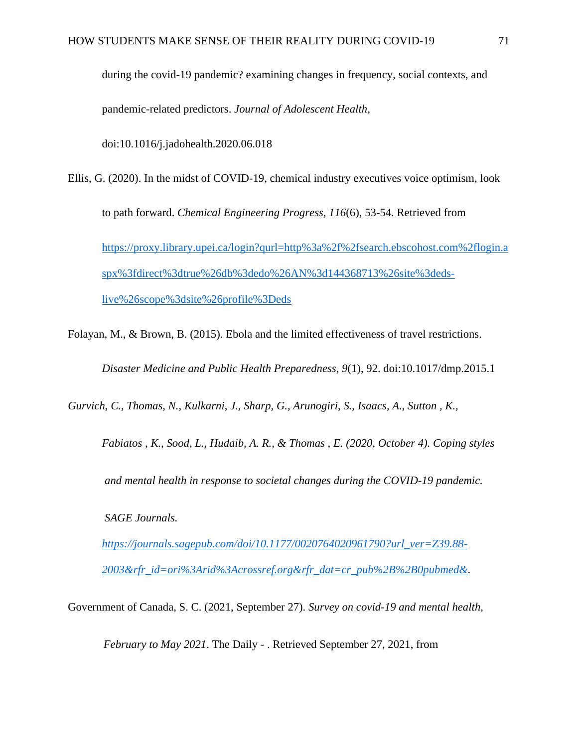during the covid-19 pandemic? examining changes in frequency, social contexts, and pandemic-related predictors. *Journal of Adolescent Health,* 

doi:10.1016/j.jadohealth.2020.06.018

Ellis, G. (2020). In the midst of COVID-19, chemical industry executives voice optimism, look to path forward. *Chemical Engineering Progress, 116*(6), 53-54. Retrieved from [https://proxy.library.upei.ca/login?qurl=http%3a%2f%2fsearch.ebscohost.com%2flogin.a](https://proxy.library.upei.ca/login?qurl=http%3a%2f%2fsearch.ebscohost.com%2flogin.aspx%3fdirect%3dtrue%26db%3dedo%26AN%3d144368713%26site%3deds-live%26scope%3dsite%26profile%3Deds) [spx%3fdirect%3dtrue%26db%3dedo%26AN%3d144368713%26site%3deds](https://proxy.library.upei.ca/login?qurl=http%3a%2f%2fsearch.ebscohost.com%2flogin.aspx%3fdirect%3dtrue%26db%3dedo%26AN%3d144368713%26site%3deds-live%26scope%3dsite%26profile%3Deds)[live%26scope%3dsite%26profile%3Deds](https://proxy.library.upei.ca/login?qurl=http%3a%2f%2fsearch.ebscohost.com%2flogin.aspx%3fdirect%3dtrue%26db%3dedo%26AN%3d144368713%26site%3deds-live%26scope%3dsite%26profile%3Deds)

Folayan, M., & Brown, B. (2015). Ebola and the limited effectiveness of travel restrictions.

*Disaster Medicine and Public Health Preparedness, 9*(1), 92. doi:10.1017/dmp.2015.1

*Gurvich, C., Thomas, N., Kulkarni, J., Sharp, G., Arunogiri, S., Isaacs, A., Sutton , K.,* 

*Fabiatos , K., Sood, L., Hudaib, A. R., & Thomas , E. (2020, October 4). Coping styles and mental health in response to societal changes during the COVID-19 pandemic. SAGE Journals.* 

*[https://journals.sagepub.com/doi/10.1177/0020764020961790?url\\_ver=Z39.88-](https://journals.sagepub.com/doi/10.1177/0020764020961790?url_ver=Z39.88-2003&rfr_id=ori%3Arid%3Acrossref.org&rfr_dat=cr_pub%2B%2B0pubmed&) [2003&rfr\\_id=ori%3Arid%3Acrossref.org&rfr\\_dat=cr\\_pub%2B%2B0pubmed&.](https://journals.sagepub.com/doi/10.1177/0020764020961790?url_ver=Z39.88-2003&rfr_id=ori%3Arid%3Acrossref.org&rfr_dat=cr_pub%2B%2B0pubmed&)* 

Government of Canada, S. C. (2021, September 27). *Survey on covid-19 and mental health,* 

*February to May 2021*. The Daily - . Retrieved September 27, 2021, from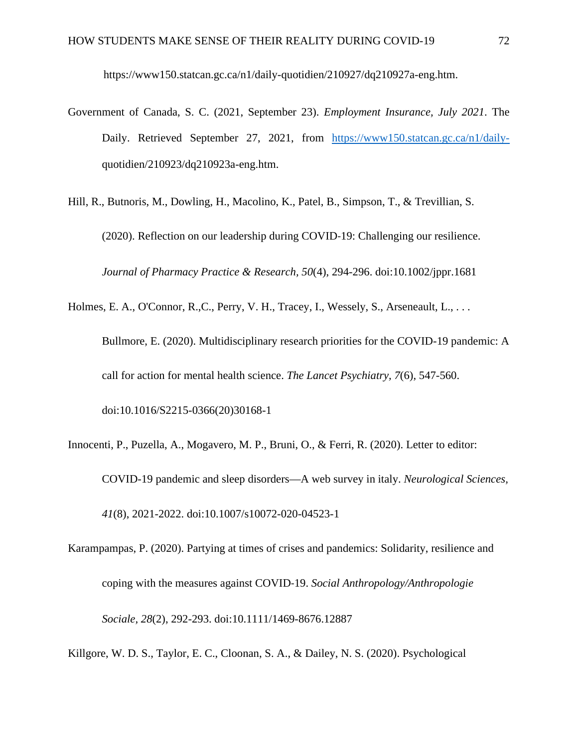https://www150.statcan.gc.ca/n1/daily-quotidien/210927/dq210927a-eng.htm.

Government of Canada, S. C. (2021, September 23). *Employment Insurance, July 2021*. The Daily. Retrieved September 27, 2021, from [https://www150.statcan.gc.ca/n1/daily](https://www150.statcan.gc.ca/n1/daily-)quotidien/210923/dq210923a-eng.htm.

Hill, R., Butnoris, M., Dowling, H., Macolino, K., Patel, B., Simpson, T., & Trevillian, S.

(2020). Reflection on our leadership during COVID‐19: Challenging our resilience.

*Journal of Pharmacy Practice & Research, 50*(4), 294-296. doi:10.1002/jppr.1681

Holmes, E. A., O'Connor, R.,C., Perry, V. H., Tracey, I., Wessely, S., Arseneault, L., ...

Bullmore, E. (2020). Multidisciplinary research priorities for the COVID-19 pandemic: A call for action for mental health science. *The Lancet Psychiatry, 7*(6), 547-560. doi:10.1016/S2215-0366(20)30168-1

- Innocenti, P., Puzella, A., Mogavero, M. P., Bruni, O., & Ferri, R. (2020). Letter to editor: COVID-19 pandemic and sleep disorders—A web survey in italy. *Neurological Sciences, 41*(8), 2021-2022. doi:10.1007/s10072-020-04523-1
- Karampampas, P. (2020). Partying at times of crises and pandemics: Solidarity, resilience and coping with the measures against COVID‐19. *Social Anthropology/Anthropologie Sociale, 28*(2), 292-293. doi:10.1111/1469-8676.12887
- Killgore, W. D. S., Taylor, E. C., Cloonan, S. A., & Dailey, N. S. (2020). Psychological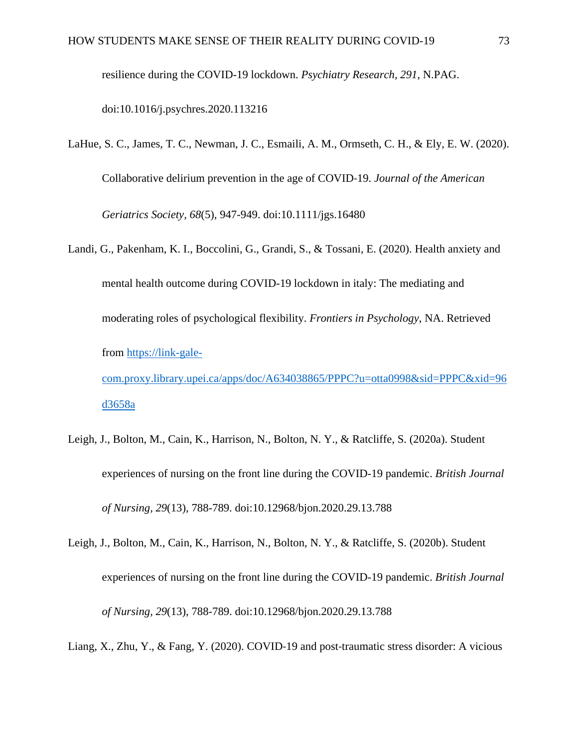resilience during the COVID-19 lockdown. *Psychiatry Research, 291*, N.PAG.

doi:10.1016/j.psychres.2020.113216

- LaHue, S. C., James, T. C., Newman, J. C., Esmaili, A. M., Ormseth, C. H., & Ely, E. W. (2020). Collaborative delirium prevention in the age of COVID‐19. *Journal of the American Geriatrics Society, 68*(5), 947-949. doi:10.1111/jgs.16480
- Landi, G., Pakenham, K. I., Boccolini, G., Grandi, S., & Tossani, E. (2020). Health anxiety and mental health outcome during COVID-19 lockdown in italy: The mediating and moderating roles of psychological flexibility. *Frontiers in Psychology*, NA. Retrieved from [https://link-gale](https://link-gale-com.proxy.library.upei.ca/apps/doc/A634038865/PPPC?u=otta0998&sid=PPPC&xid=96d3658a)[com.proxy.library.upei.ca/apps/doc/A634038865/PPPC?u=otta0998&sid=PPPC&xid=96](https://link-gale-com.proxy.library.upei.ca/apps/doc/A634038865/PPPC?u=otta0998&sid=PPPC&xid=96d3658a) [d3658a](https://link-gale-com.proxy.library.upei.ca/apps/doc/A634038865/PPPC?u=otta0998&sid=PPPC&xid=96d3658a)
- Leigh, J., Bolton, M., Cain, K., Harrison, N., Bolton, N. Y., & Ratcliffe, S. (2020a). Student experiences of nursing on the front line during the COVID-19 pandemic. *British Journal of Nursing, 29*(13), 788-789. doi:10.12968/bjon.2020.29.13.788
- Leigh, J., Bolton, M., Cain, K., Harrison, N., Bolton, N. Y., & Ratcliffe, S. (2020b). Student experiences of nursing on the front line during the COVID-19 pandemic. *British Journal of Nursing, 29*(13), 788-789. doi:10.12968/bjon.2020.29.13.788

Liang, X., Zhu, Y., & Fang, Y. (2020). COVID-19 and post-traumatic stress disorder: A vicious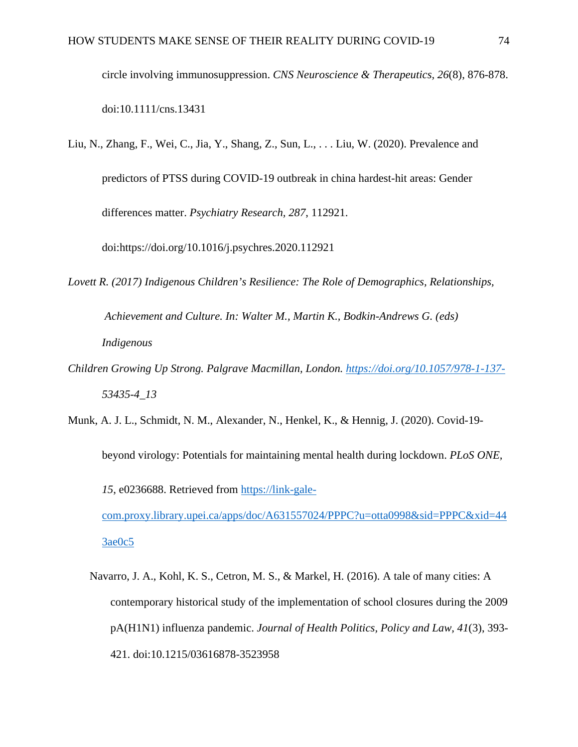circle involving immunosuppression. *CNS Neuroscience & Therapeutics, 26*(8), 876-878. doi:10.1111/cns.13431

Liu, N., Zhang, F., Wei, C., Jia, Y., Shang, Z., Sun, L., . . . Liu, W. (2020). Prevalence and predictors of PTSS during COVID-19 outbreak in china hardest-hit areas: Gender differences matter. *Psychiatry Research, 287*, 112921.

doi[:https://doi.org/10.1016/j.psychres.2020.112921](https://doi.org/10.1016/j.psychres.2020.112921)

- *Lovett R. (2017) Indigenous Children's Resilience: The Role of Demographics, Relationships, Achievement and Culture. In: Walter M., Martin K., Bodkin-Andrews G. (eds) Indigenous*
- *Children Growing Up Strong. Palgrave Macmillan, London.<https://doi.org/10.1057/978-1-137-> 53435-4\_13*
- Munk, A. J. L., Schmidt, N. M., Alexander, N., Henkel, K., & Hennig, J. (2020). Covid-19-

beyond virology: Potentials for maintaining mental health during lockdown. *PLoS ONE,* 

*15*, e0236688. Retrieved from [https://link-gale-](https://link-gale-com.proxy.library.upei.ca/apps/doc/A631557024/PPPC?u=otta0998&sid=PPPC&xid=443ae0c5)

[com.proxy.library.upei.ca/apps/doc/A631557024/PPPC?u=otta0998&sid=PPPC&xid=44](https://link-gale-com.proxy.library.upei.ca/apps/doc/A631557024/PPPC?u=otta0998&sid=PPPC&xid=443ae0c5) [3ae0c5](https://link-gale-com.proxy.library.upei.ca/apps/doc/A631557024/PPPC?u=otta0998&sid=PPPC&xid=443ae0c5)

Navarro, J. A., Kohl, K. S., Cetron, M. S., & Markel, H. (2016). A tale of many cities: A contemporary historical study of the implementation of school closures during the 2009 pA(H1N1) influenza pandemic. *Journal of Health Politics, Policy and Law, 41*(3), 393- 421. doi:10.1215/03616878-3523958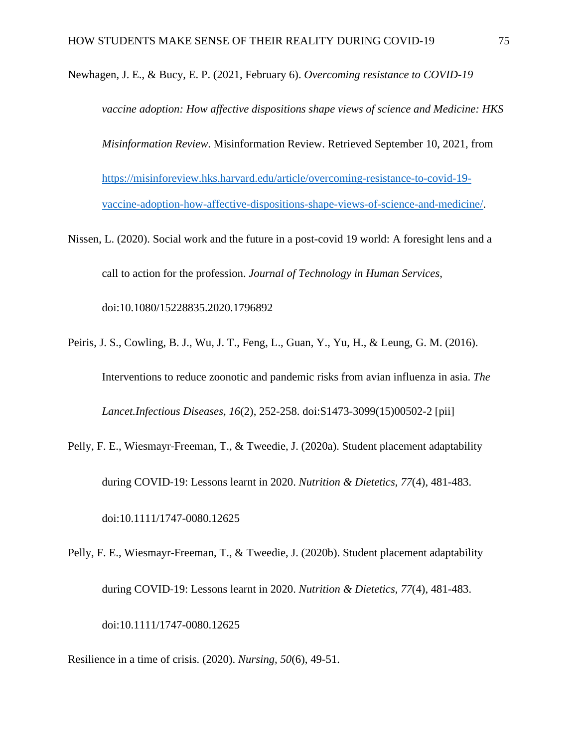Newhagen, J. E., & Bucy, E. P. (2021, February 6). *Overcoming resistance to COVID-19* 

*vaccine adoption: How affective dispositions shape views of science and Medicine: HKS Misinformation Review*. Misinformation Review. Retrieved September 10, 2021, from [https://misinforeview.hks.harvard.edu/article/overcoming-resistance-to-covid-19](https://misinforeview.hks.harvard.edu/article/overcoming-resistance-to-covid-19-vaccine-adoption-how-affective-dispositions-shape-views-of-science-and-medicine/) [vaccine-adoption-how-affective-dispositions-shape-views-of-science-and-medicine/.](https://misinforeview.hks.harvard.edu/article/overcoming-resistance-to-covid-19-vaccine-adoption-how-affective-dispositions-shape-views-of-science-and-medicine/)

- Nissen, L. (2020). Social work and the future in a post-covid 19 world: A foresight lens and a call to action for the profession. *Journal of Technology in Human Services,*  doi:10.1080/15228835.2020.1796892
- Peiris, J. S., Cowling, B. J., Wu, J. T., Feng, L., Guan, Y., Yu, H., & Leung, G. M. (2016). Interventions to reduce zoonotic and pandemic risks from avian influenza in asia. *The Lancet.Infectious Diseases, 16*(2), 252-258. doi:S1473-3099(15)00502-2 [pii]
- Pelly, F. E., Wiesmayr‐Freeman, T., & Tweedie, J. (2020a). Student placement adaptability during COVID‐19: Lessons learnt in 2020. *Nutrition & Dietetics, 77*(4), 481-483. doi:10.1111/1747-0080.12625
- Pelly, F. E., Wiesmayr‐Freeman, T., & Tweedie, J. (2020b). Student placement adaptability during COVID‐19: Lessons learnt in 2020. *Nutrition & Dietetics, 77*(4), 481-483. doi:10.1111/1747-0080.12625

Resilience in a time of crisis. (2020). *Nursing, 50*(6), 49-51.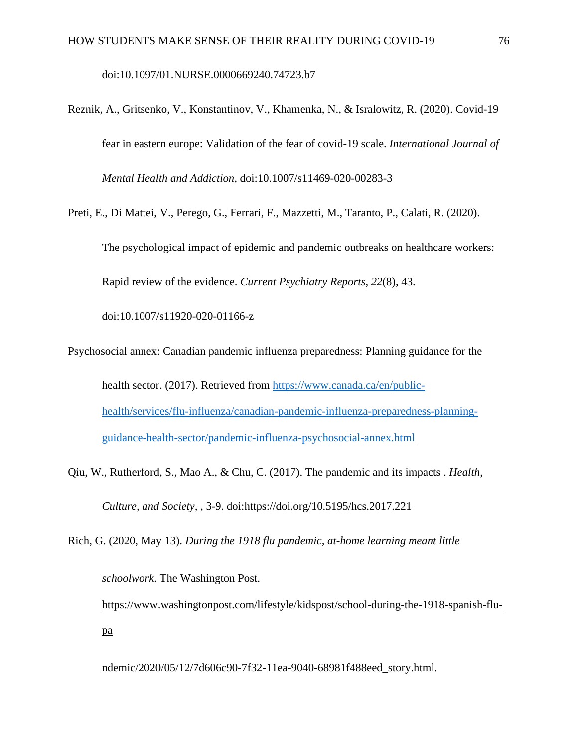doi:10.1097/01.NURSE.0000669240.74723.b7

- Reznik, A., Gritsenko, V., Konstantinov, V., Khamenka, N., & Isralowitz, R. (2020). Covid-19 fear in eastern europe: Validation of the fear of covid-19 scale. *International Journal of Mental Health and Addiction,* doi:10.1007/s11469-020-00283-3
- Preti, E., Di Mattei, V., Perego, G., Ferrari, F., Mazzetti, M., Taranto, P., Calati, R. (2020). The psychological impact of epidemic and pandemic outbreaks on healthcare workers: Rapid review of the evidence. *Current Psychiatry Reports, 22*(8), 43.

doi:10.1007/s11920-020-01166-z

- Psychosocial annex: Canadian pandemic influenza preparedness: Planning guidance for the health sector. (2017). Retrieved from [https://www.canada.ca/en/public](https://www.canada.ca/en/public-health/services/flu-influenza/canadian-pandemic-influenza-preparedness-planning-guidance-health-sector/pandemic-influenza-psychosocial-annex.html)[health/services/flu-influenza/canadian-pandemic-influenza-preparedness-planning](https://www.canada.ca/en/public-health/services/flu-influenza/canadian-pandemic-influenza-preparedness-planning-guidance-health-sector/pandemic-influenza-psychosocial-annex.html)[guidance-health-sector/pandemic-influenza-psychosocial-annex.html](https://www.canada.ca/en/public-health/services/flu-influenza/canadian-pandemic-influenza-preparedness-planning-guidance-health-sector/pandemic-influenza-psychosocial-annex.html)
- Qiu, W., Rutherford, S., Mao A., & Chu, C. (2017). The pandemic and its impacts . *Health, Culture, and Society,* , 3-9. doi[:https://doi.org/10.5195/hcs.2017.221](https://doi.org/10.5195/hcs.2017.221)

Rich, G. (2020, May 13). *During the 1918 flu pandemic, at-home learning meant little* 

*schoolwork*. The Washington Post. [https://www.washingtonpost.com/lifestyle/kidspost/school-during-the-1918-spanish-flu](https://www.washingtonpost.com/lifestyle/kidspost/school-during-the-1918-spanish-flu-pa)[pa](https://www.washingtonpost.com/lifestyle/kidspost/school-during-the-1918-spanish-flu-pa)

ndemic/2020/05/12/7d606c90-7f32-11ea-9040-68981f488eed\_story.html.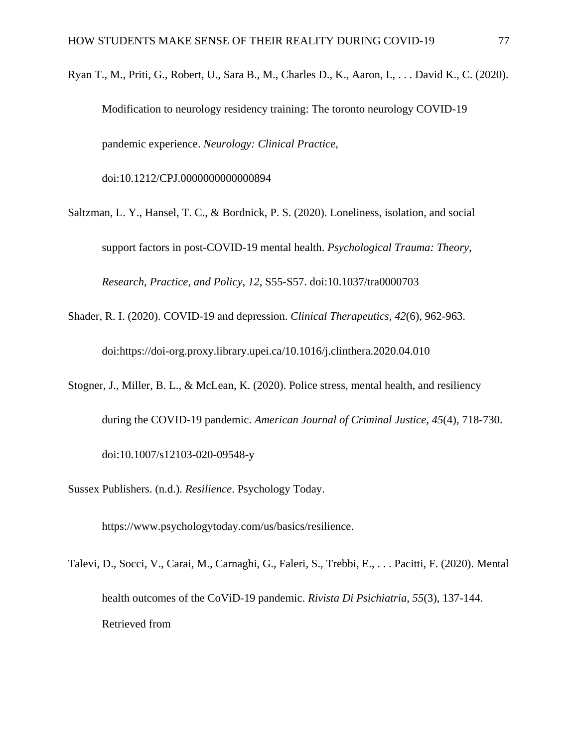Ryan T., M., Priti, G., Robert, U., Sara B., M., Charles D., K., Aaron, I., . . . David K., C. (2020). Modification to neurology residency training: The toronto neurology COVID-19 pandemic experience. *Neurology: Clinical Practice,* 

doi:10.1212/CPJ.0000000000000894

- Saltzman, L. Y., Hansel, T. C., & Bordnick, P. S. (2020). Loneliness, isolation, and social support factors in post-COVID-19 mental health. *Psychological Trauma: Theory, Research, Practice, and Policy, 12*, S55-S57. doi:10.1037/tra0000703
- Shader, R. I. (2020). COVID-19 and depression. *Clinical Therapeutics, 42*(6), 962-963. doi[:https://doi-org.proxy.library.upei.ca/10.1016/j.clinthera.2020.04.010](https://doi-org.proxy.library.upei.ca/10.1016/j.clinthera.2020.04.010)
- Stogner, J., Miller, B. L., & McLean, K. (2020). Police stress, mental health, and resiliency during the COVID-19 pandemic. *American Journal of Criminal Justice, 45*(4), 718-730. doi:10.1007/s12103-020-09548-y
- Sussex Publishers. (n.d.). *Resilience*. Psychology Today.

https://www.psychologytoday.com/us/basics/resilience.

Talevi, D., Socci, V., Carai, M., Carnaghi, G., Faleri, S., Trebbi, E., . . . Pacitti, F. (2020). Mental health outcomes of the CoViD-19 pandemic. *Rivista Di Psichiatria, 55*(3), 137-144. Retrieved from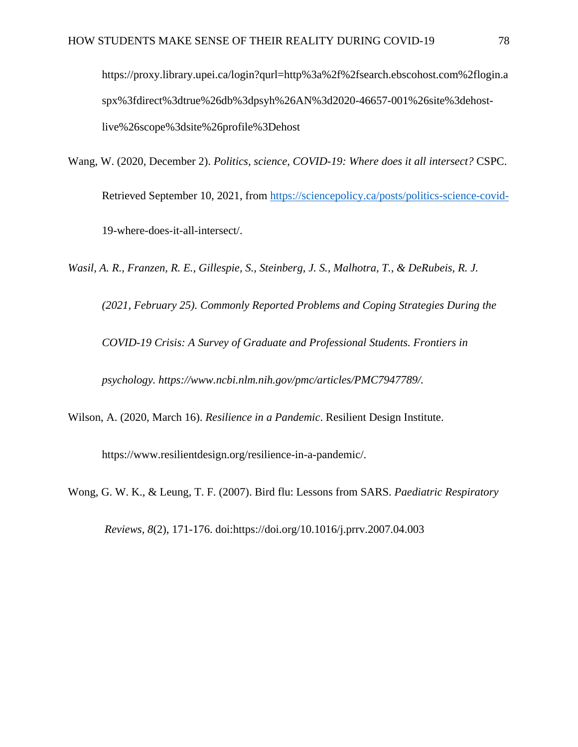[https://proxy.library.upei.ca/login?qurl=http%3a%2f%2fsearch.ebscohost.com%2flogin.a](https://proxy.library.upei.ca/login?qurl=http%3a%2f%2fsearch.ebscohost.com%2flogin.aspx%3fdirect%3dtrue%26db%3dpsyh%26AN%3d2020-46657-001%26site%3dehost-live%26scope%3dsite%26profile%3Dehost) [spx%3fdirect%3dtrue%26db%3dpsyh%26AN%3d2020-46657-001%26site%3dehost](https://proxy.library.upei.ca/login?qurl=http%3a%2f%2fsearch.ebscohost.com%2flogin.aspx%3fdirect%3dtrue%26db%3dpsyh%26AN%3d2020-46657-001%26site%3dehost-live%26scope%3dsite%26profile%3Dehost)[live%26scope%3dsite%26profile%3Dehost](https://proxy.library.upei.ca/login?qurl=http%3a%2f%2fsearch.ebscohost.com%2flogin.aspx%3fdirect%3dtrue%26db%3dpsyh%26AN%3d2020-46657-001%26site%3dehost-live%26scope%3dsite%26profile%3Dehost)

- Wang, W. (2020, December 2). *Politics, science, COVID-19: Where does it all intersect?* CSPC. Retrieved September 10, 2021, from<https://sciencepolicy.ca/posts/politics-science-covid->19-where-does-it-all-intersect/.
- *Wasil, A. R., Franzen, R. E., Gillespie, S., Steinberg, J. S., Malhotra, T., & DeRubeis, R. J. (2021, February 25). Commonly Reported Problems and Coping Strategies During the COVID-19 Crisis: A Survey of Graduate and Professional Students. Frontiers in psychology. https://www.ncbi.nlm.nih.gov/pmc/articles/PMC7947789/.*
- Wilson, A. (2020, March 16). *Resilience in a Pandemic*. Resilient Design Institute.

https://www.resilientdesign.org/resilience-in-a-pandemic/.

Wong, G. W. K., & Leung, T. F. (2007). Bird flu: Lessons from SARS. *Paediatric Respiratory*

*Reviews, 8*(2), 171-176. doi[:https://doi.org/10.1016/j.prrv.2007.04.003](https://doi.org/10.1016/j.prrv.2007.04.003)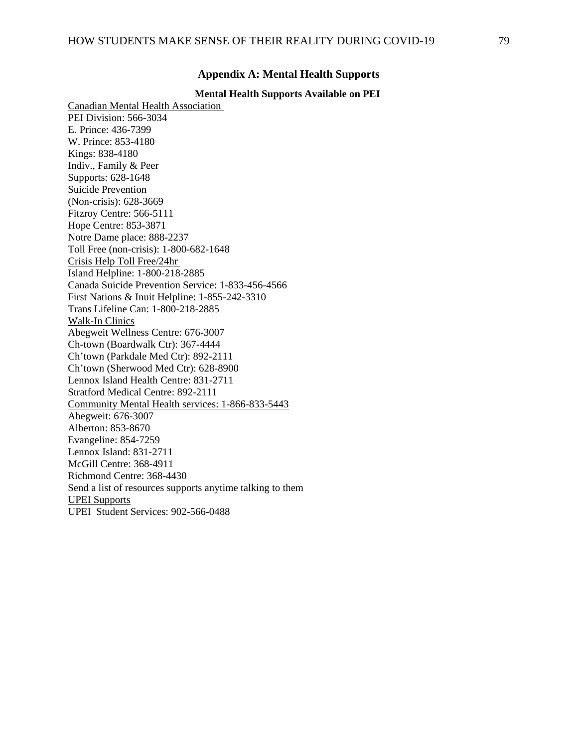#### **Appendix A: Mental Health Supports**

#### **Mental Health Supports Available on PEI**

Canadian Mental Health Association PEI Division: 566-3034 E. Prince: 436-7399 W. Prince: 853-4180 Kings: 838-4180 Indiv., Family & Peer Supports: 628-1648 Suicide Prevention (Non-crisis): 628-3669 Fitzroy Centre: 566-5111 Hope Centre: 853-3871 Notre Dame place: 888-2237 Toll Free (non-crisis): 1-800-682-1648 Crisis Help Toll Free/24hr Island Helpline: 1-800-218-2885 Canada Suicide Prevention Service: 1-833-456-4566 First Nations & Inuit Helpline: 1-855-242-3310 Trans Lifeline Can: 1-800-218-2885 Walk-In Clinics Abegweit Wellness Centre: 676-3007 Ch-town (Boardwalk Ctr): 367-4444 Ch'town (Parkdale Med Ctr): 892-2111 Ch'town (Sherwood Med Ctr): 628-8900 Lennox Island Health Centre: 831-2711 Stratford Medical Centre: 892-2111 Community Mental Health services: 1-866-833-5443 Abegweit: 676-3007 Alberton: 853-8670 Evangeline: 854-7259 Lennox Island: 831-2711 McGill Centre: 368-4911 Richmond Centre: 368-4430 Send a list of resources supports anytime talking to them UPEI Supports UPEI Student Services: 902-566-0488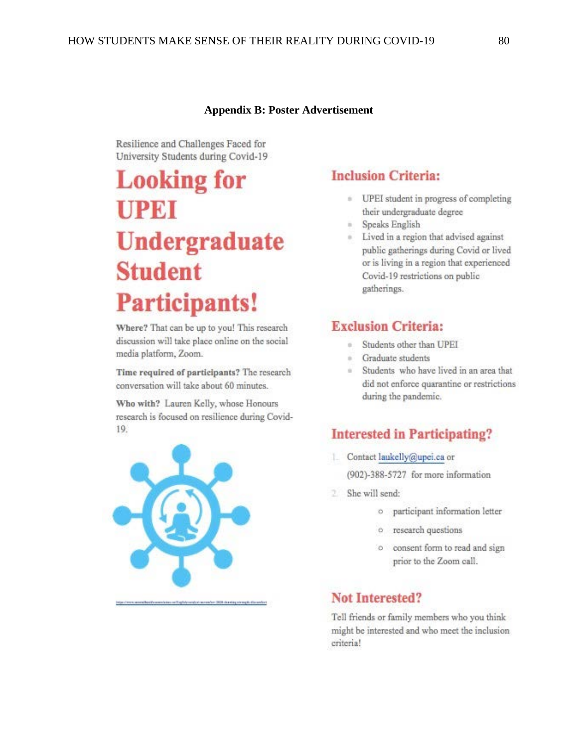#### **Appendix B: Poster Advertisement**

Resilience and Challenges Faced for University Students during Covid-19

# **Looking for UPEI Undergraduate Student Participants!**

Where? That can be up to you! This research discussion will take place online on the social media platform, Zoom.

Time required of participants? The research conversation will take about 60 minutes.

Who with? Lauren Kelly, whose Honours research is focused on resilience during Covid-19.



# **Inclusion Criteria:**

- UPEI student in progress of completing their undergraduate degree
- Speaks English
- Lived in a region that advised against public gatherings during Covid or lived or is living in a region that experienced Covid-19 restrictions on public gatherings.

# **Exclusion Criteria:**

- · Students other than UPEI
- · Graduate students
- Students who have lived in an area that did not enforce quarantine or restrictions during the pandemic.

# **Interested in Participating?**

- Contact laukelly@upei.ca or (902)-388-5727 for more information
- 2 She will send:
	- o participant information letter
	- o research questions
	- o consent form to read and sign prior to the Zoom call.

# **Not Interested?**

Tell friends or family members who you think might be interested and who meet the inclusion criteria!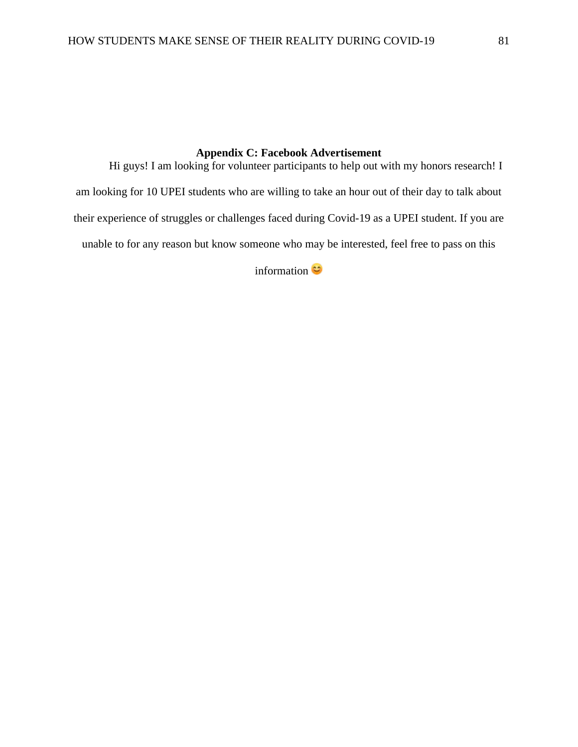# **Appendix C: Facebook Advertisement**

Hi guys! I am looking for volunteer participants to help out with my honors research! I am looking for 10 UPEI students who are willing to take an hour out of their day to talk about their experience of struggles or challenges faced during Covid-19 as a UPEI student. If you are unable to for any reason but know someone who may be interested, feel free to pass on this

information<sup>c</sup>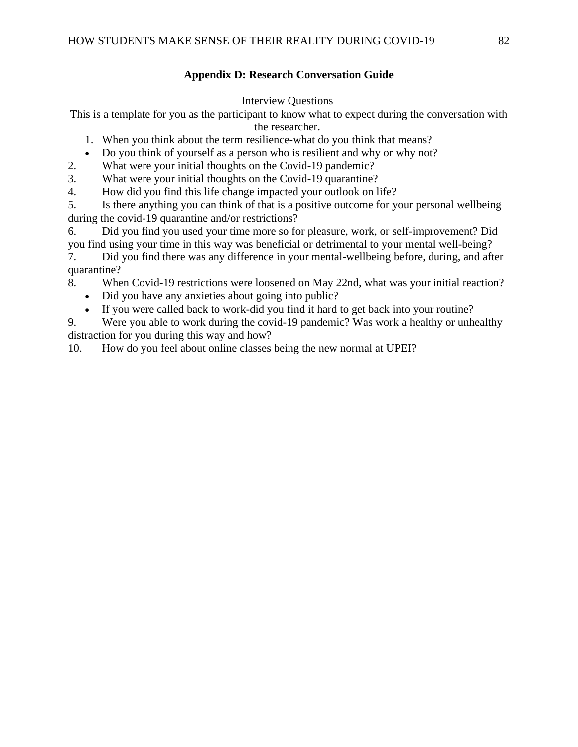# **Appendix D: Research Conversation Guide**

Interview Questions

This is a template for you as the participant to know what to expect during the conversation with the researcher.

- 1. When you think about the term resilience-what do you think that means?
- Do you think of yourself as a person who is resilient and why or why not?
- 2. What were your initial thoughts on the Covid-19 pandemic?
- 3. What were your initial thoughts on the Covid-19 quarantine?
- 4. How did you find this life change impacted your outlook on life?

5. Is there anything you can think of that is a positive outcome for your personal wellbeing during the covid-19 quarantine and/or restrictions?

6. Did you find you used your time more so for pleasure, work, or self-improvement? Did you find using your time in this way was beneficial or detrimental to your mental well-being?

7. Did you find there was any difference in your mental-wellbeing before, during, and after quarantine?

8. When Covid-19 restrictions were loosened on May 22nd, what was your initial reaction?

- Did you have any anxieties about going into public?
- If you were called back to work-did you find it hard to get back into your routine?

9. Were you able to work during the covid-19 pandemic? Was work a healthy or unhealthy distraction for you during this way and how?

10. How do you feel about online classes being the new normal at UPEI?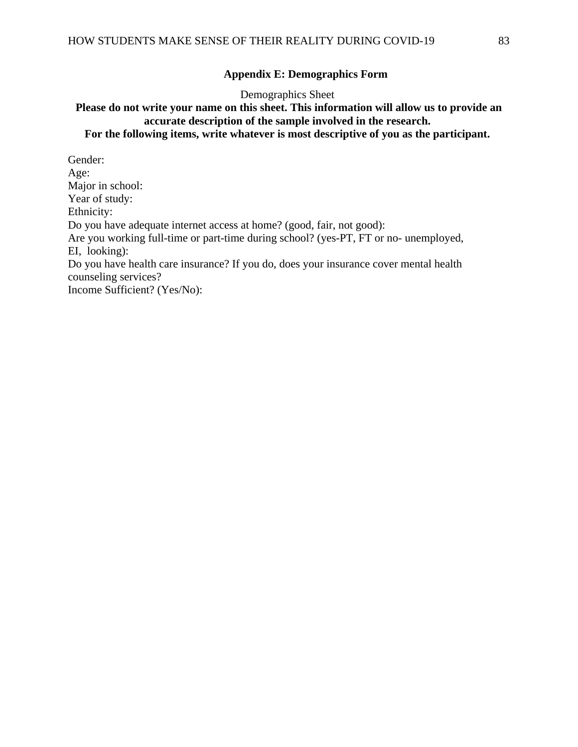## **Appendix E: Demographics Form**

Demographics Sheet

# **Please do not write your name on this sheet. This information will allow us to provide an accurate description of the sample involved in the research. For the following items, write whatever is most descriptive of you as the participant.**

Gender: Age: Major in school: Year of study: Ethnicity: Do you have adequate internet access at home? (good, fair, not good): Are you working full-time or part-time during school? (yes-PT, FT or no- unemployed, EI, looking): Do you have health care insurance? If you do, does your insurance cover mental health counseling services? Income Sufficient? (Yes/No):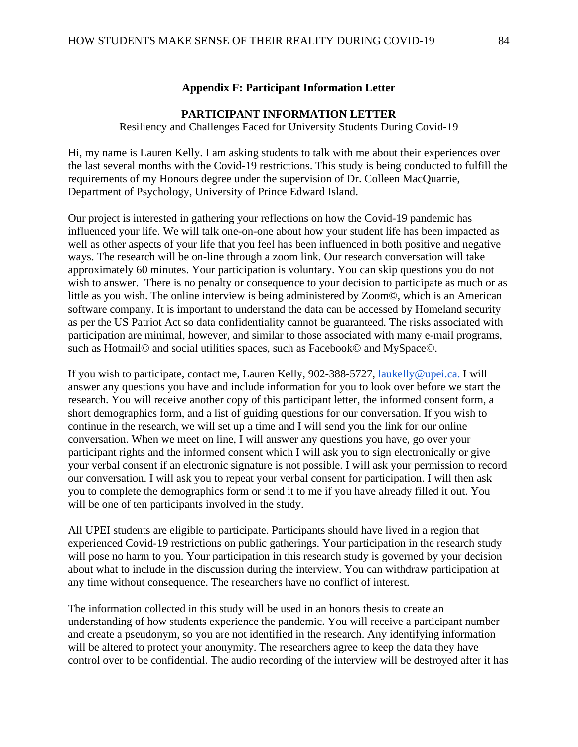#### **Appendix F: Participant Information Letter**

## **PARTICIPANT INFORMATION LETTER** Resiliency and Challenges Faced for University Students During Covid-19

Hi, my name is Lauren Kelly. I am asking students to talk with me about their experiences over the last several months with the Covid-19 restrictions. This study is being conducted to fulfill the requirements of my Honours degree under the supervision of Dr. Colleen MacQuarrie, Department of Psychology, University of Prince Edward Island.

Our project is interested in gathering your reflections on how the Covid-19 pandemic has influenced your life. We will talk one-on-one about how your student life has been impacted as well as other aspects of your life that you feel has been influenced in both positive and negative ways. The research will be on-line through a zoom link. Our research conversation will take approximately 60 minutes. Your participation is voluntary. You can skip questions you do not wish to answer. There is no penalty or consequence to your decision to participate as much or as little as you wish. The online interview is being administered by Zoom©, which is an American software company. It is important to understand the data can be accessed by Homeland security as per the US Patriot Act so data confidentiality cannot be guaranteed. The risks associated with participation are minimal, however, and similar to those associated with many e-mail programs, such as Hotmail© and social utilities spaces, such as Facebook© and MySpace©.

If you wish to participate, contact me, Lauren Kelly, 902-388-5727, [laukelly@upei.ca.](mailto:laukelly@upei.ca) I will answer any questions you have and include information for you to look over before we start the research. You will receive another copy of this participant letter, the informed consent form, a short demographics form, and a list of guiding questions for our conversation. If you wish to continue in the research, we will set up a time and I will send you the link for our online conversation. When we meet on line, I will answer any questions you have, go over your participant rights and the informed consent which I will ask you to sign electronically or give your verbal consent if an electronic signature is not possible. I will ask your permission to record our conversation. I will ask you to repeat your verbal consent for participation. I will then ask you to complete the demographics form or send it to me if you have already filled it out. You will be one of ten participants involved in the study.

All UPEI students are eligible to participate. Participants should have lived in a region that experienced Covid-19 restrictions on public gatherings. Your participation in the research study will pose no harm to you. Your participation in this research study is governed by your decision about what to include in the discussion during the interview. You can withdraw participation at any time without consequence. The researchers have no conflict of interest.

The information collected in this study will be used in an honors thesis to create an understanding of how students experience the pandemic. You will receive a participant number and create a pseudonym, so you are not identified in the research. Any identifying information will be altered to protect your anonymity. The researchers agree to keep the data they have control over to be confidential. The audio recording of the interview will be destroyed after it has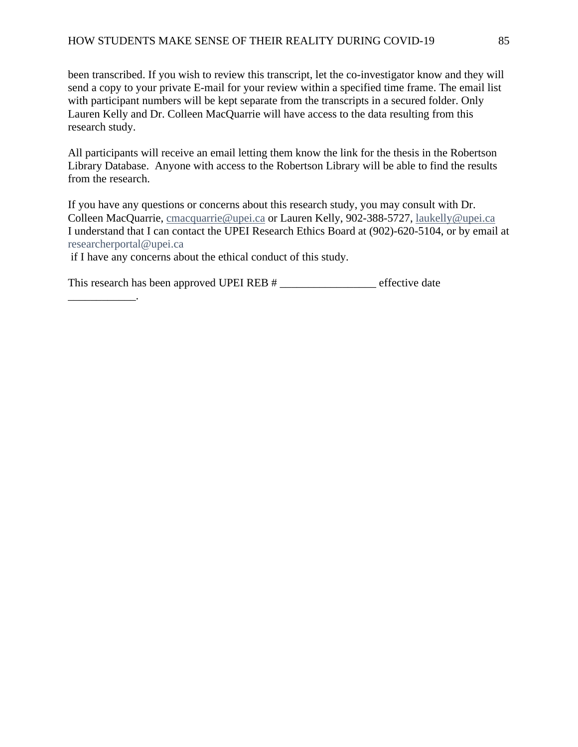been transcribed. If you wish to review this transcript, let the co-investigator know and they will send a copy to your private E-mail for your review within a specified time frame. The email list with participant numbers will be kept separate from the transcripts in a secured folder. Only Lauren Kelly and Dr. Colleen MacQuarrie will have access to the data resulting from this research study.

All participants will receive an email letting them know the link for the thesis in the Robertson Library Database. Anyone with access to the Robertson Library will be able to find the results from the research.

If you have any questions or concerns about this research study, you may consult with Dr. Colleen MacQuarrie, [cmacquarrie@upei.ca](mailto:cmacquarrie@upei.ca) or Lauren Kelly, 902-388-5727, [laukelly@upei.ca](mailto:laukelly@upei.ca) I understand that I can contact the UPEI Research Ethics Board at (902)-620-5104, or by email at researcherportal@upei.ca

if I have any concerns about the ethical conduct of this study.

\_\_\_\_\_\_\_\_\_\_\_\_.

This research has been approved UPEI REB # \_\_\_\_\_\_\_\_\_\_\_\_\_\_\_\_\_\_\_ effective date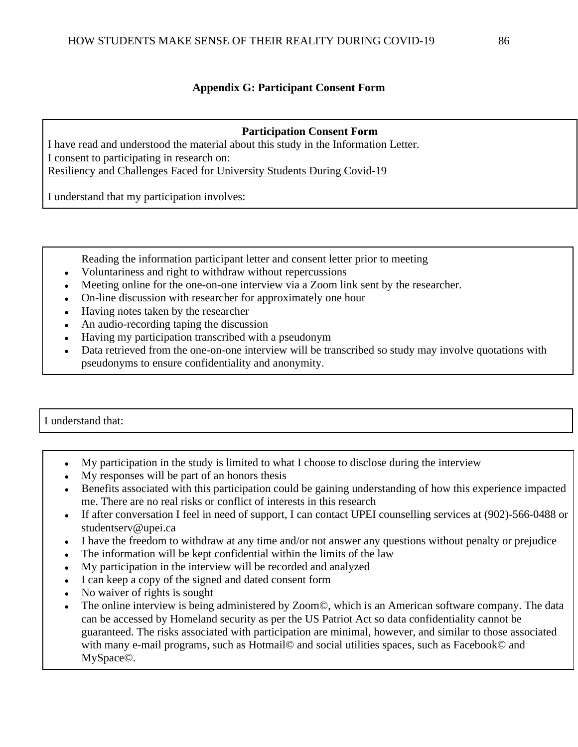# **Appendix G: Participant Consent Form**

# **Participation Consent Form**

I have read and understood the material about this study in the Information Letter. I consent to participating in research on: Resiliency and Challenges Faced for University Students During Covid-19

I understand that my participation involves:

Reading the information participant letter and consent letter prior to meeting

- Voluntariness and right to withdraw without repercussions
- Meeting online for the one-on-one interview via a Zoom link sent by the researcher.
- On-line discussion with researcher for approximately one hour
- Having notes taken by the researcher
- An audio-recording taping the discussion
- Having my participation transcribed with a pseudonym
- Data retrieved from the one-on-one interview will be transcribed so study may involve quotations with pseudonyms to ensure confidentiality and anonymity.

# I understand that:

- My participation in the study is limited to what I choose to disclose during the interview
- My responses will be part of an honors thesis
- Benefits associated with this participation could be gaining understanding of how this experience impacted me. There are no real risks or conflict of interests in this research
- If after conversation I feel in need of support, I can contact UPEI counselling services at (902)-566-0488 or studentserv@upei.ca
- I have the freedom to withdraw at any time and/or not answer any questions without penalty or prejudice
- The information will be kept confidential within the limits of the law
- My participation in the interview will be recorded and analyzed
- I can keep a copy of the signed and dated consent form
- No waiver of rights is sought
- The online interview is being administered by Zoom©, which is an American software company. The data can be accessed by Homeland security as per the US Patriot Act so data confidentiality cannot be guaranteed. The risks associated with participation are minimal, however, and similar to those associated with many e-mail programs, such as Hotmail© and social utilities spaces, such as Facebook© and MySpace©.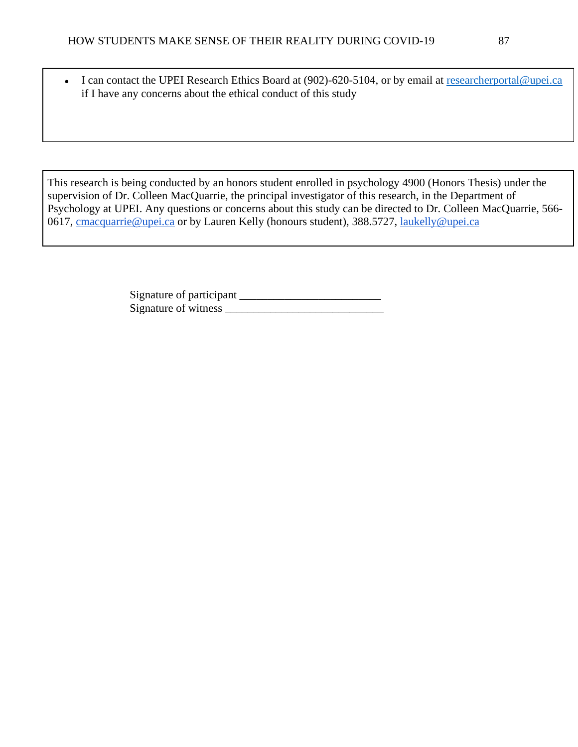• I can contact the UPEI Research Ethics Board at (902)-620-5104, or by email at [researcherportal@upei.ca](mailto:researcherportal@upei.ca) if I have any concerns about the ethical conduct of this study

This research is being conducted by an honors student enrolled in psychology 4900 (Honors Thesis) under the supervision of Dr. Colleen MacQuarrie, the principal investigator of this research, in the Department of Psychology at UPEI. Any questions or concerns about this study can be directed to Dr. Colleen MacQuarrie, 566 0617, [cmacquarrie@upei.ca](mailto:cmacquarrie@upei.ca) or by Lauren Kelly (honours student), 388.5727, [laukelly@upei.ca](mailto:laukelly@upei.ca)

> Signature of participant \_\_\_\_\_\_\_\_\_\_\_\_\_\_\_\_\_\_\_\_\_\_\_\_\_ Signature of witness \_\_\_\_\_\_\_\_\_\_\_\_\_\_\_\_\_\_\_\_\_\_\_\_\_\_\_\_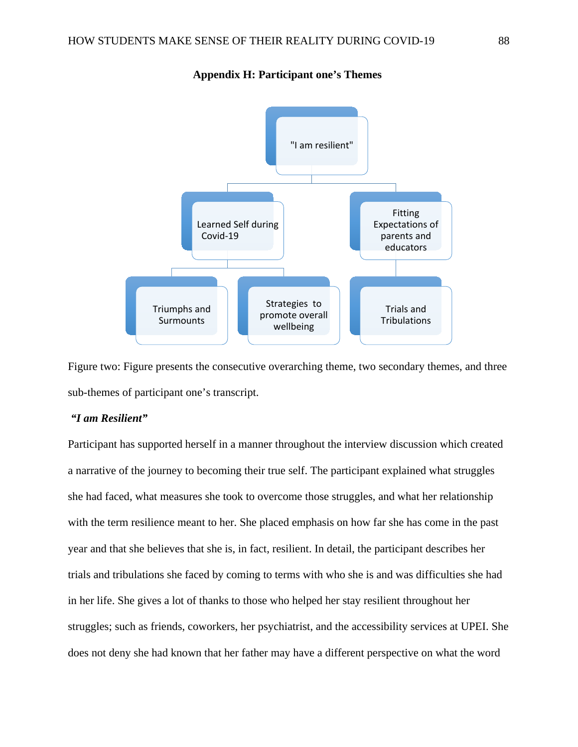

#### **Appendix H: Participant one's Themes**

Figure two: Figure presents the consecutive overarching theme, two secondary themes, and three sub-themes of participant one's transcript.

#### *"I am Resilient"*

Participant has supported herself in a manner throughout the interview discussion which created a narrative of the journey to becoming their true self. The participant explained what struggles she had faced, what measures she took to overcome those struggles, and what her relationship with the term resilience meant to her. She placed emphasis on how far she has come in the past year and that she believes that she is, in fact, resilient. In detail, the participant describes her trials and tribulations she faced by coming to terms with who she is and was difficulties she had in her life. She gives a lot of thanks to those who helped her stay resilient throughout her struggles; such as friends, coworkers, her psychiatrist, and the accessibility services at UPEI. She does not deny she had known that her father may have a different perspective on what the word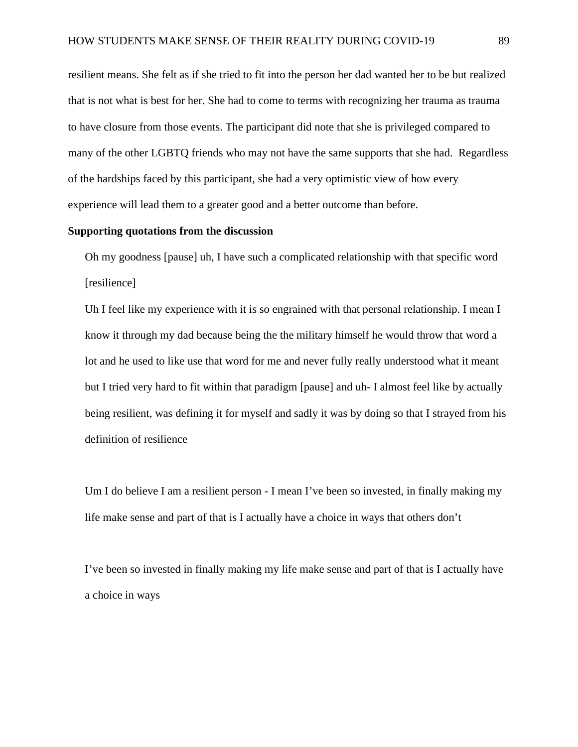resilient means. She felt as if she tried to fit into the person her dad wanted her to be but realized that is not what is best for her. She had to come to terms with recognizing her trauma as trauma to have closure from those events. The participant did note that she is privileged compared to many of the other LGBTQ friends who may not have the same supports that she had. Regardless of the hardships faced by this participant, she had a very optimistic view of how every experience will lead them to a greater good and a better outcome than before.

#### **Supporting quotations from the discussion**

Oh my goodness [pause] uh, I have such a complicated relationship with that specific word [resilience]

Uh I feel like my experience with it is so engrained with that personal relationship. I mean I know it through my dad because being the the military himself he would throw that word a lot and he used to like use that word for me and never fully really understood what it meant but I tried very hard to fit within that paradigm [pause] and uh- I almost feel like by actually being resilient, was defining it for myself and sadly it was by doing so that I strayed from his definition of resilience

Um I do believe I am a resilient person - I mean I've been so invested, in finally making my life make sense and part of that is I actually have a choice in ways that others don't

I've been so invested in finally making my life make sense and part of that is I actually have a choice in ways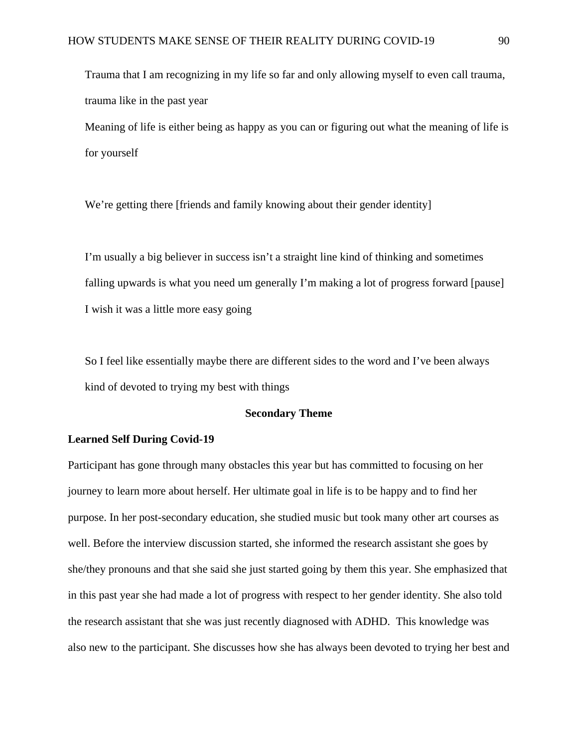Trauma that I am recognizing in my life so far and only allowing myself to even call trauma, trauma like in the past year

Meaning of life is either being as happy as you can or figuring out what the meaning of life is for yourself

We're getting there [friends and family knowing about their gender identity]

I'm usually a big believer in success isn't a straight line kind of thinking and sometimes falling upwards is what you need um generally I'm making a lot of progress forward [pause] I wish it was a little more easy going

So I feel like essentially maybe there are different sides to the word and I've been always kind of devoted to trying my best with things

#### **Secondary Theme**

#### **Learned Self During Covid-19**

Participant has gone through many obstacles this year but has committed to focusing on her journey to learn more about herself. Her ultimate goal in life is to be happy and to find her purpose. In her post-secondary education, she studied music but took many other art courses as well. Before the interview discussion started, she informed the research assistant she goes by she/they pronouns and that she said she just started going by them this year. She emphasized that in this past year she had made a lot of progress with respect to her gender identity. She also told the research assistant that she was just recently diagnosed with ADHD. This knowledge was also new to the participant. She discusses how she has always been devoted to trying her best and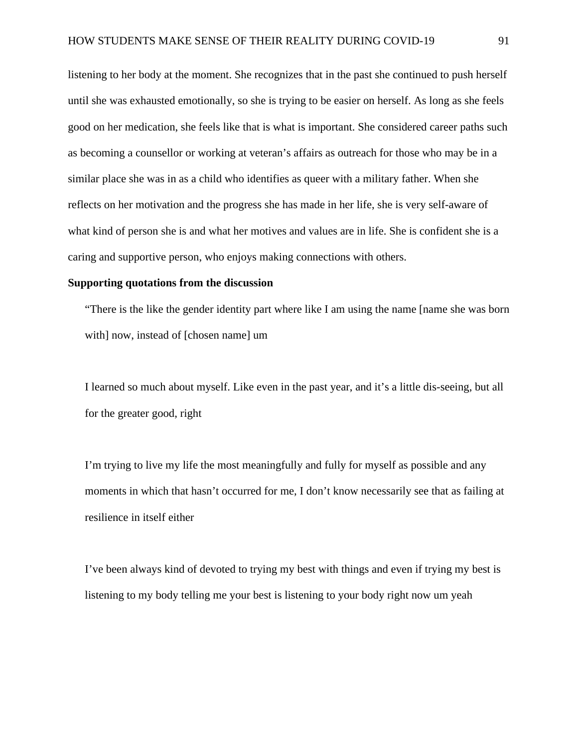listening to her body at the moment. She recognizes that in the past she continued to push herself until she was exhausted emotionally, so she is trying to be easier on herself. As long as she feels good on her medication, she feels like that is what is important. She considered career paths such as becoming a counsellor or working at veteran's affairs as outreach for those who may be in a similar place she was in as a child who identifies as queer with a military father. When she reflects on her motivation and the progress she has made in her life, she is very self-aware of what kind of person she is and what her motives and values are in life. She is confident she is a caring and supportive person, who enjoys making connections with others.

#### **Supporting quotations from the discussion**

"There is the like the gender identity part where like I am using the name [name she was born with] now, instead of [chosen name] um

I learned so much about myself. Like even in the past year, and it's a little dis-seeing, but all for the greater good, right

I'm trying to live my life the most meaningfully and fully for myself as possible and any moments in which that hasn't occurred for me, I don't know necessarily see that as failing at resilience in itself either

I've been always kind of devoted to trying my best with things and even if trying my best is listening to my body telling me your best is listening to your body right now um yeah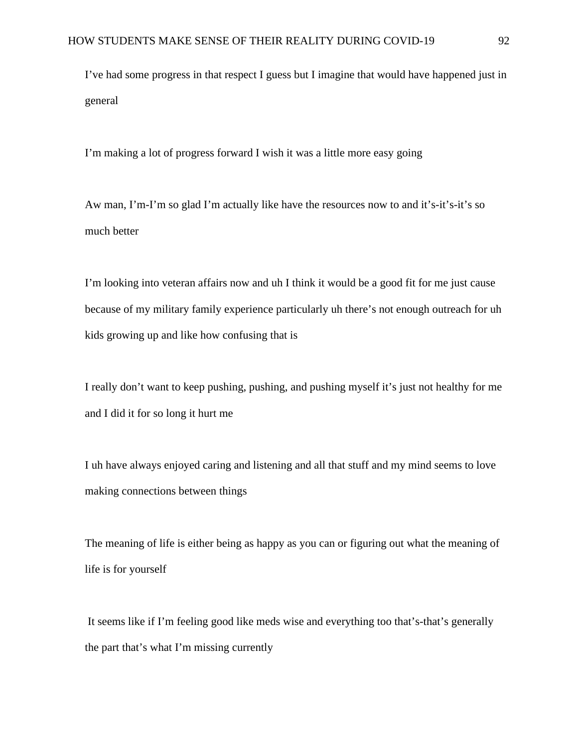I've had some progress in that respect I guess but I imagine that would have happened just in general

I'm making a lot of progress forward I wish it was a little more easy going

Aw man, I'm-I'm so glad I'm actually like have the resources now to and it's-it's-it's so much better

I'm looking into veteran affairs now and uh I think it would be a good fit for me just cause because of my military family experience particularly uh there's not enough outreach for uh kids growing up and like how confusing that is

I really don't want to keep pushing, pushing, and pushing myself it's just not healthy for me and I did it for so long it hurt me

I uh have always enjoyed caring and listening and all that stuff and my mind seems to love making connections between things

The meaning of life is either being as happy as you can or figuring out what the meaning of life is for yourself

It seems like if I'm feeling good like meds wise and everything too that's-that's generally the part that's what I'm missing currently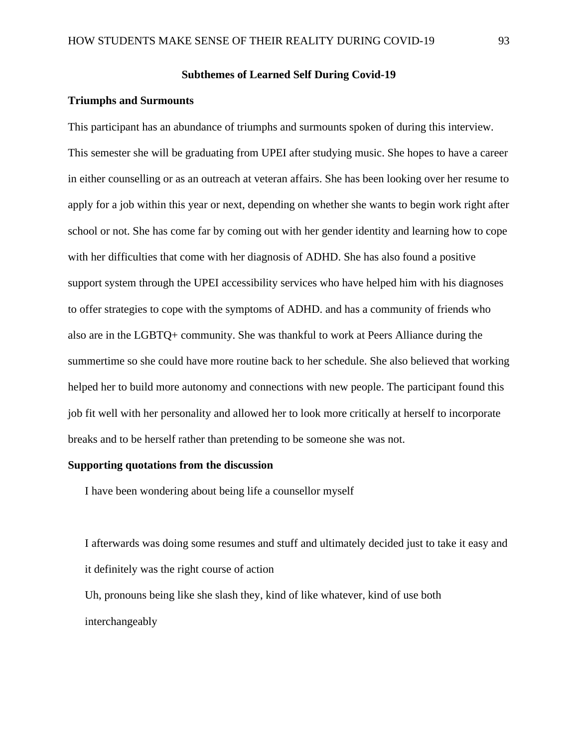#### **Subthemes of Learned Self During Covid-19**

#### **Triumphs and Surmounts**

This participant has an abundance of triumphs and surmounts spoken of during this interview. This semester she will be graduating from UPEI after studying music. She hopes to have a career in either counselling or as an outreach at veteran affairs. She has been looking over her resume to apply for a job within this year or next, depending on whether she wants to begin work right after school or not. She has come far by coming out with her gender identity and learning how to cope with her difficulties that come with her diagnosis of ADHD. She has also found a positive support system through the UPEI accessibility services who have helped him with his diagnoses to offer strategies to cope with the symptoms of ADHD. and has a community of friends who also are in the LGBTQ+ community. She was thankful to work at Peers Alliance during the summertime so she could have more routine back to her schedule. She also believed that working helped her to build more autonomy and connections with new people. The participant found this job fit well with her personality and allowed her to look more critically at herself to incorporate breaks and to be herself rather than pretending to be someone she was not.

#### **Supporting quotations from the discussion**

I have been wondering about being life a counsellor myself

I afterwards was doing some resumes and stuff and ultimately decided just to take it easy and it definitely was the right course of action

Uh, pronouns being like she slash they, kind of like whatever, kind of use both interchangeably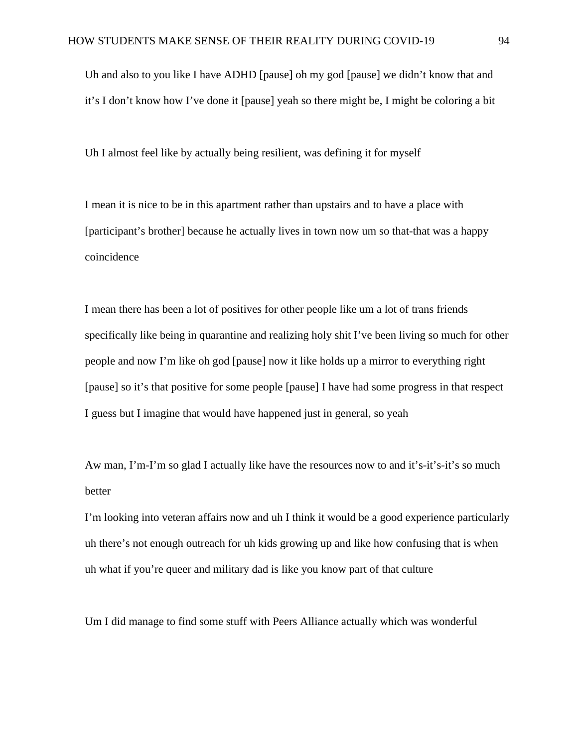Uh and also to you like I have ADHD [pause] oh my god [pause] we didn't know that and it's I don't know how I've done it [pause] yeah so there might be, I might be coloring a bit

Uh I almost feel like by actually being resilient, was defining it for myself

I mean it is nice to be in this apartment rather than upstairs and to have a place with [participant's brother] because he actually lives in town now um so that-that was a happy coincidence

I mean there has been a lot of positives for other people like um a lot of trans friends specifically like being in quarantine and realizing holy shit I've been living so much for other people and now I'm like oh god [pause] now it like holds up a mirror to everything right [pause] so it's that positive for some people [pause] I have had some progress in that respect I guess but I imagine that would have happened just in general, so yeah

Aw man, I'm-I'm so glad I actually like have the resources now to and it's-it's-it's so much better

I'm looking into veteran affairs now and uh I think it would be a good experience particularly uh there's not enough outreach for uh kids growing up and like how confusing that is when uh what if you're queer and military dad is like you know part of that culture

Um I did manage to find some stuff with Peers Alliance actually which was wonderful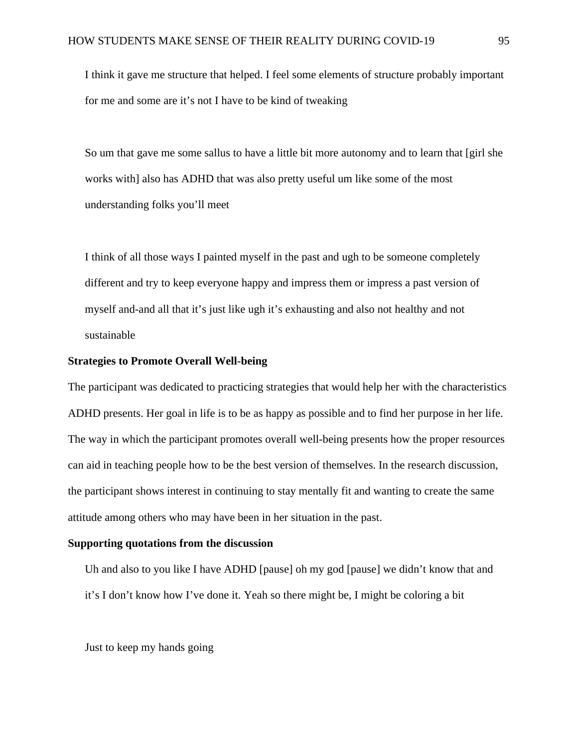I think it gave me structure that helped. I feel some elements of structure probably important for me and some are it's not I have to be kind of tweaking

So um that gave me some sallus to have a little bit more autonomy and to learn that [girl she works with] also has ADHD that was also pretty useful um like some of the most understanding folks you'll meet

I think of all those ways I painted myself in the past and ugh to be someone completely different and try to keep everyone happy and impress them or impress a past version of myself and-and all that it's just like ugh it's exhausting and also not healthy and not sustainable

#### **Strategies to Promote Overall Well-being**

The participant was dedicated to practicing strategies that would help her with the characteristics ADHD presents. Her goal in life is to be as happy as possible and to find her purpose in her life. The way in which the participant promotes overall well-being presents how the proper resources can aid in teaching people how to be the best version of themselves. In the research discussion, the participant shows interest in continuing to stay mentally fit and wanting to create the same attitude among others who may have been in her situation in the past.

#### **Supporting quotations from the discussion**

Uh and also to you like I have ADHD [pause] oh my god [pause] we didn't know that and it's I don't know how I've done it. Yeah so there might be, I might be coloring a bit

Just to keep my hands going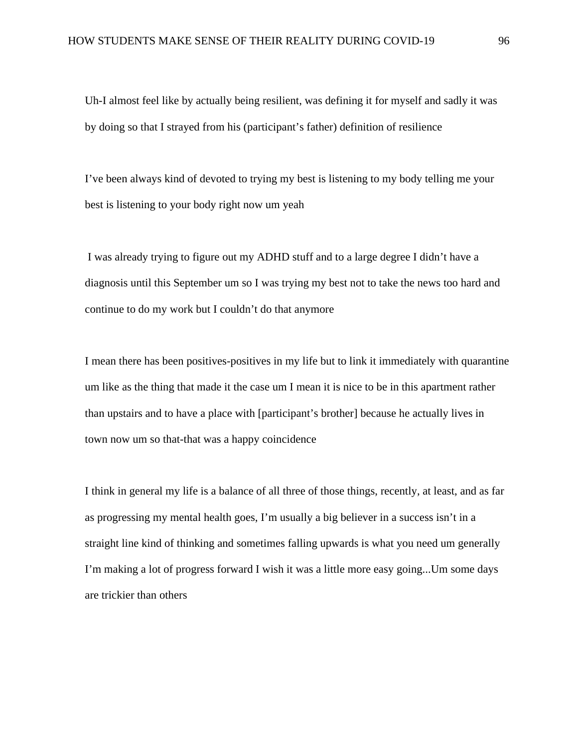Uh-I almost feel like by actually being resilient, was defining it for myself and sadly it was by doing so that I strayed from his (participant's father) definition of resilience

I've been always kind of devoted to trying my best is listening to my body telling me your best is listening to your body right now um yeah

I was already trying to figure out my ADHD stuff and to a large degree I didn't have a diagnosis until this September um so I was trying my best not to take the news too hard and continue to do my work but I couldn't do that anymore

I mean there has been positives-positives in my life but to link it immediately with quarantine um like as the thing that made it the case um I mean it is nice to be in this apartment rather than upstairs and to have a place with [participant's brother] because he actually lives in town now um so that-that was a happy coincidence

I think in general my life is a balance of all three of those things, recently, at least, and as far as progressing my mental health goes, I'm usually a big believer in a success isn't in a straight line kind of thinking and sometimes falling upwards is what you need um generally I'm making a lot of progress forward I wish it was a little more easy going...Um some days are trickier than others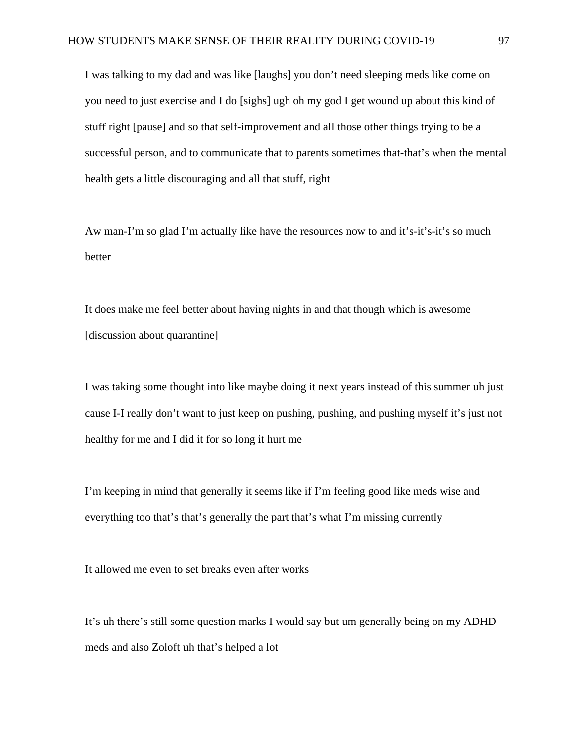I was talking to my dad and was like [laughs] you don't need sleeping meds like come on you need to just exercise and I do [sighs] ugh oh my god I get wound up about this kind of stuff right [pause] and so that self-improvement and all those other things trying to be a successful person, and to communicate that to parents sometimes that-that's when the mental health gets a little discouraging and all that stuff, right

Aw man-I'm so glad I'm actually like have the resources now to and it's-it's-it's so much better

It does make me feel better about having nights in and that though which is awesome [discussion about quarantine]

I was taking some thought into like maybe doing it next years instead of this summer uh just cause I-I really don't want to just keep on pushing, pushing, and pushing myself it's just not healthy for me and I did it for so long it hurt me

I'm keeping in mind that generally it seems like if I'm feeling good like meds wise and everything too that's that's generally the part that's what I'm missing currently

It allowed me even to set breaks even after works

It's uh there's still some question marks I would say but um generally being on my ADHD meds and also Zoloft uh that's helped a lot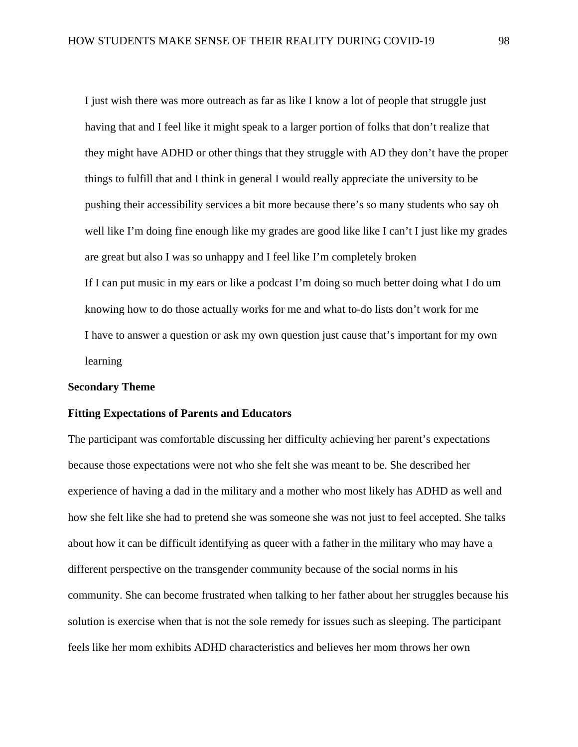I just wish there was more outreach as far as like I know a lot of people that struggle just having that and I feel like it might speak to a larger portion of folks that don't realize that they might have ADHD or other things that they struggle with AD they don't have the proper things to fulfill that and I think in general I would really appreciate the university to be pushing their accessibility services a bit more because there's so many students who say oh well like I'm doing fine enough like my grades are good like like I can't I just like my grades are great but also I was so unhappy and I feel like I'm completely broken If I can put music in my ears or like a podcast I'm doing so much better doing what I do um knowing how to do those actually works for me and what to-do lists don't work for me I have to answer a question or ask my own question just cause that's important for my own learning

#### **Secondary Theme**

#### **Fitting Expectations of Parents and Educators**

The participant was comfortable discussing her difficulty achieving her parent's expectations because those expectations were not who she felt she was meant to be. She described her experience of having a dad in the military and a mother who most likely has ADHD as well and how she felt like she had to pretend she was someone she was not just to feel accepted. She talks about how it can be difficult identifying as queer with a father in the military who may have a different perspective on the transgender community because of the social norms in his community. She can become frustrated when talking to her father about her struggles because his solution is exercise when that is not the sole remedy for issues such as sleeping. The participant feels like her mom exhibits ADHD characteristics and believes her mom throws her own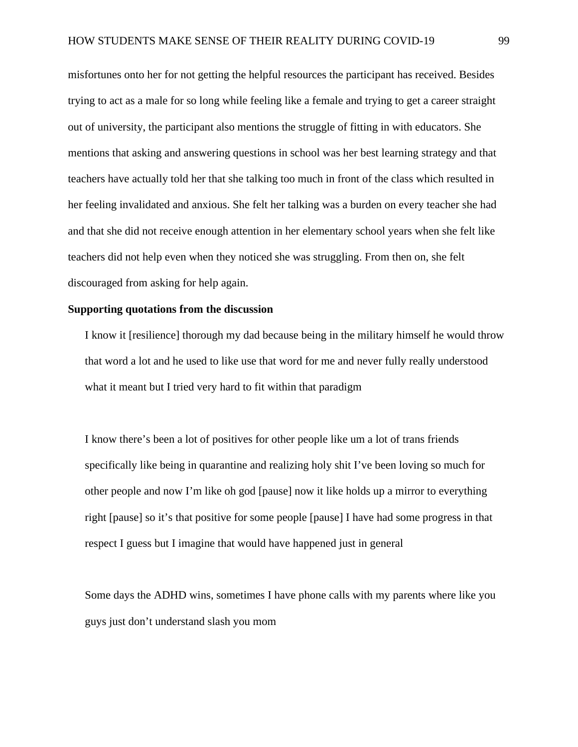misfortunes onto her for not getting the helpful resources the participant has received. Besides trying to act as a male for so long while feeling like a female and trying to get a career straight out of university, the participant also mentions the struggle of fitting in with educators. She mentions that asking and answering questions in school was her best learning strategy and that teachers have actually told her that she talking too much in front of the class which resulted in her feeling invalidated and anxious. She felt her talking was a burden on every teacher she had and that she did not receive enough attention in her elementary school years when she felt like teachers did not help even when they noticed she was struggling. From then on, she felt discouraged from asking for help again.

#### **Supporting quotations from the discussion**

I know it [resilience] thorough my dad because being in the military himself he would throw that word a lot and he used to like use that word for me and never fully really understood what it meant but I tried very hard to fit within that paradigm

I know there's been a lot of positives for other people like um a lot of trans friends specifically like being in quarantine and realizing holy shit I've been loving so much for other people and now I'm like oh god [pause] now it like holds up a mirror to everything right [pause] so it's that positive for some people [pause] I have had some progress in that respect I guess but I imagine that would have happened just in general

Some days the ADHD wins, sometimes I have phone calls with my parents where like you guys just don't understand slash you mom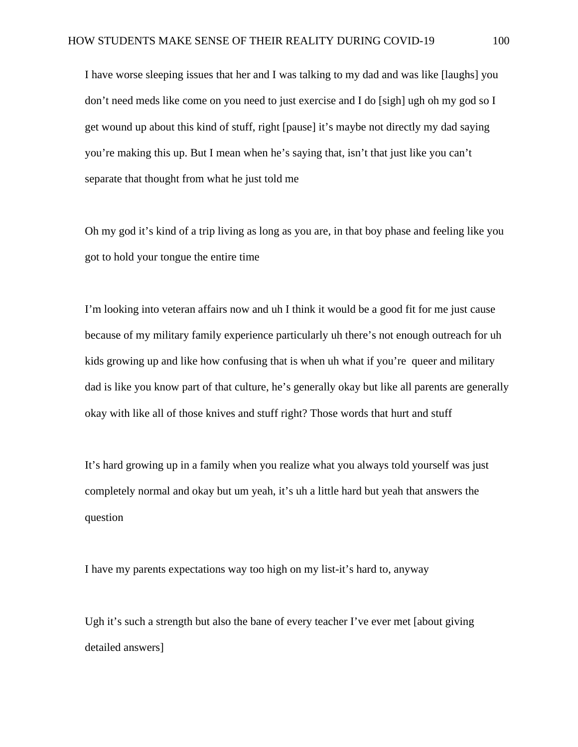I have worse sleeping issues that her and I was talking to my dad and was like [laughs] you don't need meds like come on you need to just exercise and I do [sigh] ugh oh my god so I get wound up about this kind of stuff, right [pause] it's maybe not directly my dad saying you're making this up. But I mean when he's saying that, isn't that just like you can't separate that thought from what he just told me

Oh my god it's kind of a trip living as long as you are, in that boy phase and feeling like you got to hold your tongue the entire time

I'm looking into veteran affairs now and uh I think it would be a good fit for me just cause because of my military family experience particularly uh there's not enough outreach for uh kids growing up and like how confusing that is when uh what if you're queer and military dad is like you know part of that culture, he's generally okay but like all parents are generally okay with like all of those knives and stuff right? Those words that hurt and stuff

It's hard growing up in a family when you realize what you always told yourself was just completely normal and okay but um yeah, it's uh a little hard but yeah that answers the question

I have my parents expectations way too high on my list-it's hard to, anyway

Ugh it's such a strength but also the bane of every teacher I've ever met [about giving detailed answers]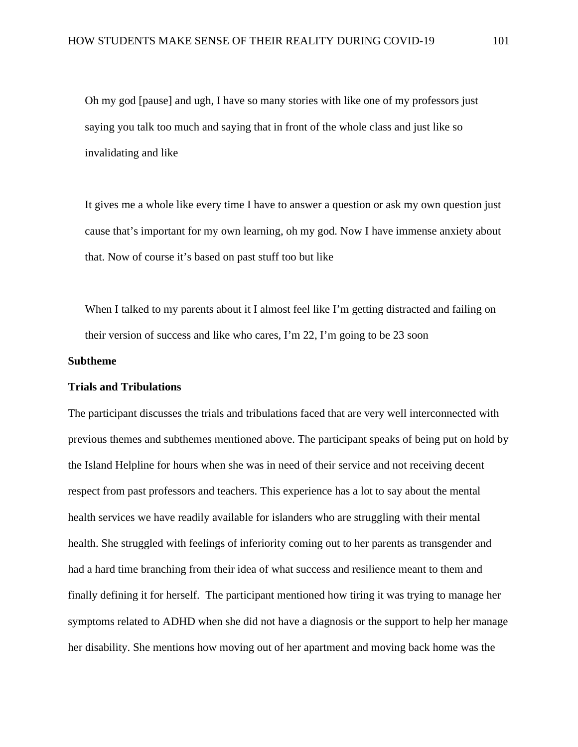Oh my god [pause] and ugh, I have so many stories with like one of my professors just saying you talk too much and saying that in front of the whole class and just like so invalidating and like

It gives me a whole like every time I have to answer a question or ask my own question just cause that's important for my own learning, oh my god. Now I have immense anxiety about that. Now of course it's based on past stuff too but like

When I talked to my parents about it I almost feel like I'm getting distracted and failing on their version of success and like who cares, I'm 22, I'm going to be 23 soon

#### **Subtheme**

#### **Trials and Tribulations**

The participant discusses the trials and tribulations faced that are very well interconnected with previous themes and subthemes mentioned above. The participant speaks of being put on hold by the Island Helpline for hours when she was in need of their service and not receiving decent respect from past professors and teachers. This experience has a lot to say about the mental health services we have readily available for islanders who are struggling with their mental health. She struggled with feelings of inferiority coming out to her parents as transgender and had a hard time branching from their idea of what success and resilience meant to them and finally defining it for herself. The participant mentioned how tiring it was trying to manage her symptoms related to ADHD when she did not have a diagnosis or the support to help her manage her disability. She mentions how moving out of her apartment and moving back home was the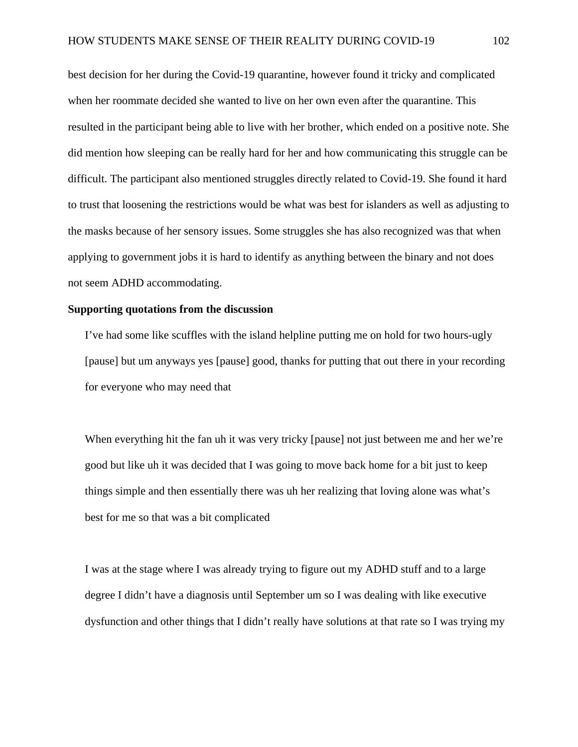best decision for her during the Covid-19 quarantine, however found it tricky and complicated when her roommate decided she wanted to live on her own even after the quarantine. This resulted in the participant being able to live with her brother, which ended on a positive note. She did mention how sleeping can be really hard for her and how communicating this struggle can be difficult. The participant also mentioned struggles directly related to Covid-19. She found it hard to trust that loosening the restrictions would be what was best for islanders as well as adjusting to the masks because of her sensory issues. Some struggles she has also recognized was that when applying to government jobs it is hard to identify as anything between the binary and not does not seem ADHD accommodating.

## **Supporting quotations from the discussion**

I've had some like scuffles with the island helpline putting me on hold for two hours-ugly [pause] but um anyways yes [pause] good, thanks for putting that out there in your recording for everyone who may need that

When everything hit the fan uh it was very tricky [pause] not just between me and her we're good but like uh it was decided that I was going to move back home for a bit just to keep things simple and then essentially there was uh her realizing that loving alone was what's best for me so that was a bit complicated

I was at the stage where I was already trying to figure out my ADHD stuff and to a large degree I didn't have a diagnosis until September um so I was dealing with like executive dysfunction and other things that I didn't really have solutions at that rate so I was trying my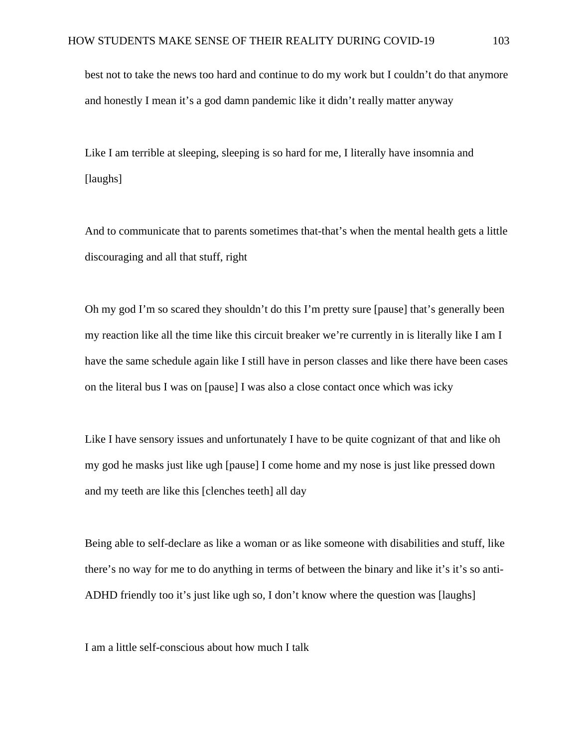best not to take the news too hard and continue to do my work but I couldn't do that anymore and honestly I mean it's a god damn pandemic like it didn't really matter anyway

Like I am terrible at sleeping, sleeping is so hard for me, I literally have insomnia and [laughs]

And to communicate that to parents sometimes that-that's when the mental health gets a little discouraging and all that stuff, right

Oh my god I'm so scared they shouldn't do this I'm pretty sure [pause] that's generally been my reaction like all the time like this circuit breaker we're currently in is literally like I am I have the same schedule again like I still have in person classes and like there have been cases on the literal bus I was on [pause] I was also a close contact once which was icky

Like I have sensory issues and unfortunately I have to be quite cognizant of that and like oh my god he masks just like ugh [pause] I come home and my nose is just like pressed down and my teeth are like this [clenches teeth] all day

Being able to self-declare as like a woman or as like someone with disabilities and stuff, like there's no way for me to do anything in terms of between the binary and like it's it's so anti-ADHD friendly too it's just like ugh so, I don't know where the question was [laughs]

I am a little self-conscious about how much I talk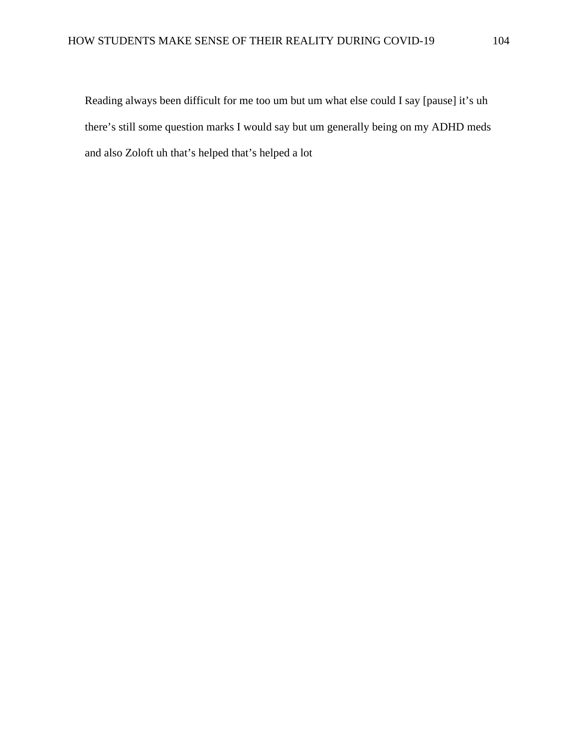Reading always been difficult for me too um but um what else could I say [pause] it's uh there's still some question marks I would say but um generally being on my ADHD meds and also Zoloft uh that's helped that's helped a lot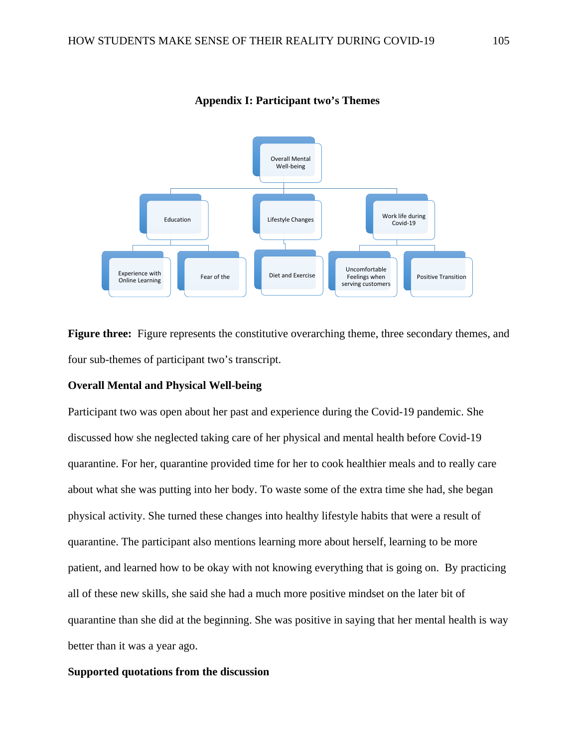

#### **Appendix I: Participant two's Themes**

**Figure three:** Figure represents the constitutive overarching theme, three secondary themes, and four sub-themes of participant two's transcript.

#### **Overall Mental and Physical Well-being**

Participant two was open about her past and experience during the Covid-19 pandemic. She discussed how she neglected taking care of her physical and mental health before Covid-19 quarantine. For her, quarantine provided time for her to cook healthier meals and to really care about what she was putting into her body. To waste some of the extra time she had, she began physical activity. She turned these changes into healthy lifestyle habits that were a result of quarantine. The participant also mentions learning more about herself, learning to be more patient, and learned how to be okay with not knowing everything that is going on. By practicing all of these new skills, she said she had a much more positive mindset on the later bit of quarantine than she did at the beginning. She was positive in saying that her mental health is way better than it was a year ago.

## **Supported quotations from the discussion**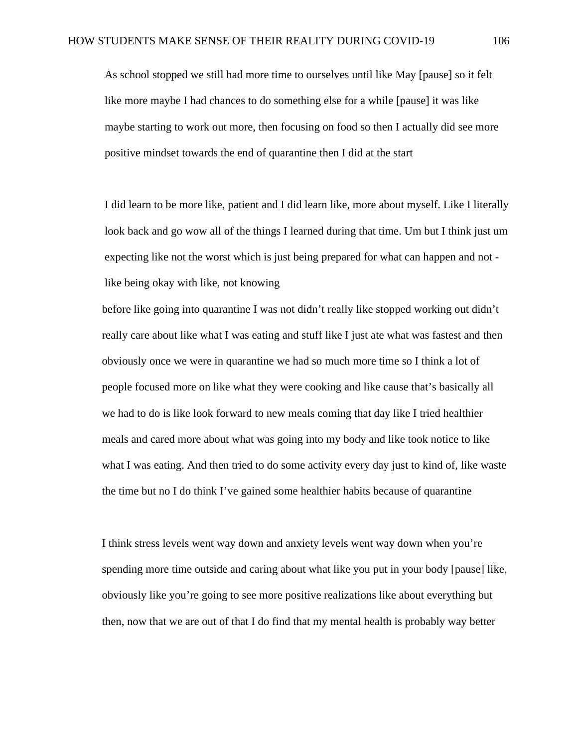As school stopped we still had more time to ourselves until like May [pause] so it felt like more maybe I had chances to do something else for a while [pause] it was like maybe starting to work out more, then focusing on food so then I actually did see more positive mindset towards the end of quarantine then I did at the start

I did learn to be more like, patient and I did learn like, more about myself. Like I literally look back and go wow all of the things I learned during that time. Um but I think just um expecting like not the worst which is just being prepared for what can happen and not like being okay with like, not knowing

before like going into quarantine I was not didn't really like stopped working out didn't really care about like what I was eating and stuff like I just ate what was fastest and then obviously once we were in quarantine we had so much more time so I think a lot of people focused more on like what they were cooking and like cause that's basically all we had to do is like look forward to new meals coming that day like I tried healthier meals and cared more about what was going into my body and like took notice to like what I was eating. And then tried to do some activity every day just to kind of, like waste the time but no I do think I've gained some healthier habits because of quarantine

I think stress levels went way down and anxiety levels went way down when you're spending more time outside and caring about what like you put in your body [pause] like, obviously like you're going to see more positive realizations like about everything but then, now that we are out of that I do find that my mental health is probably way better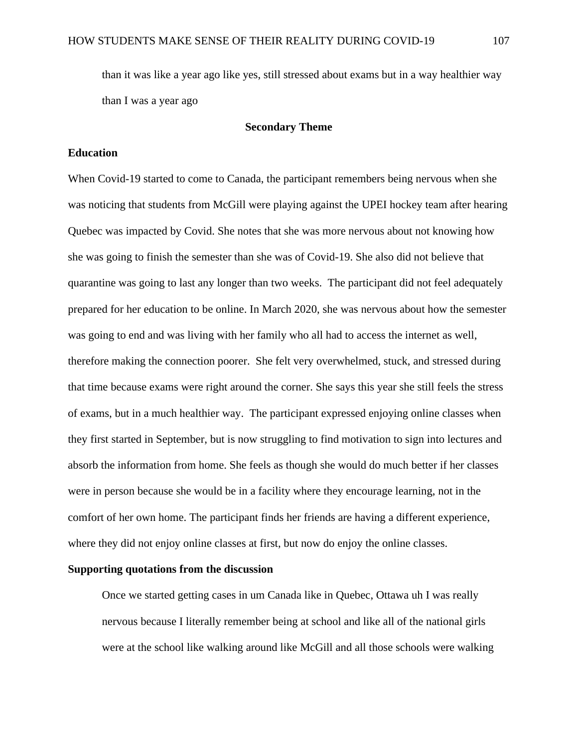than it was like a year ago like yes, still stressed about exams but in a way healthier way than I was a year ago

#### **Secondary Theme**

## **Education**

When Covid-19 started to come to Canada, the participant remembers being nervous when she was noticing that students from McGill were playing against the UPEI hockey team after hearing Quebec was impacted by Covid. She notes that she was more nervous about not knowing how she was going to finish the semester than she was of Covid-19. She also did not believe that quarantine was going to last any longer than two weeks. The participant did not feel adequately prepared for her education to be online. In March 2020, she was nervous about how the semester was going to end and was living with her family who all had to access the internet as well, therefore making the connection poorer. She felt very overwhelmed, stuck, and stressed during that time because exams were right around the corner. She says this year she still feels the stress of exams, but in a much healthier way. The participant expressed enjoying online classes when they first started in September, but is now struggling to find motivation to sign into lectures and absorb the information from home. She feels as though she would do much better if her classes were in person because she would be in a facility where they encourage learning, not in the comfort of her own home. The participant finds her friends are having a different experience, where they did not enjoy online classes at first, but now do enjoy the online classes.

#### **Supporting quotations from the discussion**

Once we started getting cases in um Canada like in Quebec, Ottawa uh I was really nervous because I literally remember being at school and like all of the national girls were at the school like walking around like McGill and all those schools were walking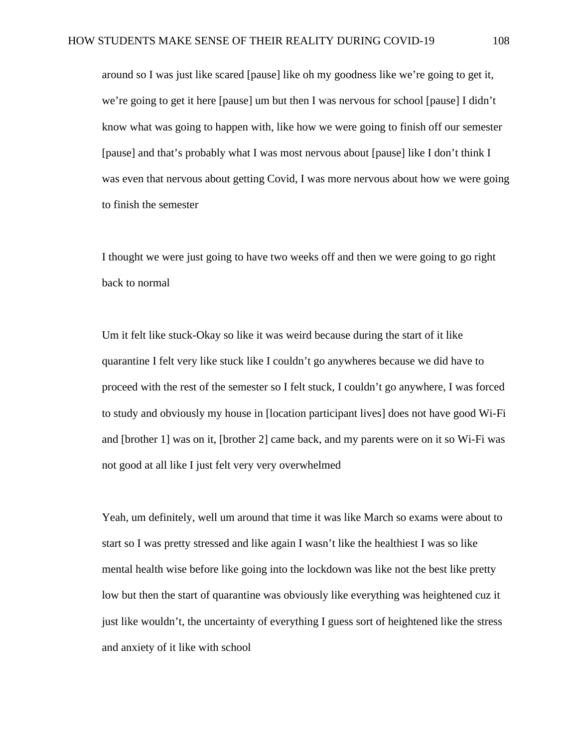around so I was just like scared [pause] like oh my goodness like we're going to get it, we're going to get it here [pause] um but then I was nervous for school [pause] I didn't know what was going to happen with, like how we were going to finish off our semester [pause] and that's probably what I was most nervous about [pause] like I don't think I was even that nervous about getting Covid, I was more nervous about how we were going to finish the semester

I thought we were just going to have two weeks off and then we were going to go right back to normal

Um it felt like stuck-Okay so like it was weird because during the start of it like quarantine I felt very like stuck like I couldn't go anywheres because we did have to proceed with the rest of the semester so I felt stuck, I couldn't go anywhere, I was forced to study and obviously my house in [location participant lives] does not have good Wi-Fi and [brother 1] was on it, [brother 2] came back, and my parents were on it so Wi-Fi was not good at all like I just felt very very overwhelmed

Yeah, um definitely, well um around that time it was like March so exams were about to start so I was pretty stressed and like again I wasn't like the healthiest I was so like mental health wise before like going into the lockdown was like not the best like pretty low but then the start of quarantine was obviously like everything was heightened cuz it just like wouldn't, the uncertainty of everything I guess sort of heightened like the stress and anxiety of it like with school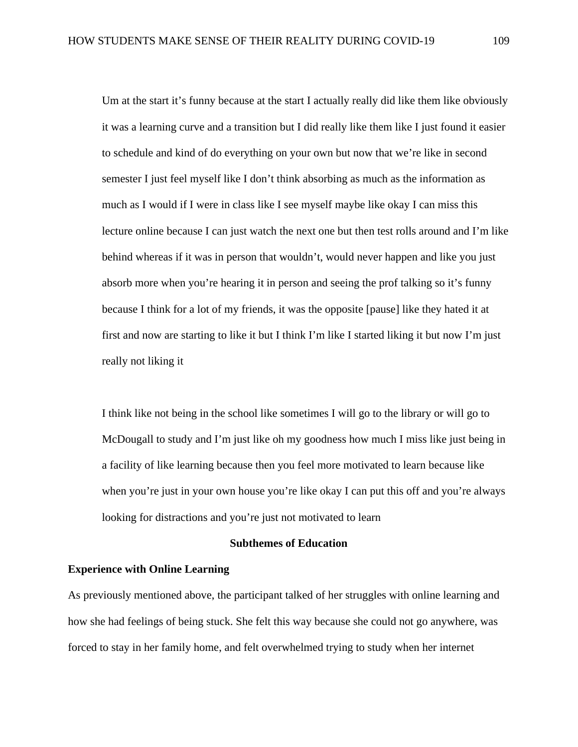Um at the start it's funny because at the start I actually really did like them like obviously it was a learning curve and a transition but I did really like them like I just found it easier to schedule and kind of do everything on your own but now that we're like in second semester I just feel myself like I don't think absorbing as much as the information as much as I would if I were in class like I see myself maybe like okay I can miss this lecture online because I can just watch the next one but then test rolls around and I'm like behind whereas if it was in person that wouldn't, would never happen and like you just absorb more when you're hearing it in person and seeing the prof talking so it's funny because I think for a lot of my friends, it was the opposite [pause] like they hated it at first and now are starting to like it but I think I'm like I started liking it but now I'm just really not liking it

I think like not being in the school like sometimes I will go to the library or will go to McDougall to study and I'm just like oh my goodness how much I miss like just being in a facility of like learning because then you feel more motivated to learn because like when you're just in your own house you're like okay I can put this off and you're always looking for distractions and you're just not motivated to learn

#### **Subthemes of Education**

#### **Experience with Online Learning**

As previously mentioned above, the participant talked of her struggles with online learning and how she had feelings of being stuck. She felt this way because she could not go anywhere, was forced to stay in her family home, and felt overwhelmed trying to study when her internet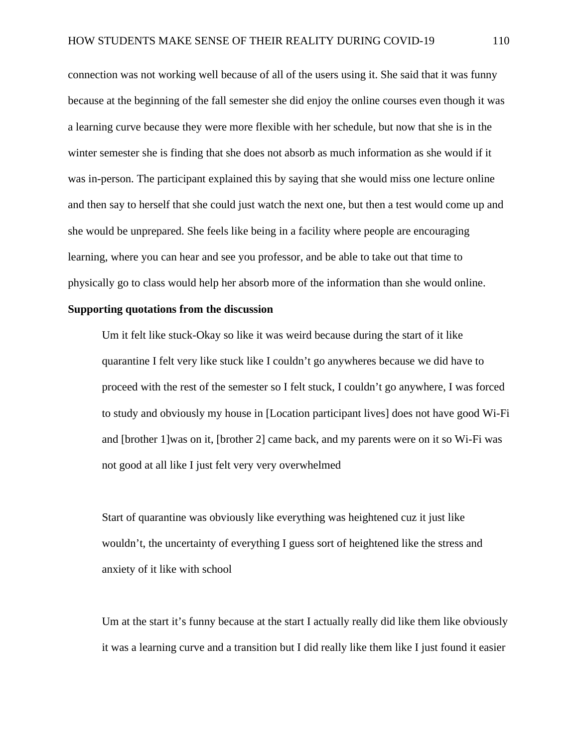connection was not working well because of all of the users using it. She said that it was funny because at the beginning of the fall semester she did enjoy the online courses even though it was a learning curve because they were more flexible with her schedule, but now that she is in the winter semester she is finding that she does not absorb as much information as she would if it was in-person. The participant explained this by saying that she would miss one lecture online and then say to herself that she could just watch the next one, but then a test would come up and she would be unprepared. She feels like being in a facility where people are encouraging learning, where you can hear and see you professor, and be able to take out that time to physically go to class would help her absorb more of the information than she would online.

# **Supporting quotations from the discussion**

Um it felt like stuck-Okay so like it was weird because during the start of it like quarantine I felt very like stuck like I couldn't go anywheres because we did have to proceed with the rest of the semester so I felt stuck, I couldn't go anywhere, I was forced to study and obviously my house in [Location participant lives] does not have good Wi-Fi and [brother 1]was on it, [brother 2] came back, and my parents were on it so Wi-Fi was not good at all like I just felt very very overwhelmed

Start of quarantine was obviously like everything was heightened cuz it just like wouldn't, the uncertainty of everything I guess sort of heightened like the stress and anxiety of it like with school

Um at the start it's funny because at the start I actually really did like them like obviously it was a learning curve and a transition but I did really like them like I just found it easier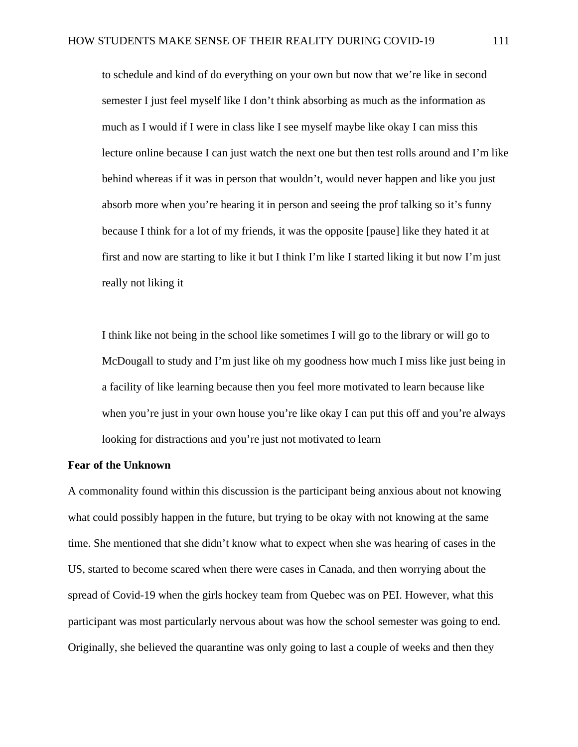to schedule and kind of do everything on your own but now that we're like in second semester I just feel myself like I don't think absorbing as much as the information as much as I would if I were in class like I see myself maybe like okay I can miss this lecture online because I can just watch the next one but then test rolls around and I'm like behind whereas if it was in person that wouldn't, would never happen and like you just absorb more when you're hearing it in person and seeing the prof talking so it's funny because I think for a lot of my friends, it was the opposite [pause] like they hated it at first and now are starting to like it but I think I'm like I started liking it but now I'm just really not liking it

I think like not being in the school like sometimes I will go to the library or will go to McDougall to study and I'm just like oh my goodness how much I miss like just being in a facility of like learning because then you feel more motivated to learn because like when you're just in your own house you're like okay I can put this off and you're always looking for distractions and you're just not motivated to learn

# **Fear of the Unknown**

A commonality found within this discussion is the participant being anxious about not knowing what could possibly happen in the future, but trying to be okay with not knowing at the same time. She mentioned that she didn't know what to expect when she was hearing of cases in the US, started to become scared when there were cases in Canada, and then worrying about the spread of Covid-19 when the girls hockey team from Quebec was on PEI. However, what this participant was most particularly nervous about was how the school semester was going to end. Originally, she believed the quarantine was only going to last a couple of weeks and then they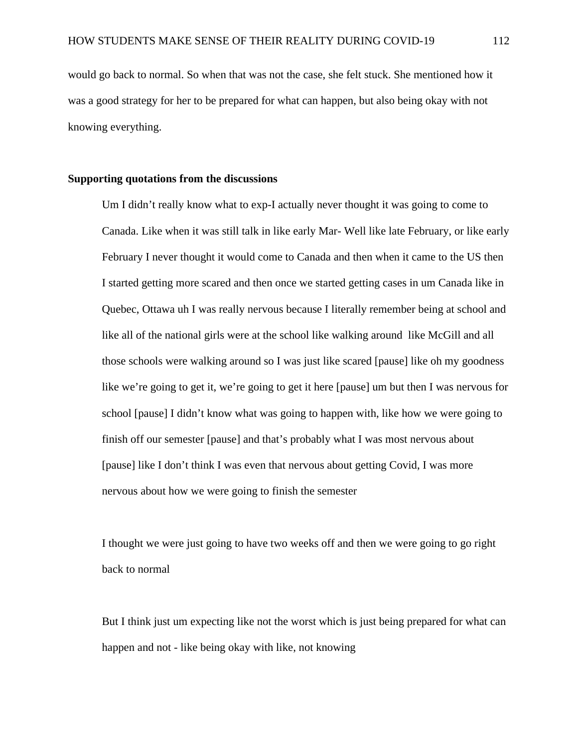would go back to normal. So when that was not the case, she felt stuck. She mentioned how it was a good strategy for her to be prepared for what can happen, but also being okay with not knowing everything.

#### **Supporting quotations from the discussions**

Um I didn't really know what to exp-I actually never thought it was going to come to Canada. Like when it was still talk in like early Mar- Well like late February, or like early February I never thought it would come to Canada and then when it came to the US then I started getting more scared and then once we started getting cases in um Canada like in Quebec, Ottawa uh I was really nervous because I literally remember being at school and like all of the national girls were at the school like walking around like McGill and all those schools were walking around so I was just like scared [pause] like oh my goodness like we're going to get it, we're going to get it here [pause] um but then I was nervous for school [pause] I didn't know what was going to happen with, like how we were going to finish off our semester [pause] and that's probably what I was most nervous about [pause] like I don't think I was even that nervous about getting Covid, I was more nervous about how we were going to finish the semester

I thought we were just going to have two weeks off and then we were going to go right back to normal

But I think just um expecting like not the worst which is just being prepared for what can happen and not - like being okay with like, not knowing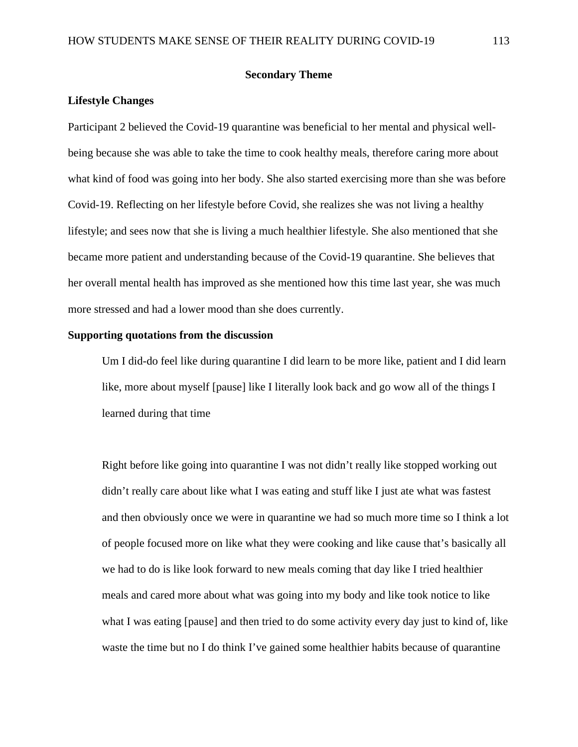## **Secondary Theme**

## **Lifestyle Changes**

Participant 2 believed the Covid-19 quarantine was beneficial to her mental and physical wellbeing because she was able to take the time to cook healthy meals, therefore caring more about what kind of food was going into her body. She also started exercising more than she was before Covid-19. Reflecting on her lifestyle before Covid, she realizes she was not living a healthy lifestyle; and sees now that she is living a much healthier lifestyle. She also mentioned that she became more patient and understanding because of the Covid-19 quarantine. She believes that her overall mental health has improved as she mentioned how this time last year, she was much more stressed and had a lower mood than she does currently.

# **Supporting quotations from the discussion**

Um I did-do feel like during quarantine I did learn to be more like, patient and I did learn like, more about myself [pause] like I literally look back and go wow all of the things I learned during that time

Right before like going into quarantine I was not didn't really like stopped working out didn't really care about like what I was eating and stuff like I just ate what was fastest and then obviously once we were in quarantine we had so much more time so I think a lot of people focused more on like what they were cooking and like cause that's basically all we had to do is like look forward to new meals coming that day like I tried healthier meals and cared more about what was going into my body and like took notice to like what I was eating [pause] and then tried to do some activity every day just to kind of, like waste the time but no I do think I've gained some healthier habits because of quarantine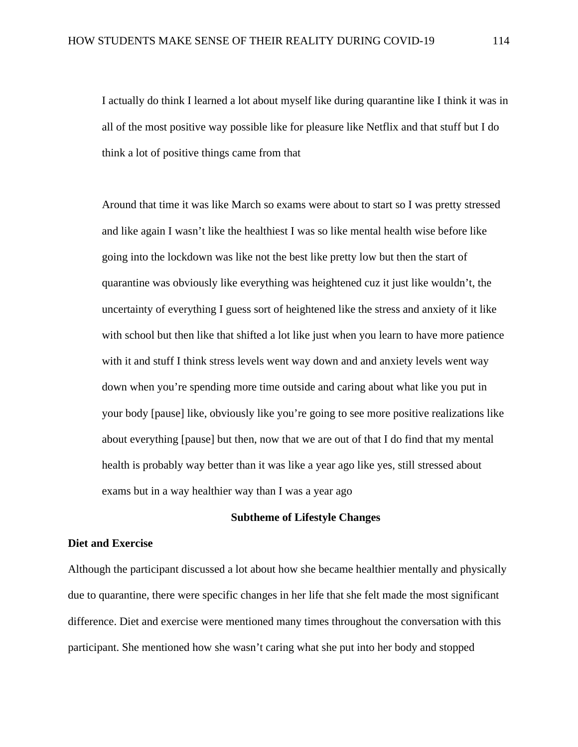I actually do think I learned a lot about myself like during quarantine like I think it was in all of the most positive way possible like for pleasure like Netflix and that stuff but I do think a lot of positive things came from that

Around that time it was like March so exams were about to start so I was pretty stressed and like again I wasn't like the healthiest I was so like mental health wise before like going into the lockdown was like not the best like pretty low but then the start of quarantine was obviously like everything was heightened cuz it just like wouldn't, the uncertainty of everything I guess sort of heightened like the stress and anxiety of it like with school but then like that shifted a lot like just when you learn to have more patience with it and stuff I think stress levels went way down and and anxiety levels went way down when you're spending more time outside and caring about what like you put in your body [pause] like, obviously like you're going to see more positive realizations like about everything [pause] but then, now that we are out of that I do find that my mental health is probably way better than it was like a year ago like yes, still stressed about exams but in a way healthier way than I was a year ago

# **Subtheme of Lifestyle Changes**

## **Diet and Exercise**

Although the participant discussed a lot about how she became healthier mentally and physically due to quarantine, there were specific changes in her life that she felt made the most significant difference. Diet and exercise were mentioned many times throughout the conversation with this participant. She mentioned how she wasn't caring what she put into her body and stopped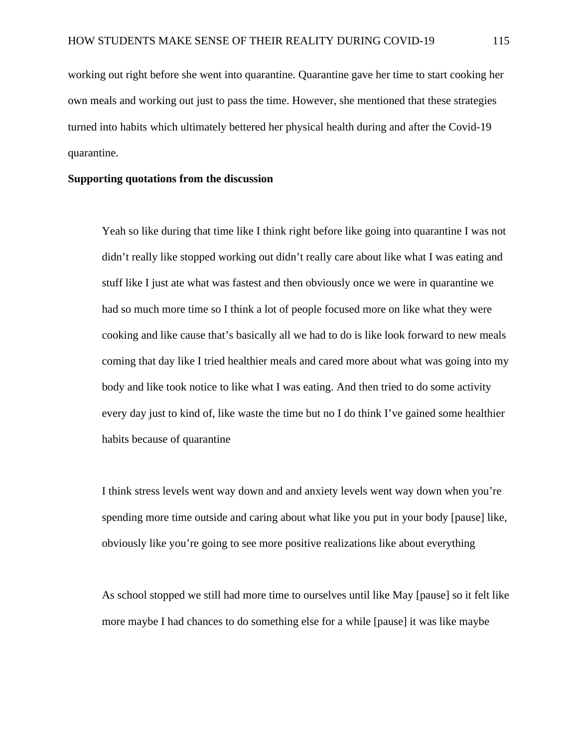working out right before she went into quarantine. Quarantine gave her time to start cooking her own meals and working out just to pass the time. However, she mentioned that these strategies turned into habits which ultimately bettered her physical health during and after the Covid-19 quarantine.

#### **Supporting quotations from the discussion**

Yeah so like during that time like I think right before like going into quarantine I was not didn't really like stopped working out didn't really care about like what I was eating and stuff like I just ate what was fastest and then obviously once we were in quarantine we had so much more time so I think a lot of people focused more on like what they were cooking and like cause that's basically all we had to do is like look forward to new meals coming that day like I tried healthier meals and cared more about what was going into my body and like took notice to like what I was eating. And then tried to do some activity every day just to kind of, like waste the time but no I do think I've gained some healthier habits because of quarantine

I think stress levels went way down and and anxiety levels went way down when you're spending more time outside and caring about what like you put in your body [pause] like, obviously like you're going to see more positive realizations like about everything

As school stopped we still had more time to ourselves until like May [pause] so it felt like more maybe I had chances to do something else for a while [pause] it was like maybe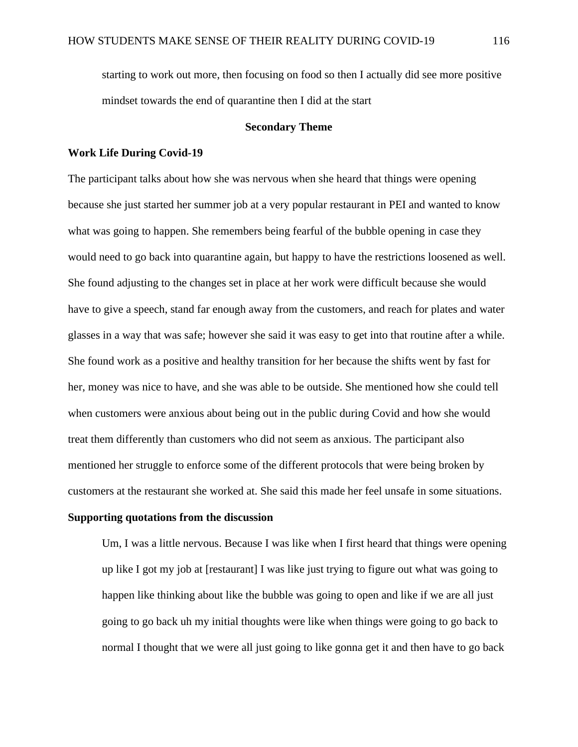starting to work out more, then focusing on food so then I actually did see more positive mindset towards the end of quarantine then I did at the start

# **Secondary Theme**

#### **Work Life During Covid-19**

The participant talks about how she was nervous when she heard that things were opening because she just started her summer job at a very popular restaurant in PEI and wanted to know what was going to happen. She remembers being fearful of the bubble opening in case they would need to go back into quarantine again, but happy to have the restrictions loosened as well. She found adjusting to the changes set in place at her work were difficult because she would have to give a speech, stand far enough away from the customers, and reach for plates and water glasses in a way that was safe; however she said it was easy to get into that routine after a while. She found work as a positive and healthy transition for her because the shifts went by fast for her, money was nice to have, and she was able to be outside. She mentioned how she could tell when customers were anxious about being out in the public during Covid and how she would treat them differently than customers who did not seem as anxious. The participant also mentioned her struggle to enforce some of the different protocols that were being broken by customers at the restaurant she worked at. She said this made her feel unsafe in some situations.

# **Supporting quotations from the discussion**

Um, I was a little nervous. Because I was like when I first heard that things were opening up like I got my job at [restaurant] I was like just trying to figure out what was going to happen like thinking about like the bubble was going to open and like if we are all just going to go back uh my initial thoughts were like when things were going to go back to normal I thought that we were all just going to like gonna get it and then have to go back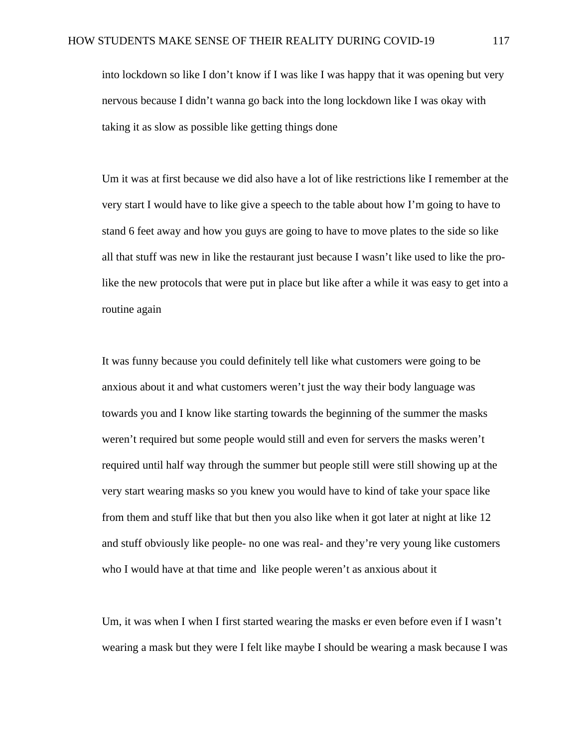into lockdown so like I don't know if I was like I was happy that it was opening but very nervous because I didn't wanna go back into the long lockdown like I was okay with taking it as slow as possible like getting things done

Um it was at first because we did also have a lot of like restrictions like I remember at the very start I would have to like give a speech to the table about how I'm going to have to stand 6 feet away and how you guys are going to have to move plates to the side so like all that stuff was new in like the restaurant just because I wasn't like used to like the prolike the new protocols that were put in place but like after a while it was easy to get into a routine again

It was funny because you could definitely tell like what customers were going to be anxious about it and what customers weren't just the way their body language was towards you and I know like starting towards the beginning of the summer the masks weren't required but some people would still and even for servers the masks weren't required until half way through the summer but people still were still showing up at the very start wearing masks so you knew you would have to kind of take your space like from them and stuff like that but then you also like when it got later at night at like 12 and stuff obviously like people- no one was real- and they're very young like customers who I would have at that time and like people weren't as anxious about it

Um, it was when I when I first started wearing the masks er even before even if I wasn't wearing a mask but they were I felt like maybe I should be wearing a mask because I was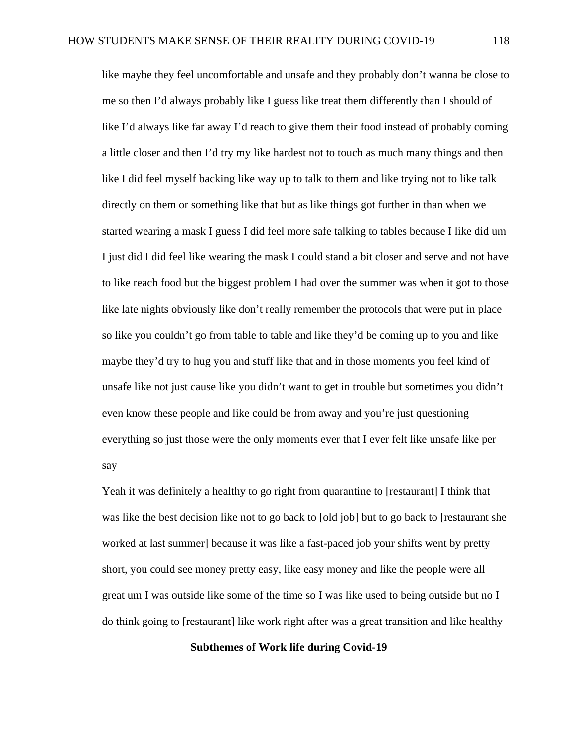like maybe they feel uncomfortable and unsafe and they probably don't wanna be close to me so then I'd always probably like I guess like treat them differently than I should of like I'd always like far away I'd reach to give them their food instead of probably coming a little closer and then I'd try my like hardest not to touch as much many things and then like I did feel myself backing like way up to talk to them and like trying not to like talk directly on them or something like that but as like things got further in than when we started wearing a mask I guess I did feel more safe talking to tables because I like did um I just did I did feel like wearing the mask I could stand a bit closer and serve and not have to like reach food but the biggest problem I had over the summer was when it got to those like late nights obviously like don't really remember the protocols that were put in place so like you couldn't go from table to table and like they'd be coming up to you and like maybe they'd try to hug you and stuff like that and in those moments you feel kind of unsafe like not just cause like you didn't want to get in trouble but sometimes you didn't even know these people and like could be from away and you're just questioning everything so just those were the only moments ever that I ever felt like unsafe like per say

Yeah it was definitely a healthy to go right from quarantine to [restaurant] I think that was like the best decision like not to go back to [old job] but to go back to [restaurant she worked at last summer] because it was like a fast-paced job your shifts went by pretty short, you could see money pretty easy, like easy money and like the people were all great um I was outside like some of the time so I was like used to being outside but no I do think going to [restaurant] like work right after was a great transition and like healthy

**Subthemes of Work life during Covid-19**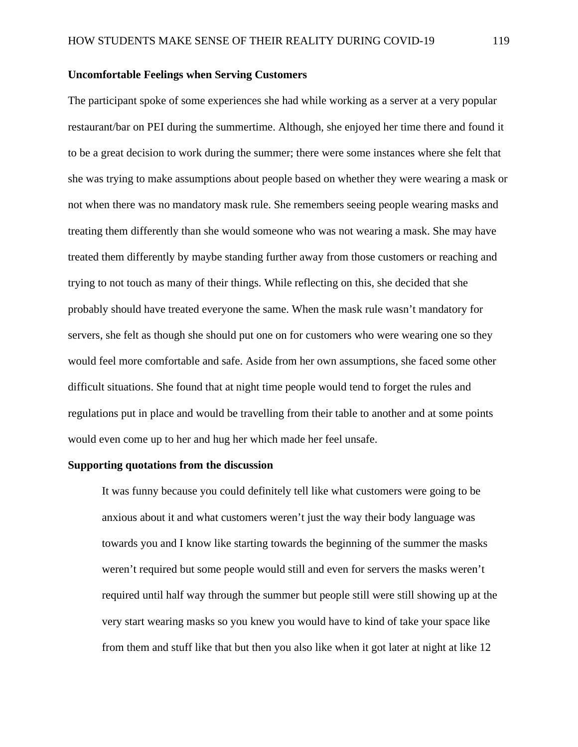## **Uncomfortable Feelings when Serving Customers**

The participant spoke of some experiences she had while working as a server at a very popular restaurant/bar on PEI during the summertime. Although, she enjoyed her time there and found it to be a great decision to work during the summer; there were some instances where she felt that she was trying to make assumptions about people based on whether they were wearing a mask or not when there was no mandatory mask rule. She remembers seeing people wearing masks and treating them differently than she would someone who was not wearing a mask. She may have treated them differently by maybe standing further away from those customers or reaching and trying to not touch as many of their things. While reflecting on this, she decided that she probably should have treated everyone the same. When the mask rule wasn't mandatory for servers, she felt as though she should put one on for customers who were wearing one so they would feel more comfortable and safe. Aside from her own assumptions, she faced some other difficult situations. She found that at night time people would tend to forget the rules and regulations put in place and would be travelling from their table to another and at some points would even come up to her and hug her which made her feel unsafe.

#### **Supporting quotations from the discussion**

It was funny because you could definitely tell like what customers were going to be anxious about it and what customers weren't just the way their body language was towards you and I know like starting towards the beginning of the summer the masks weren't required but some people would still and even for servers the masks weren't required until half way through the summer but people still were still showing up at the very start wearing masks so you knew you would have to kind of take your space like from them and stuff like that but then you also like when it got later at night at like 12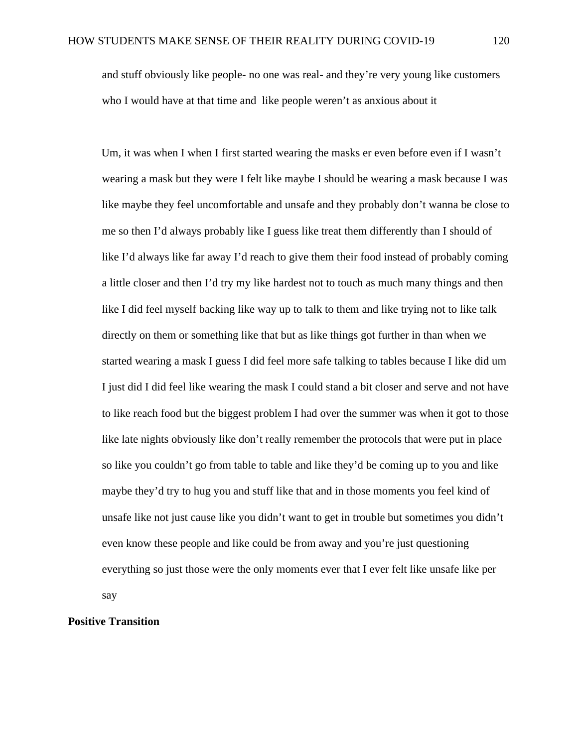and stuff obviously like people- no one was real- and they're very young like customers who I would have at that time and like people weren't as anxious about it

Um, it was when I when I first started wearing the masks er even before even if I wasn't wearing a mask but they were I felt like maybe I should be wearing a mask because I was like maybe they feel uncomfortable and unsafe and they probably don't wanna be close to me so then I'd always probably like I guess like treat them differently than I should of like I'd always like far away I'd reach to give them their food instead of probably coming a little closer and then I'd try my like hardest not to touch as much many things and then like I did feel myself backing like way up to talk to them and like trying not to like talk directly on them or something like that but as like things got further in than when we started wearing a mask I guess I did feel more safe talking to tables because I like did um I just did I did feel like wearing the mask I could stand a bit closer and serve and not have to like reach food but the biggest problem I had over the summer was when it got to those like late nights obviously like don't really remember the protocols that were put in place so like you couldn't go from table to table and like they'd be coming up to you and like maybe they'd try to hug you and stuff like that and in those moments you feel kind of unsafe like not just cause like you didn't want to get in trouble but sometimes you didn't even know these people and like could be from away and you're just questioning everything so just those were the only moments ever that I ever felt like unsafe like per say

## **Positive Transition**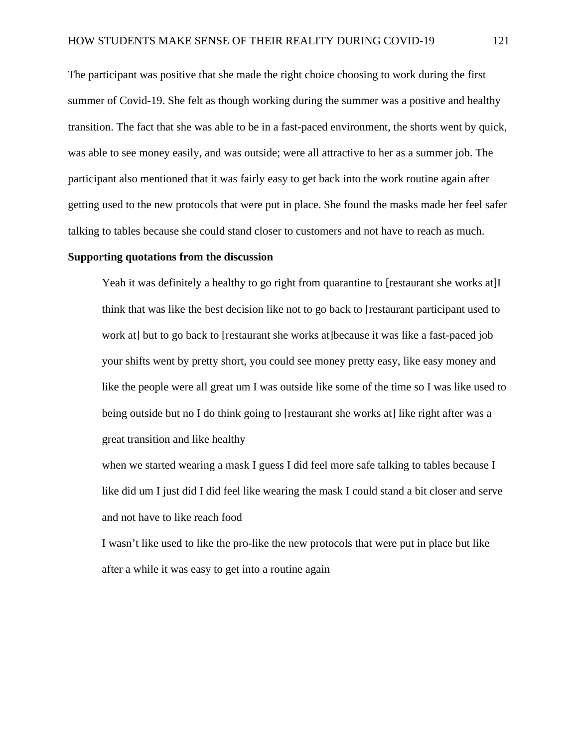The participant was positive that she made the right choice choosing to work during the first summer of Covid-19. She felt as though working during the summer was a positive and healthy transition. The fact that she was able to be in a fast-paced environment, the shorts went by quick, was able to see money easily, and was outside; were all attractive to her as a summer job. The participant also mentioned that it was fairly easy to get back into the work routine again after getting used to the new protocols that were put in place. She found the masks made her feel safer talking to tables because she could stand closer to customers and not have to reach as much.

## **Supporting quotations from the discussion**

Yeah it was definitely a healthy to go right from quarantine to [restaurant she works at]I think that was like the best decision like not to go back to [restaurant participant used to work at] but to go back to [restaurant she works at]because it was like a fast-paced job your shifts went by pretty short, you could see money pretty easy, like easy money and like the people were all great um I was outside like some of the time so I was like used to being outside but no I do think going to [restaurant she works at] like right after was a great transition and like healthy

when we started wearing a mask I guess I did feel more safe talking to tables because I like did um I just did I did feel like wearing the mask I could stand a bit closer and serve and not have to like reach food

I wasn't like used to like the pro-like the new protocols that were put in place but like after a while it was easy to get into a routine again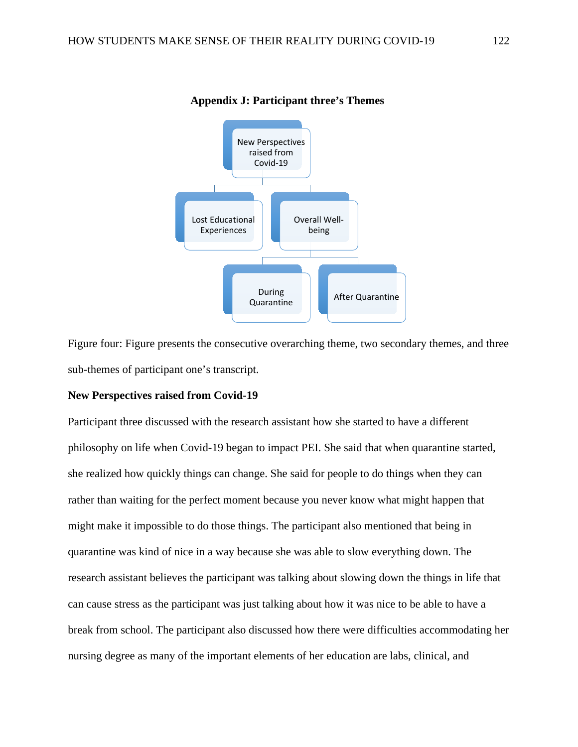

#### **Appendix J: Participant three's Themes**

Figure four: Figure presents the consecutive overarching theme, two secondary themes, and three sub-themes of participant one's transcript.

# **New Perspectives raised from Covid-19**

Participant three discussed with the research assistant how she started to have a different philosophy on life when Covid-19 began to impact PEI. She said that when quarantine started, she realized how quickly things can change. She said for people to do things when they can rather than waiting for the perfect moment because you never know what might happen that might make it impossible to do those things. The participant also mentioned that being in quarantine was kind of nice in a way because she was able to slow everything down. The research assistant believes the participant was talking about slowing down the things in life that can cause stress as the participant was just talking about how it was nice to be able to have a break from school. The participant also discussed how there were difficulties accommodating her nursing degree as many of the important elements of her education are labs, clinical, and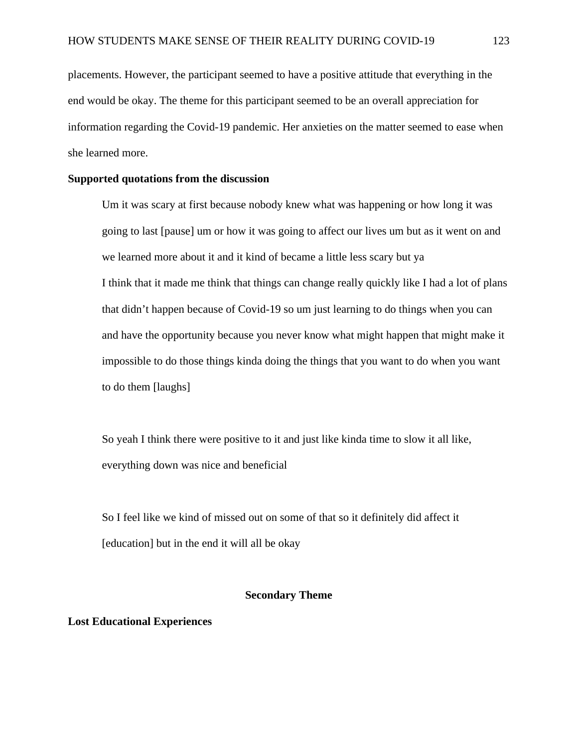placements. However, the participant seemed to have a positive attitude that everything in the end would be okay. The theme for this participant seemed to be an overall appreciation for information regarding the Covid-19 pandemic. Her anxieties on the matter seemed to ease when she learned more.

# **Supported quotations from the discussion**

Um it was scary at first because nobody knew what was happening or how long it was going to last [pause] um or how it was going to affect our lives um but as it went on and we learned more about it and it kind of became a little less scary but ya I think that it made me think that things can change really quickly like I had a lot of plans that didn't happen because of Covid-19 so um just learning to do things when you can and have the opportunity because you never know what might happen that might make it impossible to do those things kinda doing the things that you want to do when you want to do them [laughs]

So yeah I think there were positive to it and just like kinda time to slow it all like, everything down was nice and beneficial

So I feel like we kind of missed out on some of that so it definitely did affect it [education] but in the end it will all be okay

#### **Secondary Theme**

# **Lost Educational Experiences**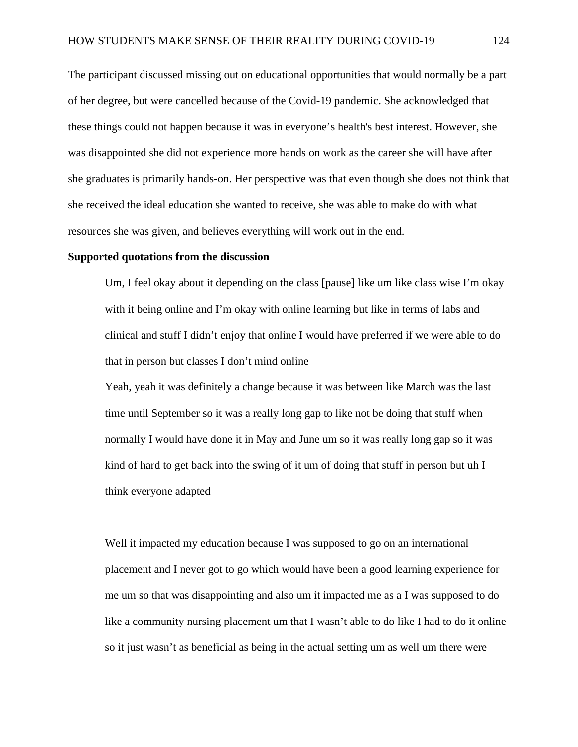The participant discussed missing out on educational opportunities that would normally be a part of her degree, but were cancelled because of the Covid-19 pandemic. She acknowledged that these things could not happen because it was in everyone's health's best interest. However, she was disappointed she did not experience more hands on work as the career she will have after she graduates is primarily hands-on. Her perspective was that even though she does not think that she received the ideal education she wanted to receive, she was able to make do with what resources she was given, and believes everything will work out in the end.

## **Supported quotations from the discussion**

Um, I feel okay about it depending on the class [pause] like um like class wise I'm okay with it being online and I'm okay with online learning but like in terms of labs and clinical and stuff I didn't enjoy that online I would have preferred if we were able to do that in person but classes I don't mind online

Yeah, yeah it was definitely a change because it was between like March was the last time until September so it was a really long gap to like not be doing that stuff when normally I would have done it in May and June um so it was really long gap so it was kind of hard to get back into the swing of it um of doing that stuff in person but uh I think everyone adapted

Well it impacted my education because I was supposed to go on an international placement and I never got to go which would have been a good learning experience for me um so that was disappointing and also um it impacted me as a I was supposed to do like a community nursing placement um that I wasn't able to do like I had to do it online so it just wasn't as beneficial as being in the actual setting um as well um there were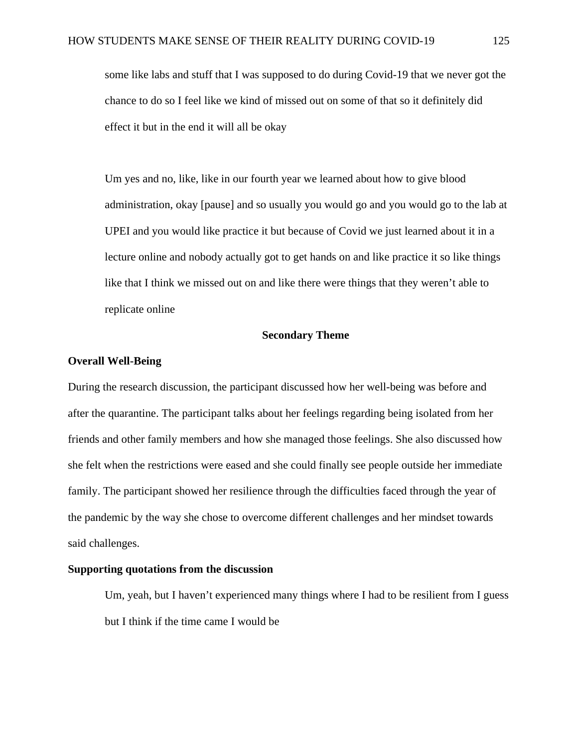some like labs and stuff that I was supposed to do during Covid-19 that we never got the chance to do so I feel like we kind of missed out on some of that so it definitely did effect it but in the end it will all be okay

Um yes and no, like, like in our fourth year we learned about how to give blood administration, okay [pause] and so usually you would go and you would go to the lab at UPEI and you would like practice it but because of Covid we just learned about it in a lecture online and nobody actually got to get hands on and like practice it so like things like that I think we missed out on and like there were things that they weren't able to replicate online

#### **Secondary Theme**

## **Overall Well-Being**

During the research discussion, the participant discussed how her well-being was before and after the quarantine. The participant talks about her feelings regarding being isolated from her friends and other family members and how she managed those feelings. She also discussed how she felt when the restrictions were eased and she could finally see people outside her immediate family. The participant showed her resilience through the difficulties faced through the year of the pandemic by the way she chose to overcome different challenges and her mindset towards said challenges.

# **Supporting quotations from the discussion**

Um, yeah, but I haven't experienced many things where I had to be resilient from I guess but I think if the time came I would be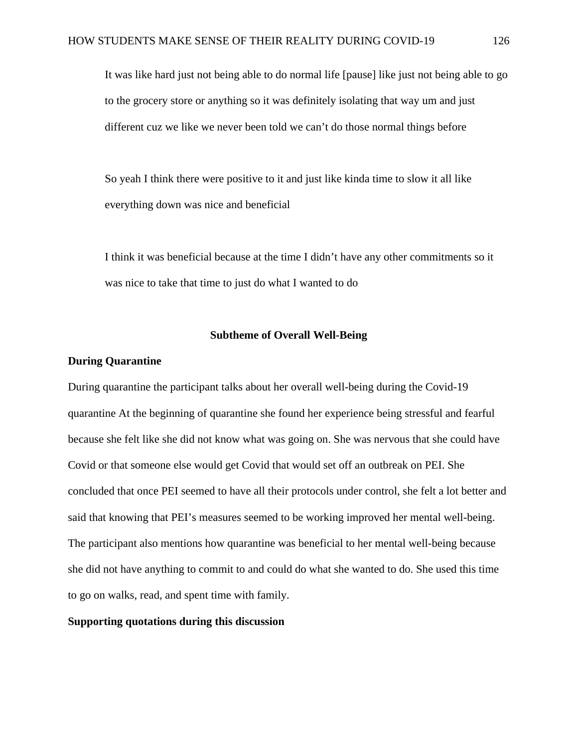It was like hard just not being able to do normal life [pause] like just not being able to go to the grocery store or anything so it was definitely isolating that way um and just different cuz we like we never been told we can't do those normal things before

So yeah I think there were positive to it and just like kinda time to slow it all like everything down was nice and beneficial

I think it was beneficial because at the time I didn't have any other commitments so it was nice to take that time to just do what I wanted to do

#### **Subtheme of Overall Well-Being**

## **During Quarantine**

During quarantine the participant talks about her overall well-being during the Covid-19 quarantine At the beginning of quarantine she found her experience being stressful and fearful because she felt like she did not know what was going on. She was nervous that she could have Covid or that someone else would get Covid that would set off an outbreak on PEI. She concluded that once PEI seemed to have all their protocols under control, she felt a lot better and said that knowing that PEI's measures seemed to be working improved her mental well-being. The participant also mentions how quarantine was beneficial to her mental well-being because she did not have anything to commit to and could do what she wanted to do. She used this time to go on walks, read, and spent time with family.

# **Supporting quotations during this discussion**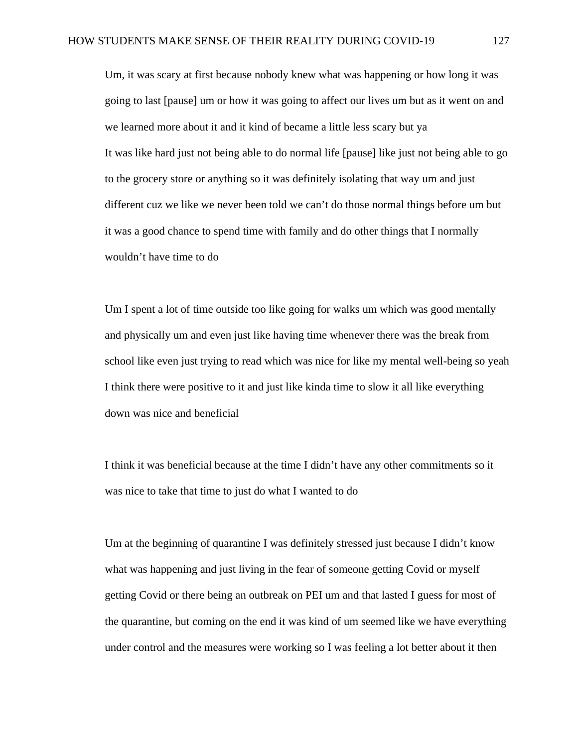Um, it was scary at first because nobody knew what was happening or how long it was going to last [pause] um or how it was going to affect our lives um but as it went on and we learned more about it and it kind of became a little less scary but ya It was like hard just not being able to do normal life [pause] like just not being able to go to the grocery store or anything so it was definitely isolating that way um and just different cuz we like we never been told we can't do those normal things before um but it was a good chance to spend time with family and do other things that I normally wouldn't have time to do

Um I spent a lot of time outside too like going for walks um which was good mentally and physically um and even just like having time whenever there was the break from school like even just trying to read which was nice for like my mental well-being so yeah I think there were positive to it and just like kinda time to slow it all like everything down was nice and beneficial

I think it was beneficial because at the time I didn't have any other commitments so it was nice to take that time to just do what I wanted to do

Um at the beginning of quarantine I was definitely stressed just because I didn't know what was happening and just living in the fear of someone getting Covid or myself getting Covid or there being an outbreak on PEI um and that lasted I guess for most of the quarantine, but coming on the end it was kind of um seemed like we have everything under control and the measures were working so I was feeling a lot better about it then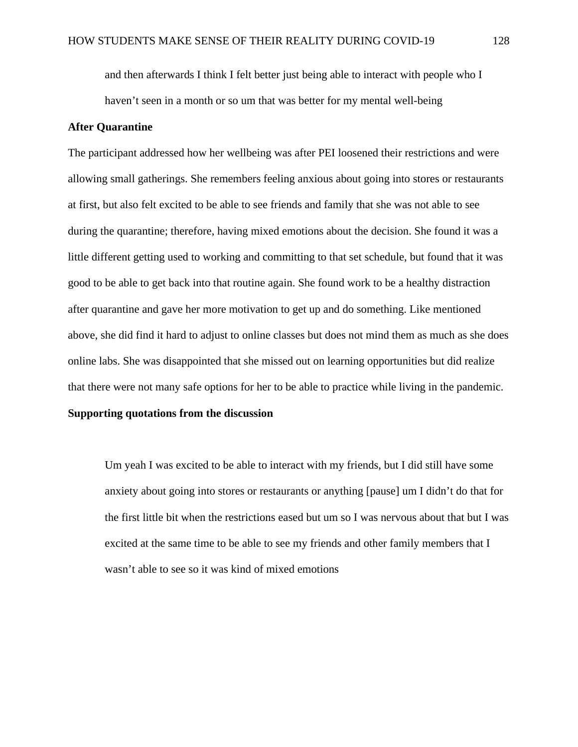and then afterwards I think I felt better just being able to interact with people who I haven't seen in a month or so um that was better for my mental well-being

# **After Quarantine**

The participant addressed how her wellbeing was after PEI loosened their restrictions and were allowing small gatherings. She remembers feeling anxious about going into stores or restaurants at first, but also felt excited to be able to see friends and family that she was not able to see during the quarantine; therefore, having mixed emotions about the decision. She found it was a little different getting used to working and committing to that set schedule, but found that it was good to be able to get back into that routine again. She found work to be a healthy distraction after quarantine and gave her more motivation to get up and do something. Like mentioned above, she did find it hard to adjust to online classes but does not mind them as much as she does online labs. She was disappointed that she missed out on learning opportunities but did realize that there were not many safe options for her to be able to practice while living in the pandemic.

# **Supporting quotations from the discussion**

Um yeah I was excited to be able to interact with my friends, but I did still have some anxiety about going into stores or restaurants or anything [pause] um I didn't do that for the first little bit when the restrictions eased but um so I was nervous about that but I was excited at the same time to be able to see my friends and other family members that I wasn't able to see so it was kind of mixed emotions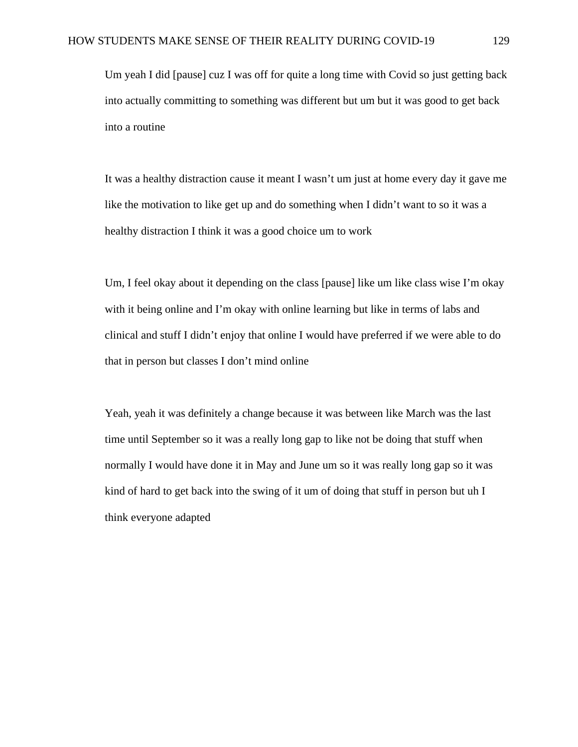Um yeah I did [pause] cuz I was off for quite a long time with Covid so just getting back into actually committing to something was different but um but it was good to get back into a routine

It was a healthy distraction cause it meant I wasn't um just at home every day it gave me like the motivation to like get up and do something when I didn't want to so it was a healthy distraction I think it was a good choice um to work

Um, I feel okay about it depending on the class [pause] like um like class wise I'm okay with it being online and I'm okay with online learning but like in terms of labs and clinical and stuff I didn't enjoy that online I would have preferred if we were able to do that in person but classes I don't mind online

Yeah, yeah it was definitely a change because it was between like March was the last time until September so it was a really long gap to like not be doing that stuff when normally I would have done it in May and June um so it was really long gap so it was kind of hard to get back into the swing of it um of doing that stuff in person but uh I think everyone adapted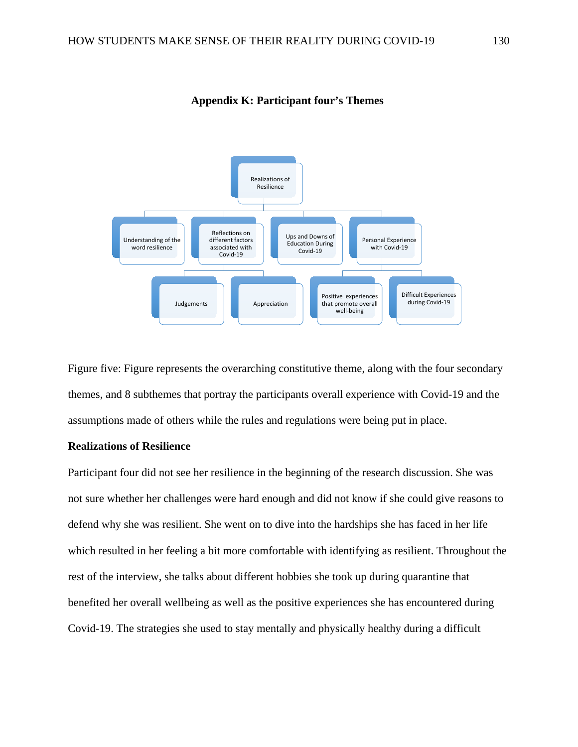

**Appendix K: Participant four's Themes**

Figure five: Figure represents the overarching constitutive theme, along with the four secondary themes, and 8 subthemes that portray the participants overall experience with Covid-19 and the assumptions made of others while the rules and regulations were being put in place.

# **Realizations of Resilience**

Participant four did not see her resilience in the beginning of the research discussion. She was not sure whether her challenges were hard enough and did not know if she could give reasons to defend why she was resilient. She went on to dive into the hardships she has faced in her life which resulted in her feeling a bit more comfortable with identifying as resilient. Throughout the rest of the interview, she talks about different hobbies she took up during quarantine that benefited her overall wellbeing as well as the positive experiences she has encountered during Covid-19. The strategies she used to stay mentally and physically healthy during a difficult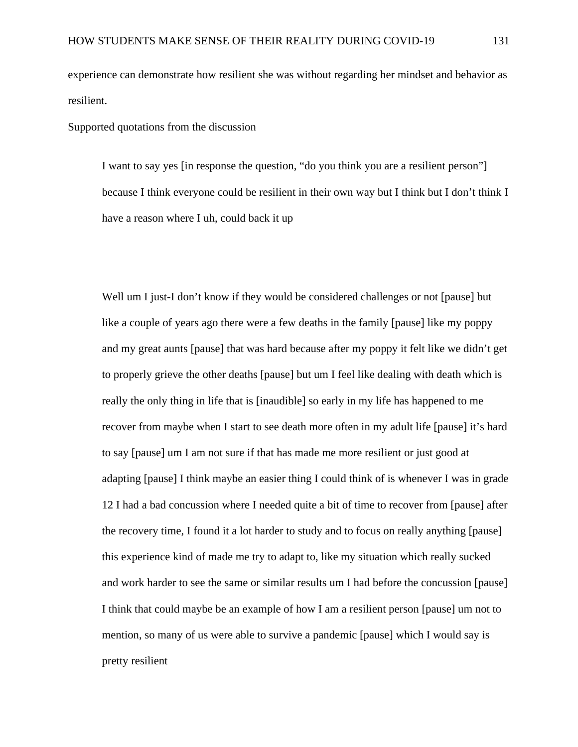experience can demonstrate how resilient she was without regarding her mindset and behavior as resilient.

Supported quotations from the discussion

I want to say yes [in response the question, "do you think you are a resilient person"] because I think everyone could be resilient in their own way but I think but I don't think I have a reason where I uh, could back it up

Well um I just-I don't know if they would be considered challenges or not [pause] but like a couple of years ago there were a few deaths in the family [pause] like my poppy and my great aunts [pause] that was hard because after my poppy it felt like we didn't get to properly grieve the other deaths [pause] but um I feel like dealing with death which is really the only thing in life that is [inaudible] so early in my life has happened to me recover from maybe when I start to see death more often in my adult life [pause] it's hard to say [pause] um I am not sure if that has made me more resilient or just good at adapting [pause] I think maybe an easier thing I could think of is whenever I was in grade 12 I had a bad concussion where I needed quite a bit of time to recover from [pause] after the recovery time, I found it a lot harder to study and to focus on really anything [pause] this experience kind of made me try to adapt to, like my situation which really sucked and work harder to see the same or similar results um I had before the concussion [pause] I think that could maybe be an example of how I am a resilient person [pause] um not to mention, so many of us were able to survive a pandemic [pause] which I would say is pretty resilient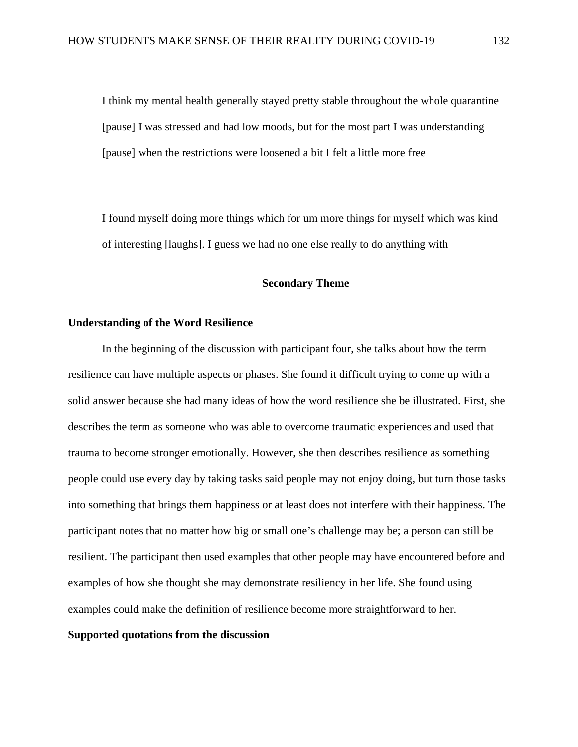I think my mental health generally stayed pretty stable throughout the whole quarantine [pause] I was stressed and had low moods, but for the most part I was understanding [pause] when the restrictions were loosened a bit I felt a little more free

I found myself doing more things which for um more things for myself which was kind of interesting [laughs]. I guess we had no one else really to do anything with

## **Secondary Theme**

# **Understanding of the Word Resilience**

In the beginning of the discussion with participant four, she talks about how the term resilience can have multiple aspects or phases. She found it difficult trying to come up with a solid answer because she had many ideas of how the word resilience she be illustrated. First, she describes the term as someone who was able to overcome traumatic experiences and used that trauma to become stronger emotionally. However, she then describes resilience as something people could use every day by taking tasks said people may not enjoy doing, but turn those tasks into something that brings them happiness or at least does not interfere with their happiness. The participant notes that no matter how big or small one's challenge may be; a person can still be resilient. The participant then used examples that other people may have encountered before and examples of how she thought she may demonstrate resiliency in her life. She found using examples could make the definition of resilience become more straightforward to her.

#### **Supported quotations from the discussion**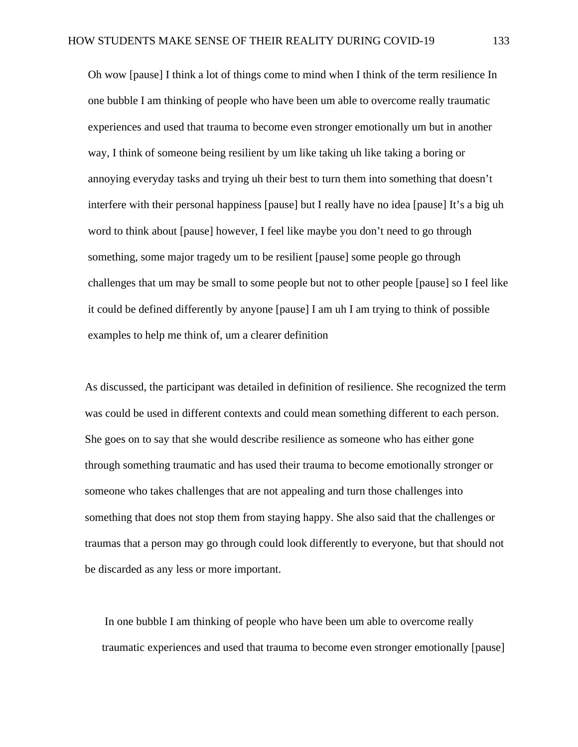Oh wow [pause] I think a lot of things come to mind when I think of the term resilience In one bubble I am thinking of people who have been um able to overcome really traumatic experiences and used that trauma to become even stronger emotionally um but in another way, I think of someone being resilient by um like taking uh like taking a boring or annoying everyday tasks and trying uh their best to turn them into something that doesn't interfere with their personal happiness [pause] but I really have no idea [pause] It's a big uh word to think about [pause] however, I feel like maybe you don't need to go through something, some major tragedy um to be resilient [pause] some people go through challenges that um may be small to some people but not to other people [pause] so I feel like it could be defined differently by anyone [pause] I am uh I am trying to think of possible examples to help me think of, um a clearer definition

As discussed, the participant was detailed in definition of resilience. She recognized the term was could be used in different contexts and could mean something different to each person. She goes on to say that she would describe resilience as someone who has either gone through something traumatic and has used their trauma to become emotionally stronger or someone who takes challenges that are not appealing and turn those challenges into something that does not stop them from staying happy. She also said that the challenges or traumas that a person may go through could look differently to everyone, but that should not be discarded as any less or more important.

In one bubble I am thinking of people who have been um able to overcome really traumatic experiences and used that trauma to become even stronger emotionally [pause]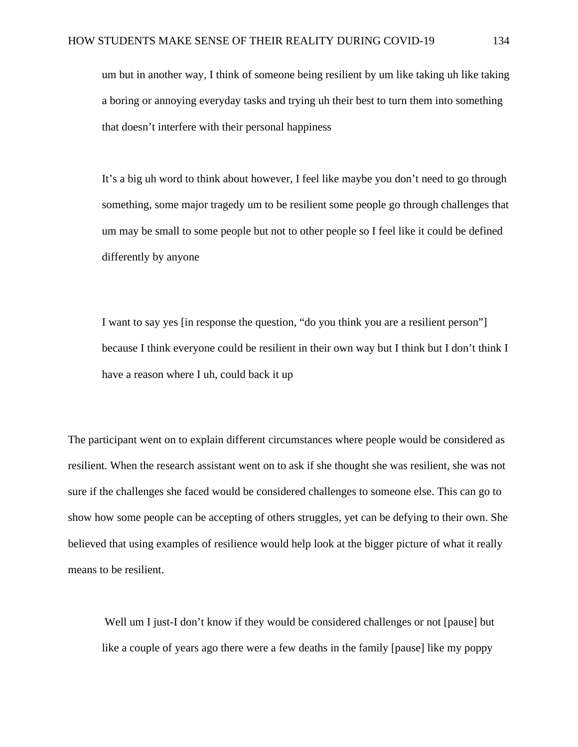um but in another way, I think of someone being resilient by um like taking uh like taking a boring or annoying everyday tasks and trying uh their best to turn them into something that doesn't interfere with their personal happiness

It's a big uh word to think about however, I feel like maybe you don't need to go through something, some major tragedy um to be resilient some people go through challenges that um may be small to some people but not to other people so I feel like it could be defined differently by anyone

I want to say yes [in response the question, "do you think you are a resilient person"] because I think everyone could be resilient in their own way but I think but I don't think I have a reason where I uh, could back it up

The participant went on to explain different circumstances where people would be considered as resilient. When the research assistant went on to ask if she thought she was resilient, she was not sure if the challenges she faced would be considered challenges to someone else. This can go to show how some people can be accepting of others struggles, yet can be defying to their own. She believed that using examples of resilience would help look at the bigger picture of what it really means to be resilient.

Well um I just-I don't know if they would be considered challenges or not [pause] but like a couple of years ago there were a few deaths in the family [pause] like my poppy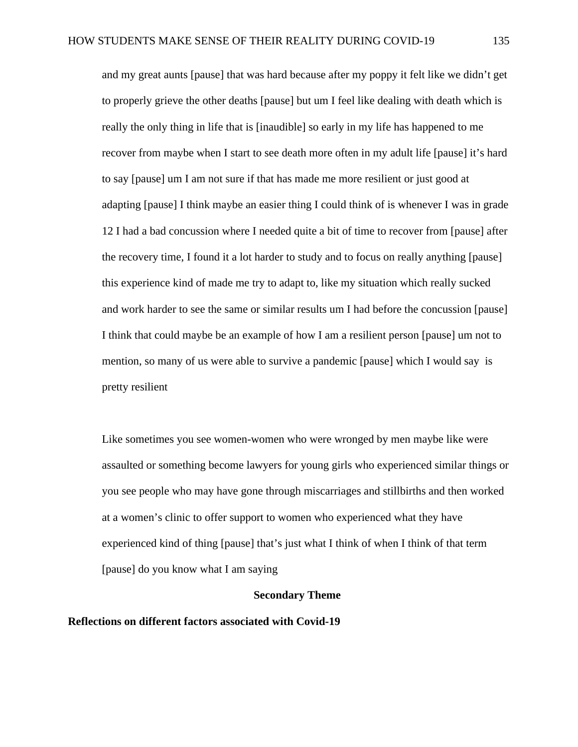and my great aunts [pause] that was hard because after my poppy it felt like we didn't get to properly grieve the other deaths [pause] but um I feel like dealing with death which is really the only thing in life that is [inaudible] so early in my life has happened to me recover from maybe when I start to see death more often in my adult life [pause] it's hard to say [pause] um I am not sure if that has made me more resilient or just good at adapting [pause] I think maybe an easier thing I could think of is whenever I was in grade 12 I had a bad concussion where I needed quite a bit of time to recover from [pause] after the recovery time, I found it a lot harder to study and to focus on really anything [pause] this experience kind of made me try to adapt to, like my situation which really sucked and work harder to see the same or similar results um I had before the concussion [pause] I think that could maybe be an example of how I am a resilient person [pause] um not to mention, so many of us were able to survive a pandemic [pause] which I would say is pretty resilient

Like sometimes you see women-women who were wronged by men maybe like were assaulted or something become lawyers for young girls who experienced similar things or you see people who may have gone through miscarriages and stillbirths and then worked at a women's clinic to offer support to women who experienced what they have experienced kind of thing [pause] that's just what I think of when I think of that term [pause] do you know what I am saying

#### **Secondary Theme**

## **Reflections on different factors associated with Covid-19**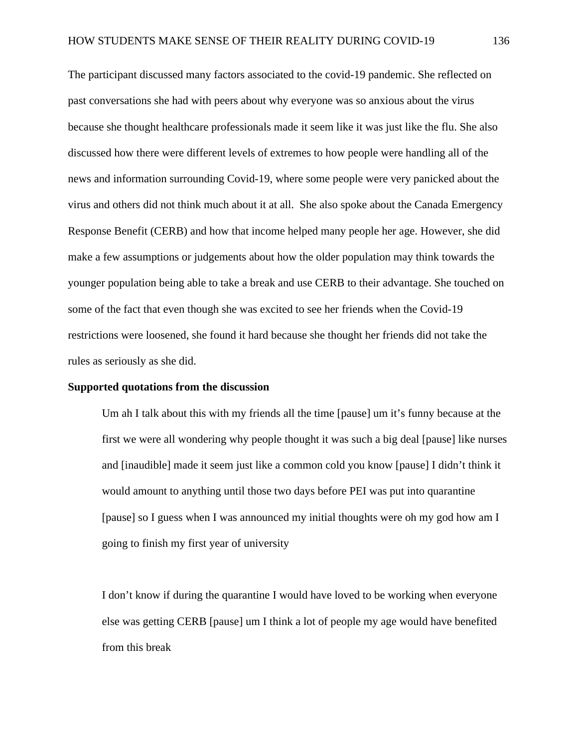The participant discussed many factors associated to the covid-19 pandemic. She reflected on past conversations she had with peers about why everyone was so anxious about the virus because she thought healthcare professionals made it seem like it was just like the flu. She also discussed how there were different levels of extremes to how people were handling all of the news and information surrounding Covid-19, where some people were very panicked about the virus and others did not think much about it at all. She also spoke about the Canada Emergency Response Benefit (CERB) and how that income helped many people her age. However, she did make a few assumptions or judgements about how the older population may think towards the younger population being able to take a break and use CERB to their advantage. She touched on some of the fact that even though she was excited to see her friends when the Covid-19 restrictions were loosened, she found it hard because she thought her friends did not take the rules as seriously as she did.

#### **Supported quotations from the discussion**

Um ah I talk about this with my friends all the time [pause] um it's funny because at the first we were all wondering why people thought it was such a big deal [pause] like nurses and [inaudible] made it seem just like a common cold you know [pause] I didn't think it would amount to anything until those two days before PEI was put into quarantine [pause] so I guess when I was announced my initial thoughts were oh my god how am I going to finish my first year of university

I don't know if during the quarantine I would have loved to be working when everyone else was getting CERB [pause] um I think a lot of people my age would have benefited from this break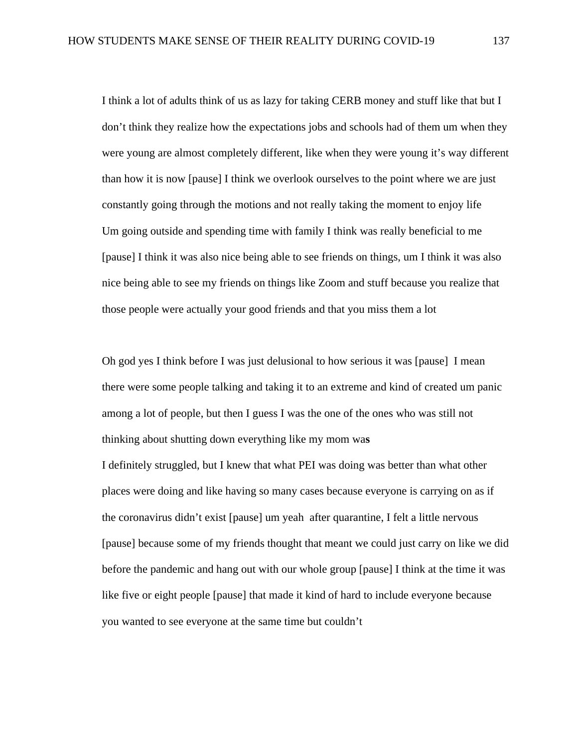I think a lot of adults think of us as lazy for taking CERB money and stuff like that but I don't think they realize how the expectations jobs and schools had of them um when they were young are almost completely different, like when they were young it's way different than how it is now [pause] I think we overlook ourselves to the point where we are just constantly going through the motions and not really taking the moment to enjoy life Um going outside and spending time with family I think was really beneficial to me [pause] I think it was also nice being able to see friends on things, um I think it was also nice being able to see my friends on things like Zoom and stuff because you realize that those people were actually your good friends and that you miss them a lot

Oh god yes I think before I was just delusional to how serious it was [pause] I mean there were some people talking and taking it to an extreme and kind of created um panic among a lot of people, but then I guess I was the one of the ones who was still not thinking about shutting down everything like my mom wa**s**

I definitely struggled, but I knew that what PEI was doing was better than what other places were doing and like having so many cases because everyone is carrying on as if the coronavirus didn't exist [pause] um yeah after quarantine, I felt a little nervous [pause] because some of my friends thought that meant we could just carry on like we did before the pandemic and hang out with our whole group [pause] I think at the time it was like five or eight people [pause] that made it kind of hard to include everyone because you wanted to see everyone at the same time but couldn't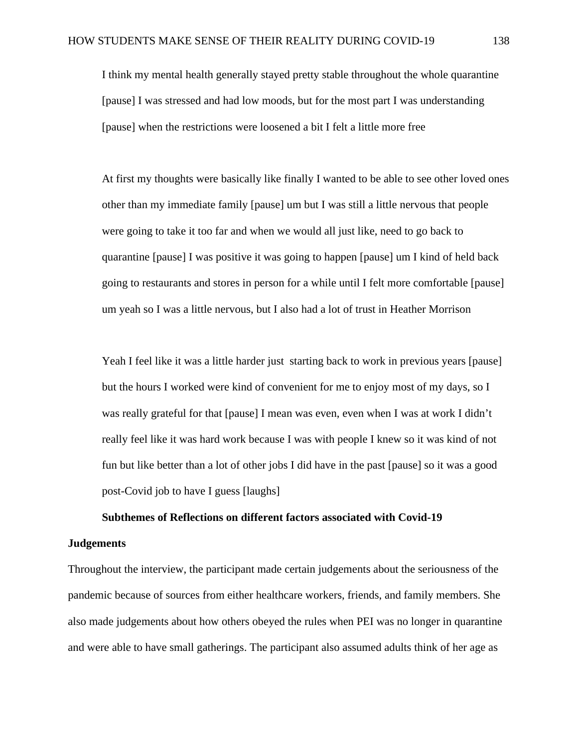I think my mental health generally stayed pretty stable throughout the whole quarantine [pause] I was stressed and had low moods, but for the most part I was understanding [pause] when the restrictions were loosened a bit I felt a little more free

At first my thoughts were basically like finally I wanted to be able to see other loved ones other than my immediate family [pause] um but I was still a little nervous that people were going to take it too far and when we would all just like, need to go back to quarantine [pause] I was positive it was going to happen [pause] um I kind of held back going to restaurants and stores in person for a while until I felt more comfortable [pause] um yeah so I was a little nervous, but I also had a lot of trust in Heather Morrison

Yeah I feel like it was a little harder just starting back to work in previous years [pause] but the hours I worked were kind of convenient for me to enjoy most of my days, so I was really grateful for that [pause] I mean was even, even when I was at work I didn't really feel like it was hard work because I was with people I knew so it was kind of not fun but like better than a lot of other jobs I did have in the past [pause] so it was a good post-Covid job to have I guess [laughs]

# **Subthemes of Reflections on different factors associated with Covid-19**

# **Judgements**

Throughout the interview, the participant made certain judgements about the seriousness of the pandemic because of sources from either healthcare workers, friends, and family members. She also made judgements about how others obeyed the rules when PEI was no longer in quarantine and were able to have small gatherings. The participant also assumed adults think of her age as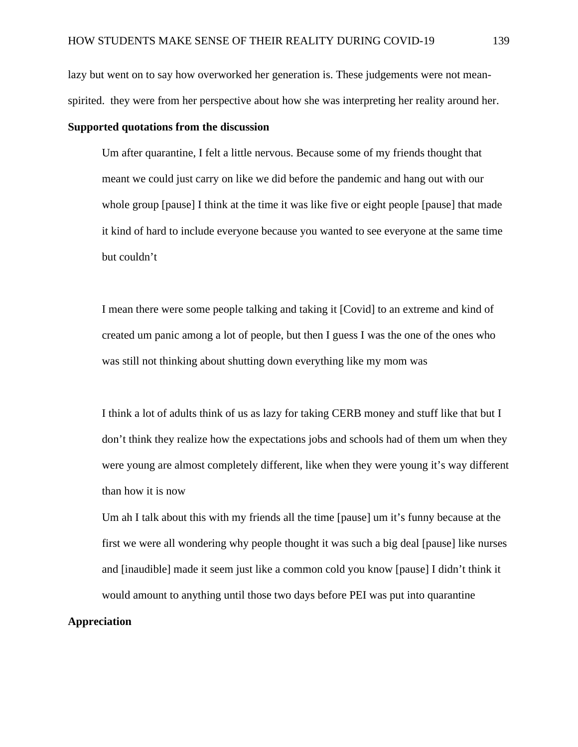lazy but went on to say how overworked her generation is. These judgements were not meanspirited. they were from her perspective about how she was interpreting her reality around her.

# **Supported quotations from the discussion**

Um after quarantine, I felt a little nervous. Because some of my friends thought that meant we could just carry on like we did before the pandemic and hang out with our whole group [pause] I think at the time it was like five or eight people [pause] that made it kind of hard to include everyone because you wanted to see everyone at the same time but couldn't

I mean there were some people talking and taking it [Covid] to an extreme and kind of created um panic among a lot of people, but then I guess I was the one of the ones who was still not thinking about shutting down everything like my mom was

I think a lot of adults think of us as lazy for taking CERB money and stuff like that but I don't think they realize how the expectations jobs and schools had of them um when they were young are almost completely different, like when they were young it's way different than how it is now

Um ah I talk about this with my friends all the time [pause] um it's funny because at the first we were all wondering why people thought it was such a big deal [pause] like nurses and [inaudible] made it seem just like a common cold you know [pause] I didn't think it would amount to anything until those two days before PEI was put into quarantine

# **Appreciation**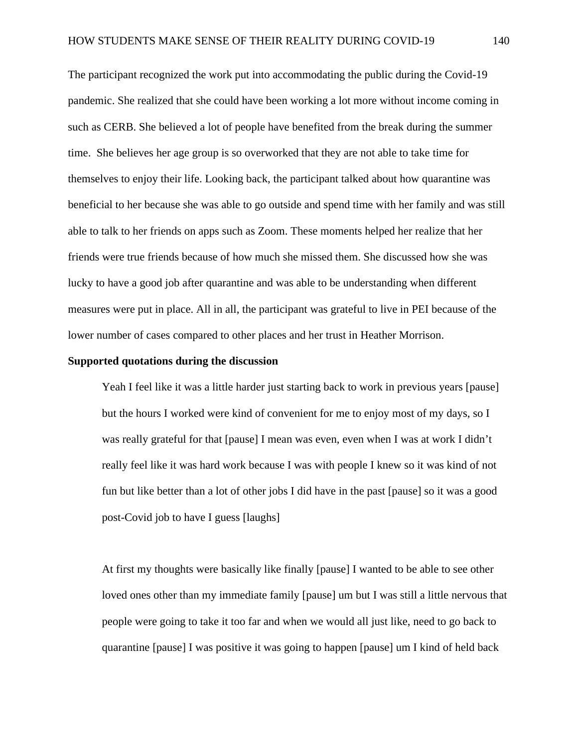The participant recognized the work put into accommodating the public during the Covid-19 pandemic. She realized that she could have been working a lot more without income coming in such as CERB. She believed a lot of people have benefited from the break during the summer time. She believes her age group is so overworked that they are not able to take time for themselves to enjoy their life. Looking back, the participant talked about how quarantine was beneficial to her because she was able to go outside and spend time with her family and was still able to talk to her friends on apps such as Zoom. These moments helped her realize that her friends were true friends because of how much she missed them. She discussed how she was lucky to have a good job after quarantine and was able to be understanding when different measures were put in place. All in all, the participant was grateful to live in PEI because of the lower number of cases compared to other places and her trust in Heather Morrison.

## **Supported quotations during the discussion**

Yeah I feel like it was a little harder just starting back to work in previous years [pause] but the hours I worked were kind of convenient for me to enjoy most of my days, so I was really grateful for that [pause] I mean was even, even when I was at work I didn't really feel like it was hard work because I was with people I knew so it was kind of not fun but like better than a lot of other jobs I did have in the past [pause] so it was a good post-Covid job to have I guess [laughs]

At first my thoughts were basically like finally [pause] I wanted to be able to see other loved ones other than my immediate family [pause] um but I was still a little nervous that people were going to take it too far and when we would all just like, need to go back to quarantine [pause] I was positive it was going to happen [pause] um I kind of held back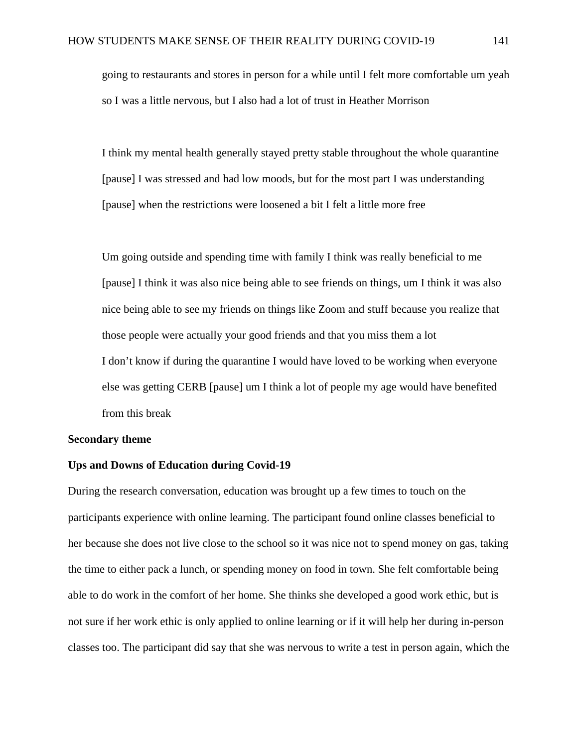going to restaurants and stores in person for a while until I felt more comfortable um yeah so I was a little nervous, but I also had a lot of trust in Heather Morrison

I think my mental health generally stayed pretty stable throughout the whole quarantine [pause] I was stressed and had low moods, but for the most part I was understanding [pause] when the restrictions were loosened a bit I felt a little more free

Um going outside and spending time with family I think was really beneficial to me [pause] I think it was also nice being able to see friends on things, um I think it was also nice being able to see my friends on things like Zoom and stuff because you realize that those people were actually your good friends and that you miss them a lot I don't know if during the quarantine I would have loved to be working when everyone else was getting CERB [pause] um I think a lot of people my age would have benefited from this break

# **Secondary theme**

# **Ups and Downs of Education during Covid-19**

During the research conversation, education was brought up a few times to touch on the participants experience with online learning. The participant found online classes beneficial to her because she does not live close to the school so it was nice not to spend money on gas, taking the time to either pack a lunch, or spending money on food in town. She felt comfortable being able to do work in the comfort of her home. She thinks she developed a good work ethic, but is not sure if her work ethic is only applied to online learning or if it will help her during in-person classes too. The participant did say that she was nervous to write a test in person again, which the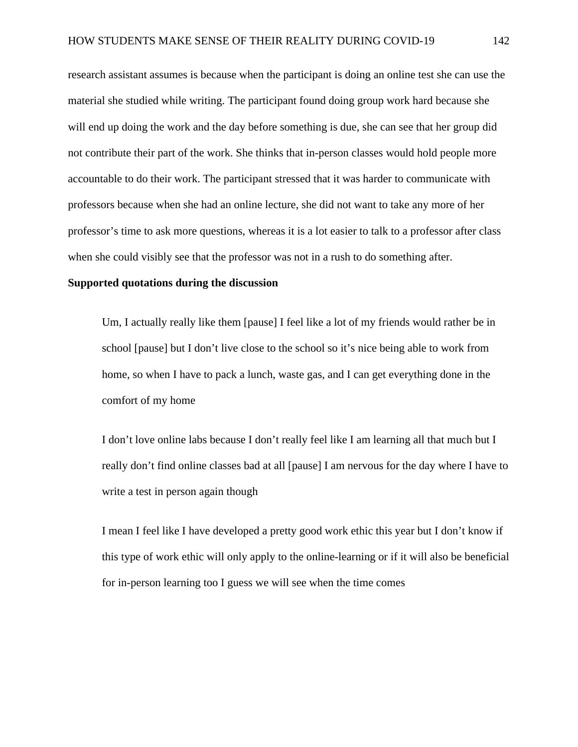research assistant assumes is because when the participant is doing an online test she can use the material she studied while writing. The participant found doing group work hard because she will end up doing the work and the day before something is due, she can see that her group did not contribute their part of the work. She thinks that in-person classes would hold people more accountable to do their work. The participant stressed that it was harder to communicate with professors because when she had an online lecture, she did not want to take any more of her professor's time to ask more questions, whereas it is a lot easier to talk to a professor after class when she could visibly see that the professor was not in a rush to do something after.

# **Supported quotations during the discussion**

Um, I actually really like them [pause] I feel like a lot of my friends would rather be in school [pause] but I don't live close to the school so it's nice being able to work from home, so when I have to pack a lunch, waste gas, and I can get everything done in the comfort of my home

I don't love online labs because I don't really feel like I am learning all that much but I really don't find online classes bad at all [pause] I am nervous for the day where I have to write a test in person again though

I mean I feel like I have developed a pretty good work ethic this year but I don't know if this type of work ethic will only apply to the online-learning or if it will also be beneficial for in-person learning too I guess we will see when the time comes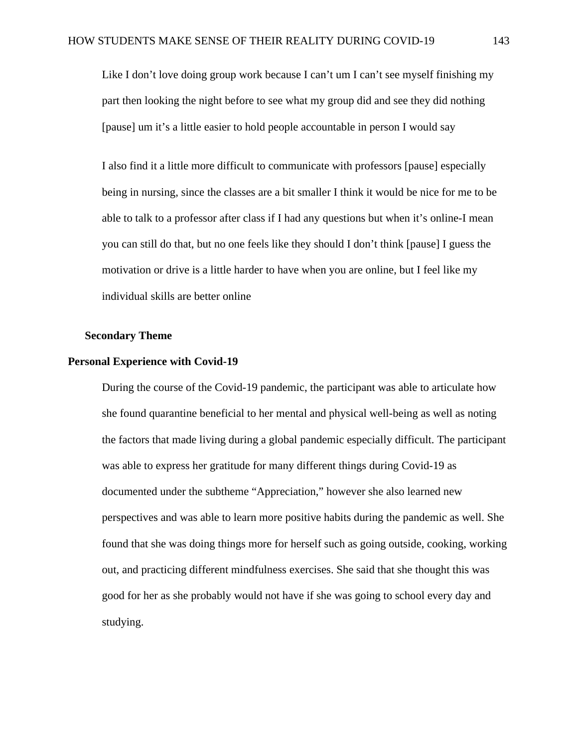Like I don't love doing group work because I can't um I can't see myself finishing my part then looking the night before to see what my group did and see they did nothing [pause] um it's a little easier to hold people accountable in person I would say

I also find it a little more difficult to communicate with professors [pause] especially being in nursing, since the classes are a bit smaller I think it would be nice for me to be able to talk to a professor after class if I had any questions but when it's online-I mean you can still do that, but no one feels like they should I don't think [pause] I guess the motivation or drive is a little harder to have when you are online, but I feel like my individual skills are better online

#### **Secondary Theme**

# **Personal Experience with Covid-19**

During the course of the Covid-19 pandemic, the participant was able to articulate how she found quarantine beneficial to her mental and physical well-being as well as noting the factors that made living during a global pandemic especially difficult. The participant was able to express her gratitude for many different things during Covid-19 as documented under the subtheme "Appreciation," however she also learned new perspectives and was able to learn more positive habits during the pandemic as well. She found that she was doing things more for herself such as going outside, cooking, working out, and practicing different mindfulness exercises. She said that she thought this was good for her as she probably would not have if she was going to school every day and studying.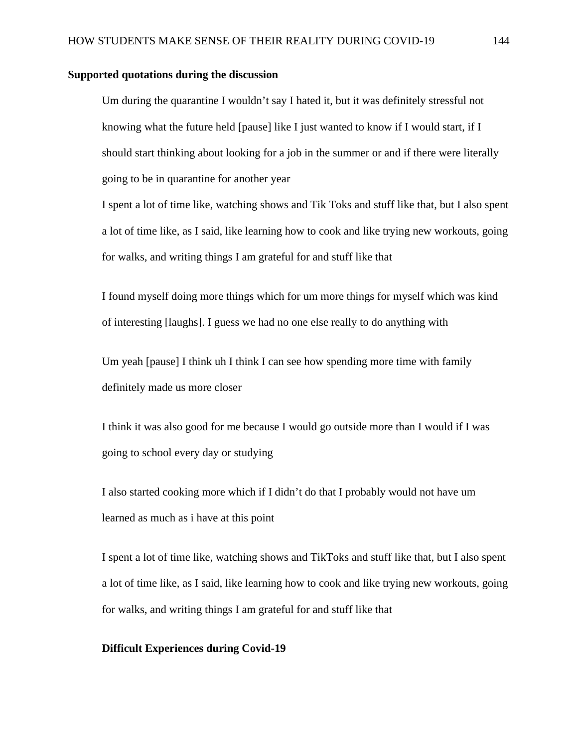# **Supported quotations during the discussion**

Um during the quarantine I wouldn't say I hated it, but it was definitely stressful not knowing what the future held [pause] like I just wanted to know if I would start, if I should start thinking about looking for a job in the summer or and if there were literally going to be in quarantine for another year

I spent a lot of time like, watching shows and Tik Toks and stuff like that, but I also spent a lot of time like, as I said, like learning how to cook and like trying new workouts, going for walks, and writing things I am grateful for and stuff like that

I found myself doing more things which for um more things for myself which was kind of interesting [laughs]. I guess we had no one else really to do anything with

Um yeah [pause] I think uh I think I can see how spending more time with family definitely made us more closer

I think it was also good for me because I would go outside more than I would if I was going to school every day or studying

I also started cooking more which if I didn't do that I probably would not have um learned as much as i have at this point

I spent a lot of time like, watching shows and TikToks and stuff like that, but I also spent a lot of time like, as I said, like learning how to cook and like trying new workouts, going for walks, and writing things I am grateful for and stuff like that

# **Difficult Experiences during Covid-19**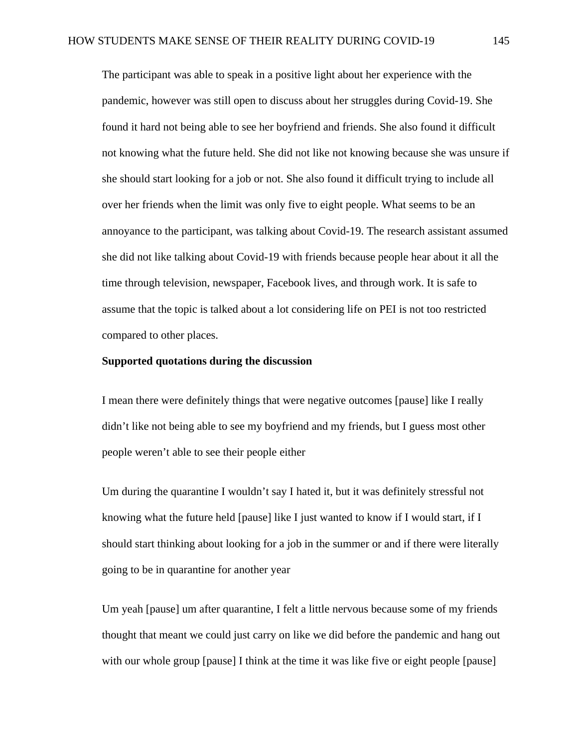The participant was able to speak in a positive light about her experience with the pandemic, however was still open to discuss about her struggles during Covid-19. She found it hard not being able to see her boyfriend and friends. She also found it difficult not knowing what the future held. She did not like not knowing because she was unsure if she should start looking for a job or not. She also found it difficult trying to include all over her friends when the limit was only five to eight people. What seems to be an annoyance to the participant, was talking about Covid-19. The research assistant assumed she did not like talking about Covid-19 with friends because people hear about it all the time through television, newspaper, Facebook lives, and through work. It is safe to assume that the topic is talked about a lot considering life on PEI is not too restricted compared to other places.

## **Supported quotations during the discussion**

I mean there were definitely things that were negative outcomes [pause] like I really didn't like not being able to see my boyfriend and my friends, but I guess most other people weren't able to see their people either

Um during the quarantine I wouldn't say I hated it, but it was definitely stressful not knowing what the future held [pause] like I just wanted to know if I would start, if I should start thinking about looking for a job in the summer or and if there were literally going to be in quarantine for another year

Um yeah [pause] um after quarantine, I felt a little nervous because some of my friends thought that meant we could just carry on like we did before the pandemic and hang out with our whole group [pause] I think at the time it was like five or eight people [pause]